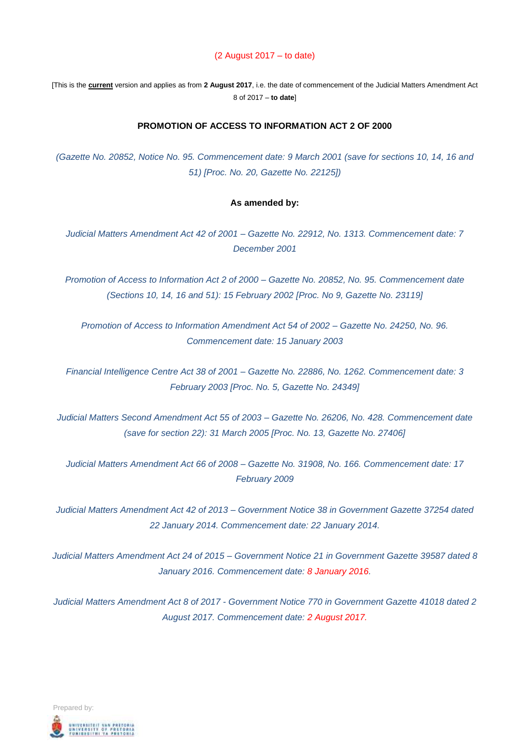#### (2 August 2017 – to date)

[This is the **current** version and applies as from **2 August 2017**, i.e. the date of commencement of the Judicial Matters Amendment Act 8 of 2017 – **to date**]

#### **PROMOTION OF ACCESS TO INFORMATION ACT 2 OF 2000**

*(Gazette No. 20852, Notice No. 95. Commencement date: 9 March 2001 (save for sections 10, 14, 16 and 51) [Proc. No. 20, Gazette No. 22125])*

#### **As amended by:**

*Judicial Matters Amendment Act 42 of 2001 – Gazette No. 22912, No. 1313. Commencement date: 7 December 2001*

*Promotion of Access to Information Act 2 of 2000 – Gazette No. 20852, No. 95. Commencement date (Sections 10, 14, 16 and 51): 15 February 2002 [Proc. No 9, Gazette No. 23119]*

*Promotion of Access to Information Amendment Act 54 of 2002 – Gazette No. 24250, No. 96. Commencement date: 15 January 2003*

*Financial Intelligence Centre Act 38 of 2001 – Gazette No. 22886, No. 1262. Commencement date: 3 February 2003 [Proc. No. 5, Gazette No. 24349]*

*Judicial Matters Second Amendment Act 55 of 2003 – Gazette No. 26206, No. 428. Commencement date (save for section 22): 31 March 2005 [Proc. No. 13, Gazette No. 27406]* 

*Judicial Matters Amendment Act 66 of 2008 – Gazette No. 31908, No. 166. Commencement date: 17 February 2009*

*Judicial Matters Amendment Act 42 of 2013 – Government Notice 38 in Government Gazette 37254 dated 22 January 2014. Commencement date: 22 January 2014.*

*Judicial Matters Amendment Act 24 of 2015 – Government Notice 21 in Government Gazette 39587 dated 8 January 2016. Commencement date: 8 January 2016.*

*Judicial Matters Amendment Act 8 of 2017 - Government Notice 770 in Government Gazette 41018 dated 2 August 2017. Commencement date: 2 August 2017.*

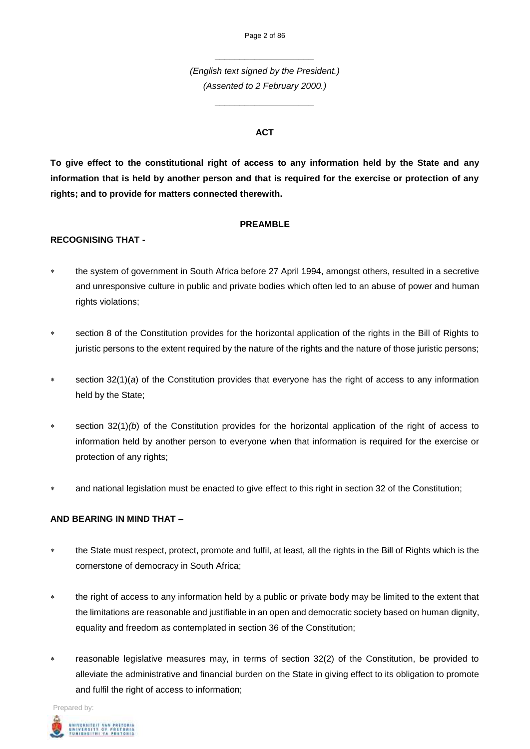*\_\_\_\_\_\_\_\_\_\_\_\_\_\_\_\_\_\_\_\_*

*(English text signed by the President.) (Assented to 2 February 2000.)*

*\_\_\_\_\_\_\_\_\_\_\_\_\_\_\_\_\_\_\_\_* 

### **ACT**

**To give effect to the constitutional right of access to any information held by the State and any information that is held by another person and that is required for the exercise or protection of any rights; and to provide for matters connected therewith.**

#### **PREAMBLE**

### **RECOGNISING THAT -**

- the system of government in South Africa before 27 April 1994, amongst others, resulted in a secretive and unresponsive culture in public and private bodies which often led to an abuse of power and human rights violations;
- section 8 of the Constitution provides for the horizontal application of the rights in the Bill of Rights to juristic persons to the extent required by the nature of the rights and the nature of those juristic persons;
- section 32(1)(*a*) of the Constitution provides that everyone has the right of access to any information held by the State;
- section 32(1)*(b*) of the Constitution provides for the horizontal application of the right of access to information held by another person to everyone when that information is required for the exercise or protection of any rights;
- and national legislation must be enacted to give effect to this right in section 32 of the Constitution;

#### **AND BEARING IN MIND THAT –**

- \* the State must respect, protect, promote and fulfil, at least, all the rights in the Bill of Rights which is the cornerstone of democracy in South Africa;
- \* the right of access to any information held by a public or private body may be limited to the extent that the limitations are reasonable and justifiable in an open and democratic society based on human dignity, equality and freedom as contemplated in section 36 of the Constitution;
- reasonable legislative measures may, in terms of section 32(2) of the Constitution, be provided to alleviate the administrative and financial burden on the State in giving effect to its obligation to promote and fulfil the right of access to information;

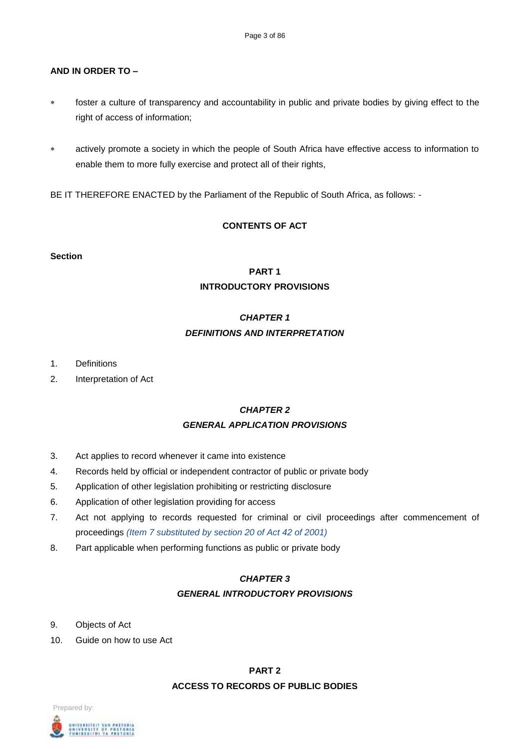### **AND IN ORDER TO –**

- foster a culture of transparency and accountability in public and private bodies by giving effect to the right of access of information;
- actively promote a society in which the people of South Africa have effective access to information to enable them to more fully exercise and protect all of their rights,

BE IT THEREFORE ENACTED by the Parliament of the Republic of South Africa, as follows: -

# **CONTENTS OF ACT**

#### **Section**

# **PART 1 INTRODUCTORY PROVISIONS**

# *CHAPTER 1 DEFINITIONS AND INTERPRETATION*

- 1. Definitions
- 2. Interpretation of Act

# *CHAPTER 2 GENERAL APPLICATION PROVISIONS*

- 3. Act applies to record whenever it came into existence
- 4. Records held by official or independent contractor of public or private body
- 5. Application of other legislation prohibiting or restricting disclosure
- 6. Application of other legislation providing for access
- 7. Act not applying to records requested for criminal or civil proceedings after commencement of proceedings *(Item 7 substituted by section 20 of Act 42 of 2001)*
- 8. Part applicable when performing functions as public or private body

# *CHAPTER 3*

#### *GENERAL INTRODUCTORY PROVISIONS*

- 9. Objects of Act
- 10. Guide on how to use Act

# **PART 2**

# **ACCESS TO RECORDS OF PUBLIC BODIES**

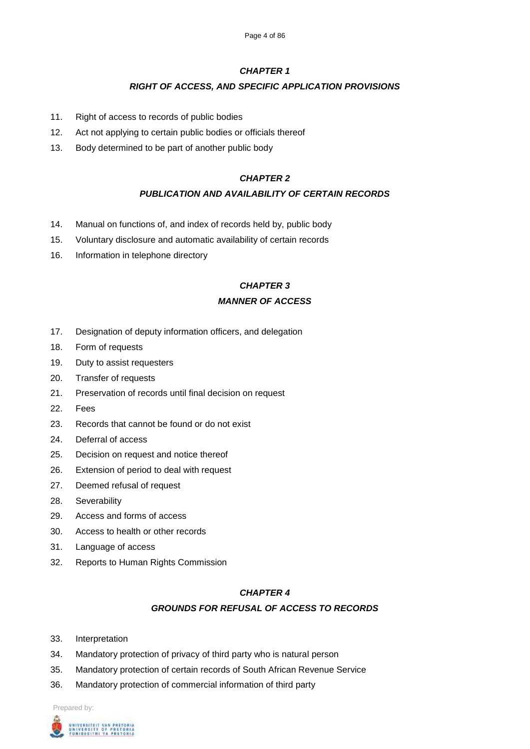### *RIGHT OF ACCESS, AND SPECIFIC APPLICATION PROVISIONS*

- 11. Right of access to records of public bodies
- 12. Act not applying to certain public bodies or officials thereof
- 13. Body determined to be part of another public body

### *CHAPTER 2*

### *PUBLICATION AND AVAILABILITY OF CERTAIN RECORDS*

- 14. Manual on functions of, and index of records held by, public body
- 15. Voluntary disclosure and automatic availability of certain records
- 16. Information in telephone directory

# *CHAPTER 3 MANNER OF ACCESS*

- 17. Designation of deputy information officers, and delegation
- 18. Form of requests
- 19. Duty to assist requesters
- 20. Transfer of requests
- 21. Preservation of records until final decision on request
- 22. Fees
- 23. Records that cannot be found or do not exist
- 24. Deferral of access
- 25. Decision on request and notice thereof
- 26. Extension of period to deal with request
- 27. Deemed refusal of request
- 28. Severability
- 29. Access and forms of access
- 30. Access to health or other records
- 31. Language of access
- 32. Reports to Human Rights Commission

#### *CHAPTER 4*

#### *GROUNDS FOR REFUSAL OF ACCESS TO RECORDS*

- 33. Interpretation
- 34. Mandatory protection of privacy of third party who is natural person
- 35. Mandatory protection of certain records of South African Revenue Service
- 36. Mandatory protection of commercial information of third party

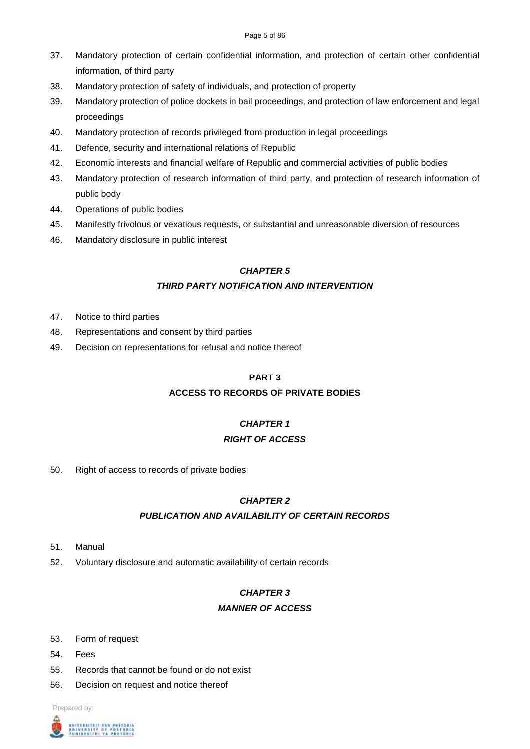- 37. Mandatory protection of certain confidential information, and protection of certain other confidential information, of third party
- 38. Mandatory protection of safety of individuals, and protection of property
- 39. Mandatory protection of police dockets in bail proceedings, and protection of law enforcement and legal proceedings
- 40. Mandatory protection of records privileged from production in legal proceedings
- 41. Defence, security and international relations of Republic
- 42. Economic interests and financial welfare of Republic and commercial activities of public bodies
- 43. Mandatory protection of research information of third party, and protection of research information of public body
- 44. Operations of public bodies
- 45. Manifestly frivolous or vexatious requests, or substantial and unreasonable diversion of resources
- 46. Mandatory disclosure in public interest

# *THIRD PARTY NOTIFICATION AND INTERVENTION*

- 47. Notice to third parties
- 48. Representations and consent by third parties
- 49. Decision on representations for refusal and notice thereof

# **PART 3**

# **ACCESS TO RECORDS OF PRIVATE BODIES**

# *CHAPTER 1*

# *RIGHT OF ACCESS*

50. Right of access to records of private bodies

# *CHAPTER 2*

# *PUBLICATION AND AVAILABILITY OF CERTAIN RECORDS*

- 51. Manual
- 52. Voluntary disclosure and automatic availability of certain records

# *CHAPTER 3*

# *MANNER OF ACCESS*

- 53. Form of request
- 54. Fees
- 55. Records that cannot be found or do not exist
- 56. Decision on request and notice thereof

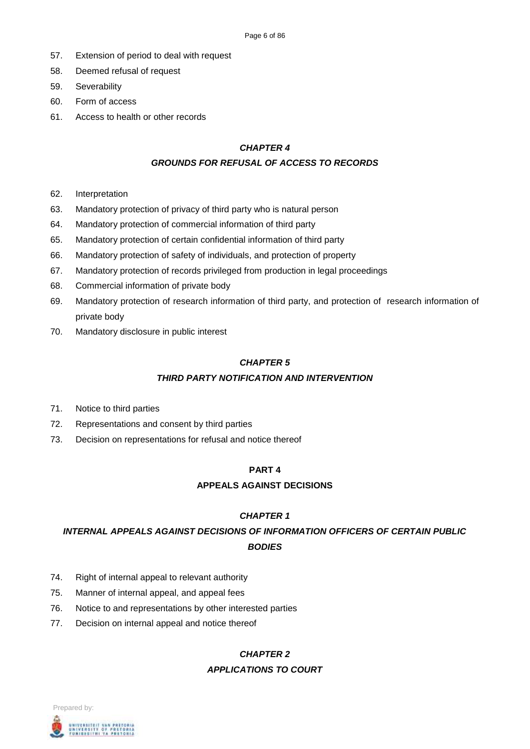- 57. Extension of period to deal with request
- 58. Deemed refusal of request
- 59. Severability
- 60. Form of access
- 61. Access to health or other records

### *GROUNDS FOR REFUSAL OF ACCESS TO RECORDS*

- 62. Interpretation
- 63. Mandatory protection of privacy of third party who is natural person
- 64. Mandatory protection of commercial information of third party
- 65. Mandatory protection of certain confidential information of third party
- 66. Mandatory protection of safety of individuals, and protection of property
- 67. Mandatory protection of records privileged from production in legal proceedings
- 68. Commercial information of private body
- 69. Mandatory protection of research information of third party, and protection of research information of private body
- 70. Mandatory disclosure in public interest

# *CHAPTER 5*

# *THIRD PARTY NOTIFICATION AND INTERVENTION*

- 71. Notice to third parties
- 72. Representations and consent by third parties
- 73. Decision on representations for refusal and notice thereof

# **PART 4**

# **APPEALS AGAINST DECISIONS**

# *CHAPTER 1*

# *INTERNAL APPEALS AGAINST DECISIONS OF INFORMATION OFFICERS OF CERTAIN PUBLIC BODIES*

- 74. Right of internal appeal to relevant authority
- 75. Manner of internal appeal, and appeal fees
- 76. Notice to and representations by other interested parties
- 77. Decision on internal appeal and notice thereof

# *CHAPTER 2*

# *APPLICATIONS TO COURT*

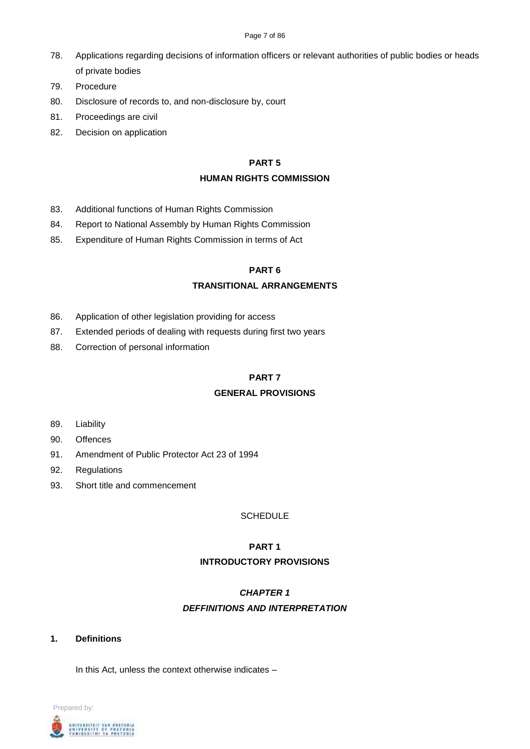- 78. Applications regarding decisions of information officers or relevant authorities of public bodies or heads of private bodies
- 79. Procedure
- 80. Disclosure of records to, and non-disclosure by, court
- 81. Proceedings are civil
- 82. Decision on application

#### **PART 5**

#### **HUMAN RIGHTS COMMISSION**

- 83. Additional functions of Human Rights Commission
- 84. Report to National Assembly by Human Rights Commission
- 85. Expenditure of Human Rights Commission in terms of Act

### **PART 6**

#### **TRANSITIONAL ARRANGEMENTS**

- 86. Application of other legislation providing for access
- 87. Extended periods of dealing with requests during first two years
- 88. Correction of personal information

### **PART 7**

#### **GENERAL PROVISIONS**

- 89. Liability
- 90. Offences
- 91. Amendment of Public Protector Act 23 of 1994
- 92. Regulations
- 93. Short title and commencement

#### SCHEDULE

# **PART 1 INTRODUCTORY PROVISIONS**

# *CHAPTER 1 DEFFINITIONS AND INTERPRETATION*

**1. Definitions**

In this Act, unless the context otherwise indicates –

Prepared by: UNIVERSITEIT VAN PRETORIA<br>UNIVERSITY OF PRETORIA<br>YUNIBESITHI YA PRETORIA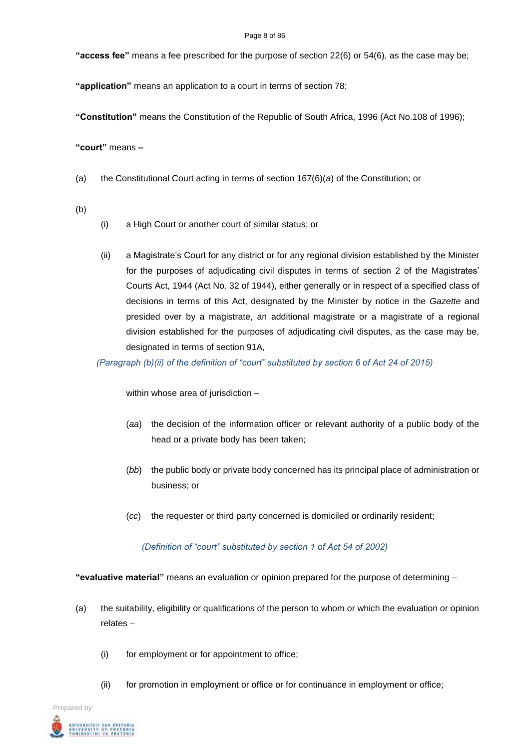#### Page 8 of 86

**"access fee"** means a fee prescribed for the purpose of section 22(6) or 54(6), as the case may be;

**"application"** means an application to a court in terms of section 78;

**"Constitution"** means the Constitution of the Republic of South Africa, 1996 (Act No.108 of 1996);

**"court"** means **–**

- (a) the Constitutional Court acting in terms of section 167(6)(*a*) of the Constitution; or
- (b)
- (i) a High Court or another court of similar status; or
- (ii) a Magistrate's Court for any district or for any regional division established by the Minister for the purposes of adjudicating civil disputes in terms of section 2 of the Magistrates' Courts Act, 1944 (Act No. 32 of 1944), either generally or in respect of a specified class of decisions in terms of this Act, designated by the Minister by notice in the *Gazette* and presided over by a magistrate, an additional magistrate or a magistrate of a regional division established for the purposes of adjudicating civil disputes, as the case may be, designated in terms of section 91A,

*(Paragraph (b)(ii) of the definition of "court" substituted by section 6 of Act 24 of 2015)*

within whose area of jurisdiction –

- (*aa*) the decision of the information officer or relevant authority of a public body of the head or a private body has been taken;
- (*bb*) the public body or private body concerned has its principal place of administration or business; or
- (*cc*) the requester or third party concerned is domiciled or ordinarily resident;

*(Definition of "court" substituted by section 1 of Act 54 of 2002)*

**"evaluative material"** means an evaluation or opinion prepared for the purpose of determining –

- (a) the suitability, eligibility or qualifications of the person to whom or which the evaluation or opinion relates –
	- (i) for employment or for appointment to office;
	- (ii) for promotion in employment or office or for continuance in employment or office;

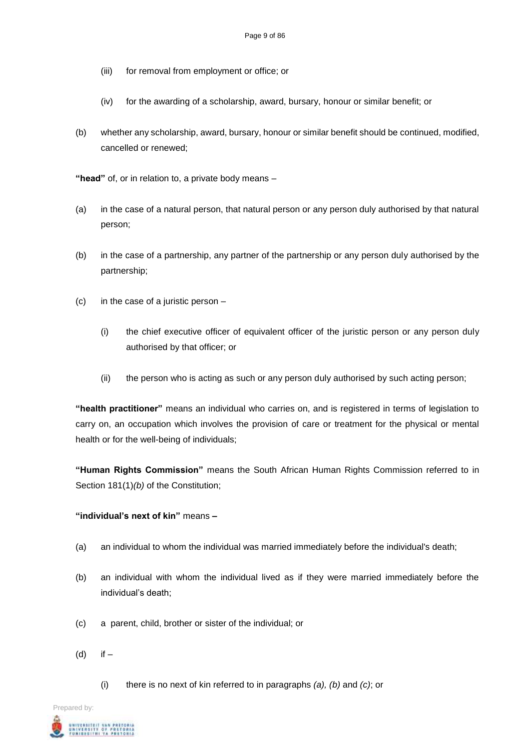- (iii) for removal from employment or office; or
- (iv) for the awarding of a scholarship, award, bursary, honour or similar benefit; or
- (b) whether any scholarship, award, bursary, honour or similar benefit should be continued, modified, cancelled or renewed;

**"head"** of, or in relation to, a private body means –

- (a) in the case of a natural person, that natural person or any person duly authorised by that natural person;
- (b) in the case of a partnership, any partner of the partnership or any person duly authorised by the partnership;
- (c) in the case of a juristic person
	- (i) the chief executive officer of equivalent officer of the juristic person or any person duly authorised by that officer; or
	- (ii) the person who is acting as such or any person duly authorised by such acting person;

**"health practitioner"** means an individual who carries on, and is registered in terms of legislation to carry on, an occupation which involves the provision of care or treatment for the physical or mental health or for the well-being of individuals;

**"Human Rights Commission"** means the South African Human Rights Commission referred to in Section 181(1)*(b)* of the Constitution;

#### **"individual's next of kin"** means **–**

- (a) an individual to whom the individual was married immediately before the individual's death;
- (b) an individual with whom the individual lived as if they were married immediately before the individual's death;
- (c) a parent, child, brother or sister of the individual; or
- (d) if
	- (i) there is no next of kin referred to in paragraphs *(a), (b)* and *(c)*; or

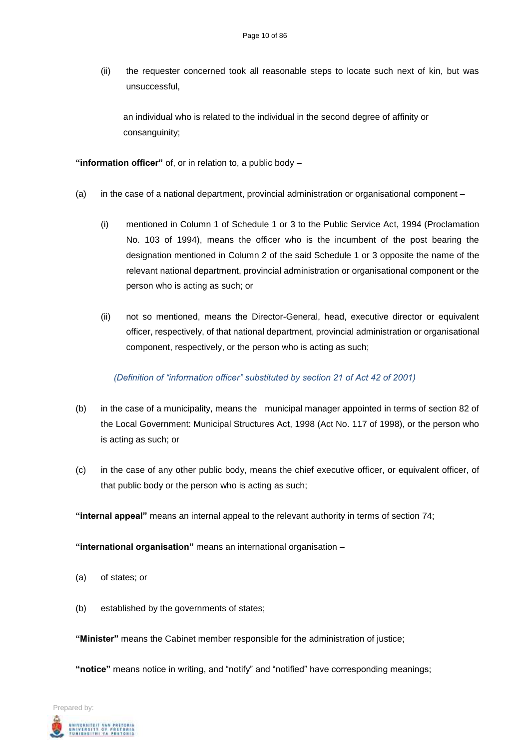(ii) the requester concerned took all reasonable steps to locate such next of kin, but was unsuccessful,

an individual who is related to the individual in the second degree of affinity or consanguinity;

**"information officer"** of, or in relation to, a public body –

- (a) in the case of a national department, provincial administration or organisational component
	- (i) mentioned in Column 1 of Schedule 1 or 3 to the Public Service Act, 1994 (Proclamation No. 103 of 1994), means the officer who is the incumbent of the post bearing the designation mentioned in Column 2 of the said Schedule 1 or 3 opposite the name of the relevant national department, provincial administration or organisational component or the person who is acting as such; or
	- (ii) not so mentioned, means the Director-General, head, executive director or equivalent officer, respectively, of that national department, provincial administration or organisational component, respectively, or the person who is acting as such;

#### *(Definition of "information officer" substituted by section 21 of Act 42 of 2001)*

- (b) in the case of a municipality, means the municipal manager appointed in terms of section 82 of the Local Government: Municipal Structures Act, 1998 (Act No. 117 of 1998), or the person who is acting as such; or
- (c) in the case of any other public body, means the chief executive officer, or equivalent officer, of that public body or the person who is acting as such;

**"internal appeal"** means an internal appeal to the relevant authority in terms of section 74;

**"international organisation"** means an international organisation –

- (a) of states; or
- (b) established by the governments of states;

**"Minister"** means the Cabinet member responsible for the administration of justice;

**"notice"** means notice in writing, and "notify" and "notified" have corresponding meanings;

Prepared by: **NIVERSITEIT VAN PRETORI.**<br>NIVERSITY OF PRETORI.<br>UNIBESITHI YA PRETORI.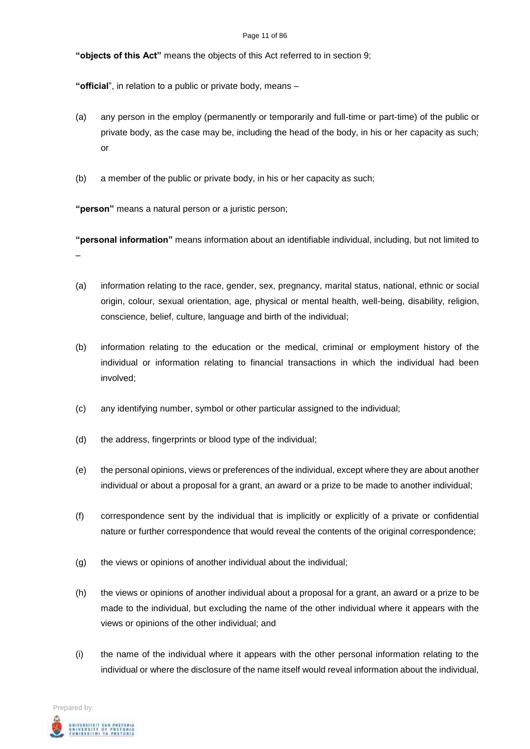**"objects of this Act"** means the objects of this Act referred to in section 9;

**"official**", in relation to a public or private body, means –

- (a) any person in the employ (permanently or temporarily and full-time or part-time) of the public or private body, as the case may be, including the head of the body, in his or her capacity as such; or
- (b) a member of the public or private body, in his or her capacity as such;

**"person"** means a natural person or a juristic person;

**"personal information"** means information about an identifiable individual, including, but not limited to –

- (a) information relating to the race, gender, sex, pregnancy, marital status, national, ethnic or social origin, colour, sexual orientation, age, physical or mental health, well-being, disability, religion, conscience, belief, culture, language and birth of the individual;
- (b) information relating to the education or the medical, criminal or employment history of the individual or information relating to financial transactions in which the individual had been involved;
- (c) any identifying number, symbol or other particular assigned to the individual;
- (d) the address, fingerprints or blood type of the individual;
- (e) the personal opinions, views or preferences of the individual, except where they are about another individual or about a proposal for a grant, an award or a prize to be made to another individual;
- (f) correspondence sent by the individual that is implicitly or explicitly of a private or confidential nature or further correspondence that would reveal the contents of the original correspondence;
- (g) the views or opinions of another individual about the individual;
- (h) the views or opinions of another individual about a proposal for a grant, an award or a prize to be made to the individual, but excluding the name of the other individual where it appears with the views or opinions of the other individual; and
- (i) the name of the individual where it appears with the other personal information relating to the individual or where the disclosure of the name itself would reveal information about the individual,

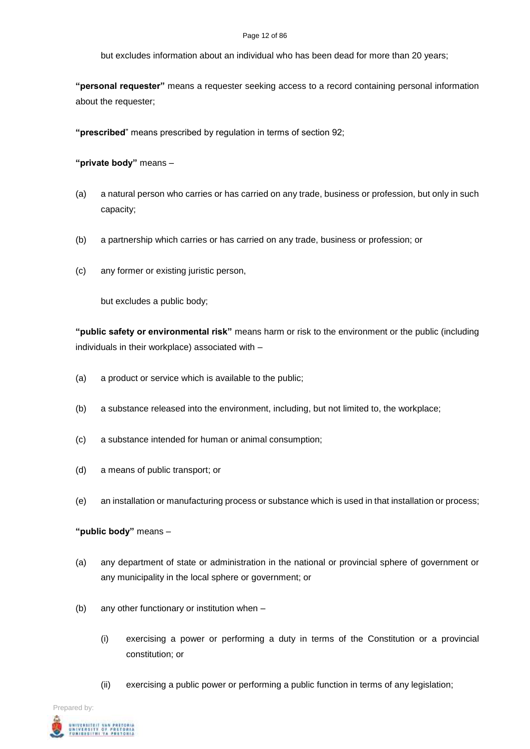#### Page 12 of 86

but excludes information about an individual who has been dead for more than 20 years;

**"personal requester"** means a requester seeking access to a record containing personal information about the requester;

**"prescribed**" means prescribed by regulation in terms of section 92;

**"private body"** means –

- (a) a natural person who carries or has carried on any trade, business or profession, but only in such capacity;
- (b) a partnership which carries or has carried on any trade, business or profession; or
- (c) any former or existing juristic person,

but excludes a public body;

**"public safety or environmental risk"** means harm or risk to the environment or the public (including individuals in their workplace) associated with –

- (a) a product or service which is available to the public;
- (b) a substance released into the environment, including, but not limited to, the workplace;
- (c) a substance intended for human or animal consumption;
- (d) a means of public transport; or
- (e) an installation or manufacturing process or substance which is used in that installation or process;

# **"public body"** means –

- (a) any department of state or administration in the national or provincial sphere of government or any municipality in the local sphere or government; or
- (b) any other functionary or institution when
	- (i) exercising a power or performing a duty in terms of the Constitution or a provincial constitution; or
	- (ii) exercising a public power or performing a public function in terms of any legislation;

Prepared by: UNIVERSITEIT VAN PRETORIA<br>UNIVERSITY OF PRETORIA<br>YUNIBEBITHI YA PRETORIA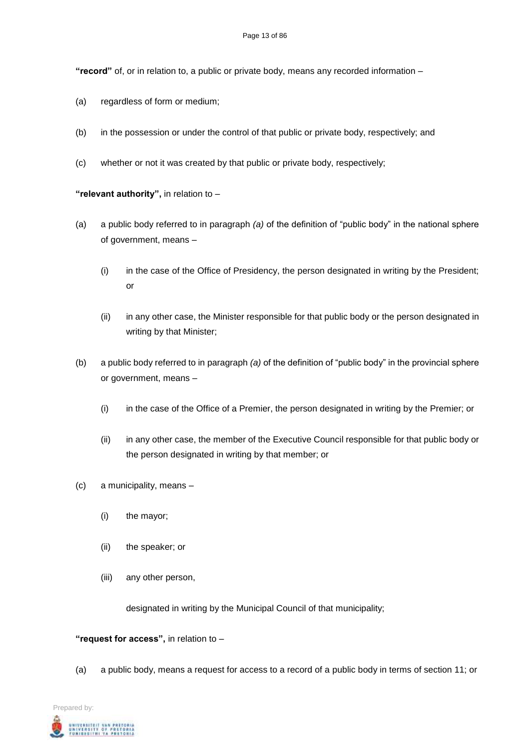**"record"** of, or in relation to, a public or private body, means any recorded information –

- (a) regardless of form or medium;
- (b) in the possession or under the control of that public or private body, respectively; and
- (c) whether or not it was created by that public or private body, respectively;

**"relevant authority",** in relation to –

- (a) a public body referred to in paragraph *(a)* of the definition of "public body" in the national sphere of government, means –
	- (i) in the case of the Office of Presidency, the person designated in writing by the President; or
	- (ii) in any other case, the Minister responsible for that public body or the person designated in writing by that Minister;
- (b) a public body referred to in paragraph *(a)* of the definition of "public body" in the provincial sphere or government, means –
	- (i) in the case of the Office of a Premier, the person designated in writing by the Premier; or
	- (ii) in any other case, the member of the Executive Council responsible for that public body or the person designated in writing by that member; or
- (c) a municipality, means
	- (i) the mayor;
	- (ii) the speaker; or
	- (iii) any other person,

designated in writing by the Municipal Council of that municipality;

#### **"request for access",** in relation to –

(a) a public body, means a request for access to a record of a public body in terms of section 11; or

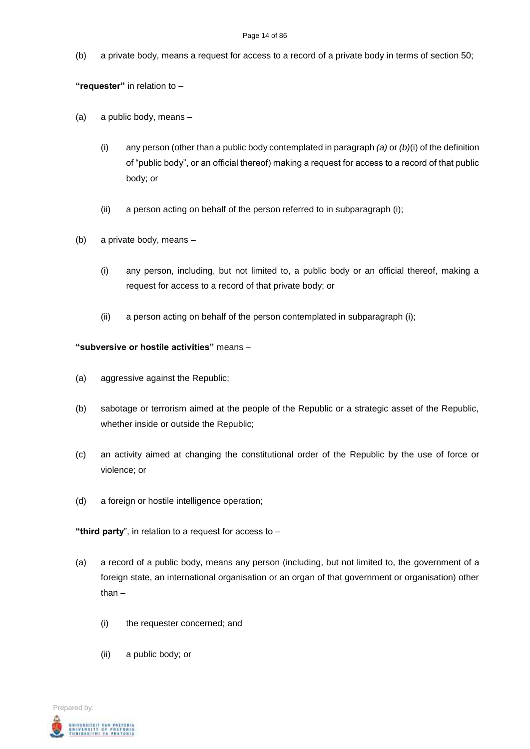#### Page 14 of 86

(b) a private body, means a request for access to a record of a private body in terms of section 50;

**"requester"** in relation to –

- (a) a public body, means
	- (i) any person (other than a public body contemplated in paragraph *(a)* or *(b)*(i) of the definition of "public body", or an official thereof) making a request for access to a record of that public body; or
	- (ii) a person acting on behalf of the person referred to in subparagraph (i);
- (b) a private body, means
	- (i) any person, including, but not limited to, a public body or an official thereof, making a request for access to a record of that private body; or
	- (ii) a person acting on behalf of the person contemplated in subparagraph (i);

### **"subversive or hostile activities"** means –

- (a) aggressive against the Republic;
- (b) sabotage or terrorism aimed at the people of the Republic or a strategic asset of the Republic, whether inside or outside the Republic;
- (c) an activity aimed at changing the constitutional order of the Republic by the use of force or violence; or
- (d) a foreign or hostile intelligence operation;

**"third party**", in relation to a request for access to –

- (a) a record of a public body, means any person (including, but not limited to, the government of a foreign state, an international organisation or an organ of that government or organisation) other than –
	- (i) the requester concerned; and
	- (ii) a public body; or

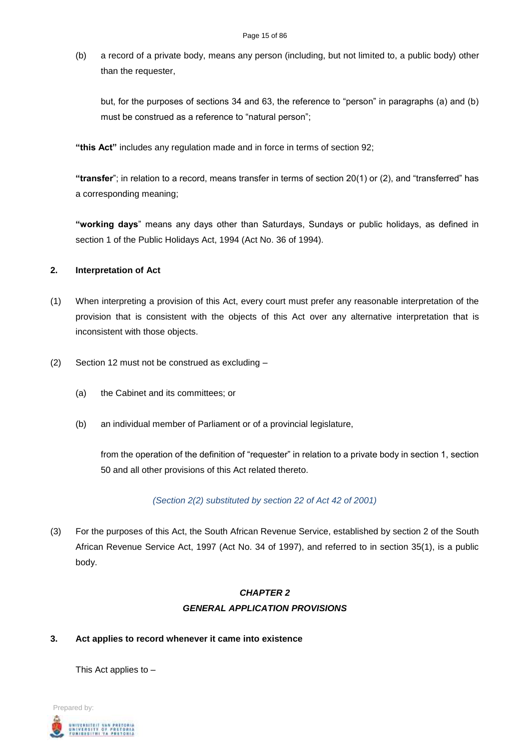(b) a record of a private body, means any person (including, but not limited to, a public body) other than the requester,

but, for the purposes of sections 34 and 63, the reference to "person" in paragraphs (a) and (b) must be construed as a reference to "natural person";

**"this Act"** includes any regulation made and in force in terms of section 92;

**"transfer**"; in relation to a record, means transfer in terms of section 20(1) or (2), and "transferred" has a corresponding meaning;

**"working days**" means any days other than Saturdays, Sundays or public holidays, as defined in section 1 of the Public Holidays Act, 1994 (Act No. 36 of 1994).

### **2. Interpretation of Act**

- (1) When interpreting a provision of this Act, every court must prefer any reasonable interpretation of the provision that is consistent with the objects of this Act over any alternative interpretation that is inconsistent with those objects.
- (2) Section 12 must not be construed as excluding
	- (a) the Cabinet and its committees; or
	- (b) an individual member of Parliament or of a provincial legislature,

from the operation of the definition of "requester" in relation to a private body in section 1, section 50 and all other provisions of this Act related thereto.

# *(Section 2(2) substituted by section 22 of Act 42 of 2001)*

(3) For the purposes of this Act, the South African Revenue Service, established by section 2 of the South African Revenue Service Act, 1997 (Act No. 34 of 1997), and referred to in section 35(1), is a public body.

# *CHAPTER 2 GENERAL APPLICATION PROVISIONS*

# **3. Act applies to record whenever it came into existence**

This Act applies to –

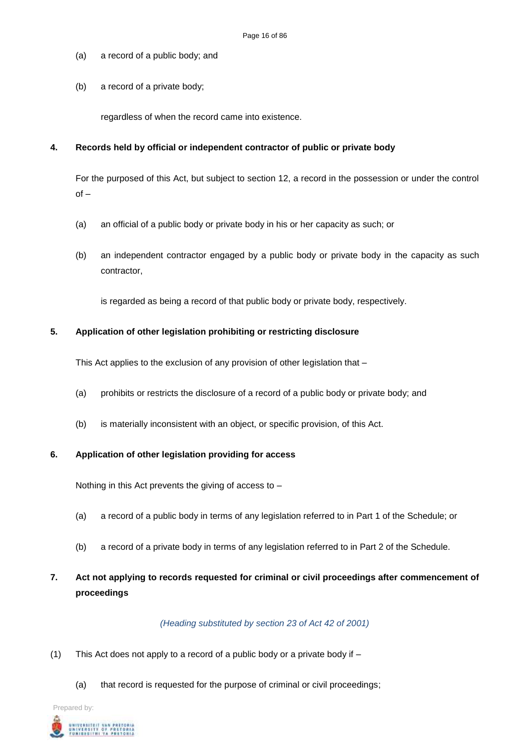- (a) a record of a public body; and
- (b) a record of a private body;

regardless of when the record came into existence.

#### **4. Records held by official or independent contractor of public or private body**

For the purposed of this Act, but subject to section 12, a record in the possession or under the control  $of -$ 

- (a) an official of a public body or private body in his or her capacity as such; or
- (b) an independent contractor engaged by a public body or private body in the capacity as such contractor,

is regarded as being a record of that public body or private body, respectively.

#### **5. Application of other legislation prohibiting or restricting disclosure**

This Act applies to the exclusion of any provision of other legislation that –

- (a) prohibits or restricts the disclosure of a record of a public body or private body; and
- (b) is materially inconsistent with an object, or specific provision, of this Act.

#### **6. Application of other legislation providing for access**

Nothing in this Act prevents the giving of access to –

- (a) a record of a public body in terms of any legislation referred to in Part 1 of the Schedule; or
- (b) a record of a private body in terms of any legislation referred to in Part 2 of the Schedule.

# **7. Act not applying to records requested for criminal or civil proceedings after commencement of proceedings**

#### *(Heading substituted by section 23 of Act 42 of 2001)*

- (1) This Act does not apply to a record of a public body or a private body if
	- (a) that record is requested for the purpose of criminal or civil proceedings;

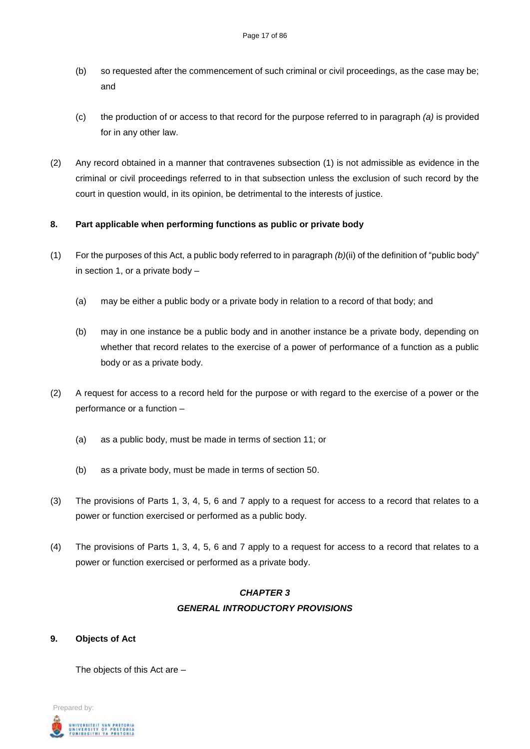- (b) so requested after the commencement of such criminal or civil proceedings, as the case may be; and
- (c) the production of or access to that record for the purpose referred to in paragraph *(a)* is provided for in any other law.
- (2) Any record obtained in a manner that contravenes subsection (1) is not admissible as evidence in the criminal or civil proceedings referred to in that subsection unless the exclusion of such record by the court in question would, in its opinion, be detrimental to the interests of justice.

### **8. Part applicable when performing functions as public or private body**

- (1) For the purposes of this Act, a public body referred to in paragraph *(b)*(ii) of the definition of "public body" in section 1, or a private body –
	- (a) may be either a public body or a private body in relation to a record of that body; and
	- (b) may in one instance be a public body and in another instance be a private body, depending on whether that record relates to the exercise of a power of performance of a function as a public body or as a private body.
- (2) A request for access to a record held for the purpose or with regard to the exercise of a power or the performance or a function –
	- (a) as a public body, must be made in terms of section 11; or
	- (b) as a private body, must be made in terms of section 50.
- (3) The provisions of Parts 1, 3, 4, 5, 6 and 7 apply to a request for access to a record that relates to a power or function exercised or performed as a public body.
- (4) The provisions of Parts 1, 3, 4, 5, 6 and 7 apply to a request for access to a record that relates to a power or function exercised or performed as a private body.

# *CHAPTER 3 GENERAL INTRODUCTORY PROVISIONS*

**9. Objects of Act**

The objects of this Act are –

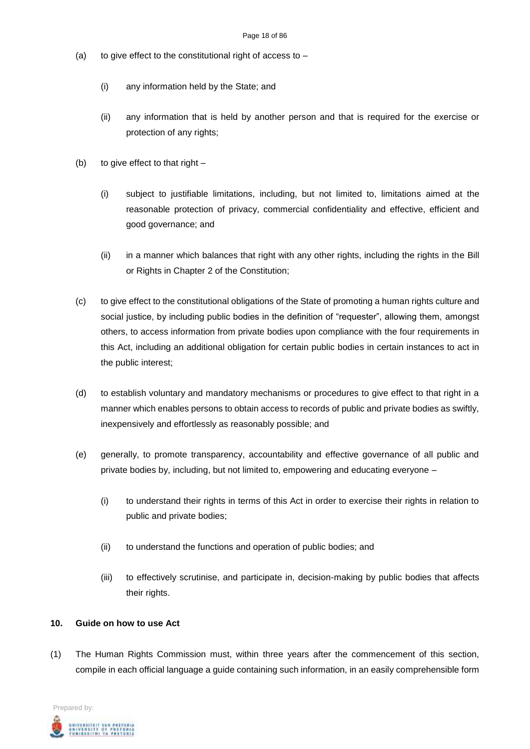- (a) to give effect to the constitutional right of access to  $-$ 
	- (i) any information held by the State; and
	- (ii) any information that is held by another person and that is required for the exercise or protection of any rights;
- (b) to give effect to that right  $-$ 
	- (i) subject to justifiable limitations, including, but not limited to, limitations aimed at the reasonable protection of privacy, commercial confidentiality and effective, efficient and good governance; and
	- (ii) in a manner which balances that right with any other rights, including the rights in the Bill or Rights in Chapter 2 of the Constitution;
- (c) to give effect to the constitutional obligations of the State of promoting a human rights culture and social justice, by including public bodies in the definition of "requester", allowing them, amongst others, to access information from private bodies upon compliance with the four requirements in this Act, including an additional obligation for certain public bodies in certain instances to act in the public interest;
- (d) to establish voluntary and mandatory mechanisms or procedures to give effect to that right in a manner which enables persons to obtain access to records of public and private bodies as swiftly, inexpensively and effortlessly as reasonably possible; and
- (e) generally, to promote transparency, accountability and effective governance of all public and private bodies by, including, but not limited to, empowering and educating everyone –
	- (i) to understand their rights in terms of this Act in order to exercise their rights in relation to public and private bodies;
	- (ii) to understand the functions and operation of public bodies; and
	- (iii) to effectively scrutinise, and participate in, decision-making by public bodies that affects their rights.

#### **10. Guide on how to use Act**

(1) The Human Rights Commission must, within three years after the commencement of this section, compile in each official language a guide containing such information, in an easily comprehensible form

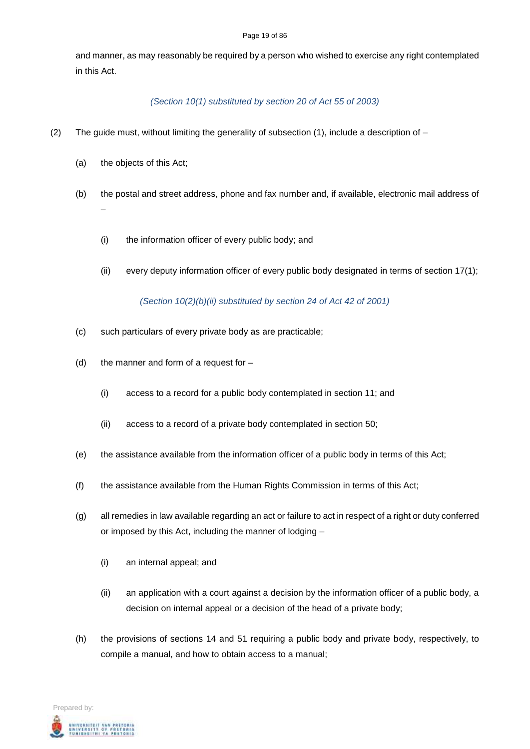#### Page 19 of 86

and manner, as may reasonably be required by a person who wished to exercise any right contemplated in this Act.

# *(Section 10(1) substituted by section 20 of Act 55 of 2003)*

- (2) The guide must, without limiting the generality of subsection  $(1)$ , include a description of  $-$ 
	- (a) the objects of this Act;
	- (b) the postal and street address, phone and fax number and, if available, electronic mail address of –
		- (i) the information officer of every public body; and
		- (ii) every deputy information officer of every public body designated in terms of section 17(1);

*(Section 10(2)(b)(ii) substituted by section 24 of Act 42 of 2001)*

- (c) such particulars of every private body as are practicable;
- (d) the manner and form of a request for  $-$ 
	- (i) access to a record for a public body contemplated in section 11; and
	- (ii) access to a record of a private body contemplated in section 50;
- (e) the assistance available from the information officer of a public body in terms of this Act;
- (f) the assistance available from the Human Rights Commission in terms of this Act;
- (g) all remedies in law available regarding an act or failure to act in respect of a right or duty conferred or imposed by this Act, including the manner of lodging –
	- (i) an internal appeal; and
	- (ii) an application with a court against a decision by the information officer of a public body, a decision on internal appeal or a decision of the head of a private body;
- (h) the provisions of sections 14 and 51 requiring a public body and private body, respectively, to compile a manual, and how to obtain access to a manual;

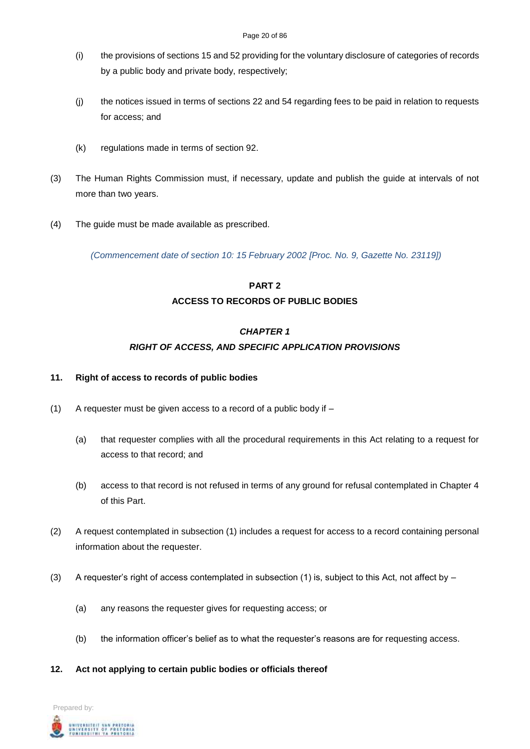- (i) the provisions of sections 15 and 52 providing for the voluntary disclosure of categories of records by a public body and private body, respectively;
- (j) the notices issued in terms of sections 22 and 54 regarding fees to be paid in relation to requests for access; and
- (k) regulations made in terms of section 92.
- (3) The Human Rights Commission must, if necessary, update and publish the guide at intervals of not more than two years.
- (4) The guide must be made available as prescribed.

*(Commencement date of section 10: 15 February 2002 [Proc. No. 9, Gazette No. 23119])*

# **PART 2 ACCESS TO RECORDS OF PUBLIC BODIES**

#### *CHAPTER 1*

# *RIGHT OF ACCESS, AND SPECIFIC APPLICATION PROVISIONS*

#### **11. Right of access to records of public bodies**

- (1) A requester must be given access to a record of a public body if  $-$ 
	- (a) that requester complies with all the procedural requirements in this Act relating to a request for access to that record; and
	- (b) access to that record is not refused in terms of any ground for refusal contemplated in Chapter 4 of this Part.
- (2) A request contemplated in subsection (1) includes a request for access to a record containing personal information about the requester.
- (3) A requester's right of access contemplated in subsection (1) is, subject to this Act, not affect by
	- (a) any reasons the requester gives for requesting access; or
	- (b) the information officer's belief as to what the requester's reasons are for requesting access.
- **12. Act not applying to certain public bodies or officials thereof**

Prepared by: UNIVERSITEIT VAN PRETORIA<br>UNIVERSITY OF PRETORIA<br>YUNIBESITHI YA PRETORIA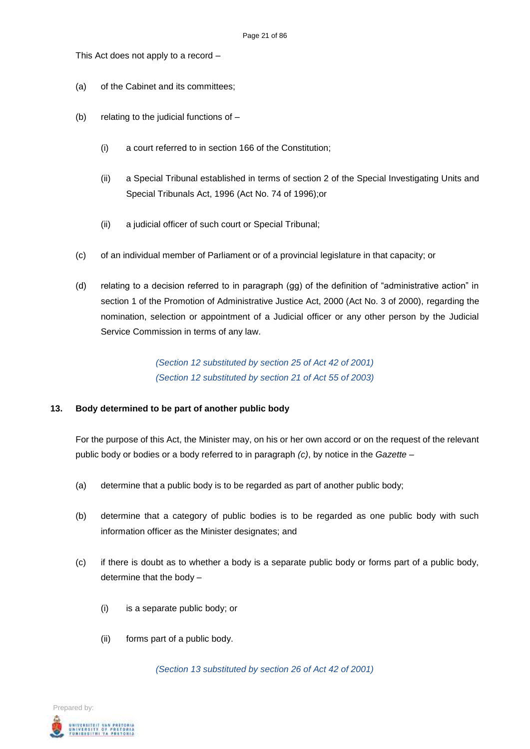This Act does not apply to a record –

- (a) of the Cabinet and its committees;
- (b) relating to the judicial functions of  $-$ 
	- (i) a court referred to in section 166 of the Constitution;
	- (ii) a Special Tribunal established in terms of section 2 of the Special Investigating Units and Special Tribunals Act, 1996 (Act No. 74 of 1996);or
	- (ii) a judicial officer of such court or Special Tribunal;
- (c) of an individual member of Parliament or of a provincial legislature in that capacity; or
- (d) relating to a decision referred to in paragraph (gg) of the definition of "administrative action" in section 1 of the Promotion of Administrative Justice Act, 2000 (Act No. 3 of 2000), regarding the nomination, selection or appointment of a Judicial officer or any other person by the Judicial Service Commission in terms of any law.

*(Section 12 substituted by section 25 of Act 42 of 2001) (Section 12 substituted by section 21 of Act 55 of 2003)*

#### **13. Body determined to be part of another public body**

For the purpose of this Act, the Minister may, on his or her own accord or on the request of the relevant public body or bodies or a body referred to in paragraph *(c)*, by notice in the *Gazette –*

- (a) determine that a public body is to be regarded as part of another public body;
- (b) determine that a category of public bodies is to be regarded as one public body with such information officer as the Minister designates; and
- (c) if there is doubt as to whether a body is a separate public body or forms part of a public body, determine that the body –
	- (i) is a separate public body; or
	- (ii) forms part of a public body.

*(Section 13 substituted by section 26 of Act 42 of 2001)*

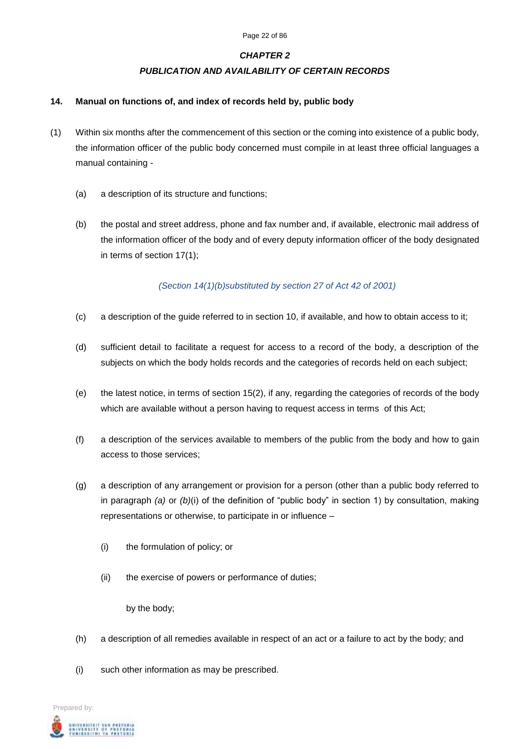### *PUBLICATION AND AVAILABILITY OF CERTAIN RECORDS*

#### **14. Manual on functions of, and index of records held by, public body**

- (1) Within six months after the commencement of this section or the coming into existence of a public body, the information officer of the public body concerned must compile in at least three official languages a manual containing -
	- (a) a description of its structure and functions;
	- (b) the postal and street address, phone and fax number and, if available, electronic mail address of the information officer of the body and of every deputy information officer of the body designated in terms of section 17(1);

### *(Section 14(1)(b)substituted by section 27 of Act 42 of 2001)*

- (c) a description of the guide referred to in section 10, if available, and how to obtain access to it;
- (d) sufficient detail to facilitate a request for access to a record of the body, a description of the subjects on which the body holds records and the categories of records held on each subject;
- (e) the latest notice, in terms of section 15(2), if any, regarding the categories of records of the body which are available without a person having to request access in terms of this Act;
- (f) a description of the services available to members of the public from the body and how to gain access to those services;
- (g) a description of any arrangement or provision for a person (other than a public body referred to in paragraph *(a)* or *(b)*(i) of the definition of "public body" in section 1) by consultation, making representations or otherwise, to participate in or influence –
	- (i) the formulation of policy; or
	- (ii) the exercise of powers or performance of duties;

by the body;

- (h) a description of all remedies available in respect of an act or a failure to act by the body; and
- (i) such other information as may be prescribed.

Prepared by: **NIVERSITEIT VAN PRETORIA**<br>NIVERSITY OF PRETORIA<br>UNIBESITHI YA PRETORIA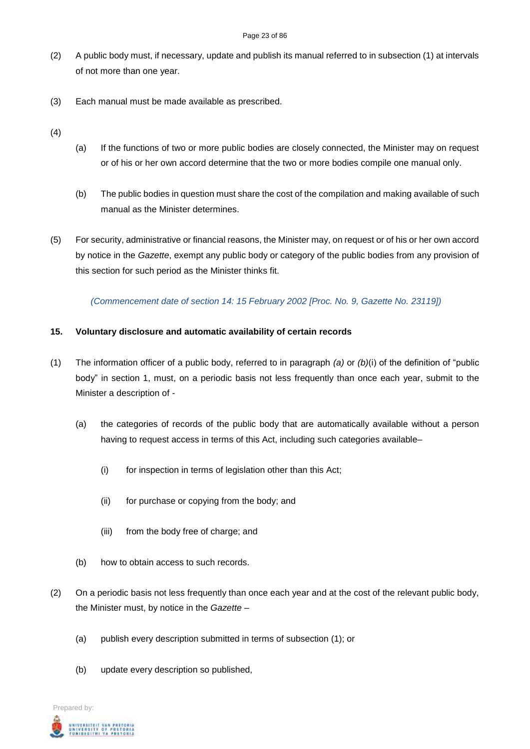#### Page 23 of 86

- (2) A public body must, if necessary, update and publish its manual referred to in subsection (1) at intervals of not more than one year.
- (3) Each manual must be made available as prescribed.
- (4)
- (a) If the functions of two or more public bodies are closely connected, the Minister may on request or of his or her own accord determine that the two or more bodies compile one manual only.
- (b) The public bodies in question must share the cost of the compilation and making available of such manual as the Minister determines.
- (5) For security, administrative or financial reasons, the Minister may, on request or of his or her own accord by notice in the *Gazette*, exempt any public body or category of the public bodies from any provision of this section for such period as the Minister thinks fit.

# *(Commencement date of section 14: 15 February 2002 [Proc. No. 9, Gazette No. 23119])*

# **15. Voluntary disclosure and automatic availability of certain records**

- (1) The information officer of a public body, referred to in paragraph *(a)* or *(b)*(i) of the definition of "public body" in section 1, must, on a periodic basis not less frequently than once each year, submit to the Minister a description of -
	- (a) the categories of records of the public body that are automatically available without a person having to request access in terms of this Act, including such categories available–
		- (i) for inspection in terms of legislation other than this Act;
		- (ii) for purchase or copying from the body; and
		- (iii) from the body free of charge; and
	- (b) how to obtain access to such records.
- (2) On a periodic basis not less frequently than once each year and at the cost of the relevant public body, the Minister must, by notice in the *Gazette –*
	- (a) publish every description submitted in terms of subsection (1); or
	- (b) update every description so published,

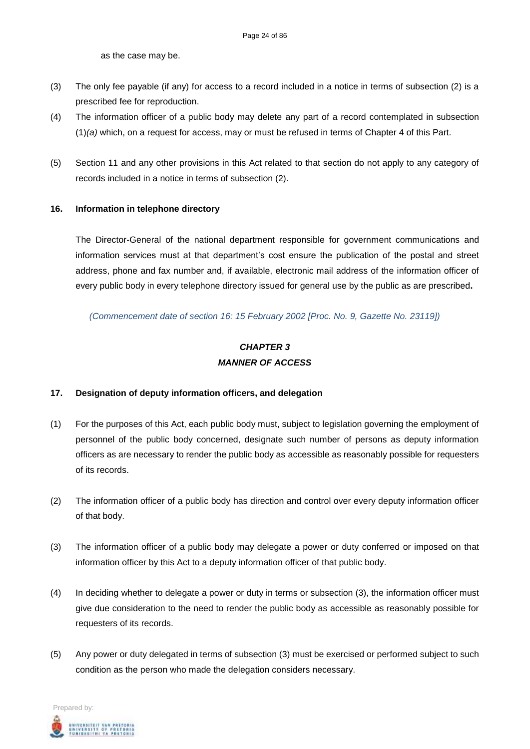as the case may be.

- (3) The only fee payable (if any) for access to a record included in a notice in terms of subsection (2) is a prescribed fee for reproduction.
- (4) The information officer of a public body may delete any part of a record contemplated in subsection (1)*(a)* which, on a request for access, may or must be refused in terms of Chapter 4 of this Part.
- (5) Section 11 and any other provisions in this Act related to that section do not apply to any category of records included in a notice in terms of subsection (2).

#### **16. Information in telephone directory**

The Director-General of the national department responsible for government communications and information services must at that department's cost ensure the publication of the postal and street address, phone and fax number and, if available, electronic mail address of the information officer of every public body in every telephone directory issued for general use by the public as are prescribed**.**

*(Commencement date of section 16: 15 February 2002 [Proc. No. 9, Gazette No. 23119])*

# *CHAPTER 3 MANNER OF ACCESS*

#### **17. Designation of deputy information officers, and delegation**

- (1) For the purposes of this Act, each public body must, subject to legislation governing the employment of personnel of the public body concerned, designate such number of persons as deputy information officers as are necessary to render the public body as accessible as reasonably possible for requesters of its records.
- (2) The information officer of a public body has direction and control over every deputy information officer of that body.
- (3) The information officer of a public body may delegate a power or duty conferred or imposed on that information officer by this Act to a deputy information officer of that public body.
- (4) In deciding whether to delegate a power or duty in terms or subsection (3), the information officer must give due consideration to the need to render the public body as accessible as reasonably possible for requesters of its records.
- (5) Any power or duty delegated in terms of subsection (3) must be exercised or performed subject to such condition as the person who made the delegation considers necessary.

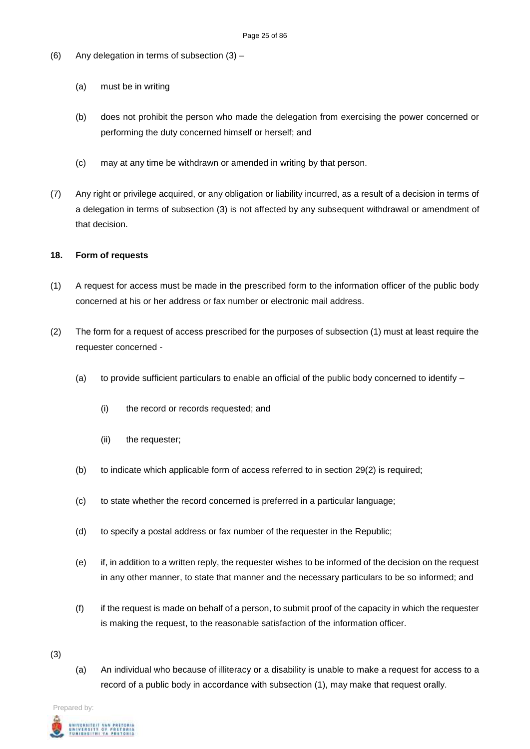- (6) Any delegation in terms of subsection (3)
	- (a) must be in writing
	- (b) does not prohibit the person who made the delegation from exercising the power concerned or performing the duty concerned himself or herself; and
	- (c) may at any time be withdrawn or amended in writing by that person.
- (7) Any right or privilege acquired, or any obligation or liability incurred, as a result of a decision in terms of a delegation in terms of subsection (3) is not affected by any subsequent withdrawal or amendment of that decision.

#### **18. Form of requests**

- (1) A request for access must be made in the prescribed form to the information officer of the public body concerned at his or her address or fax number or electronic mail address.
- (2) The form for a request of access prescribed for the purposes of subsection (1) must at least require the requester concerned -
	- (a) to provide sufficient particulars to enable an official of the public body concerned to identify  $-$ 
		- (i) the record or records requested; and
		- (ii) the requester;
	- (b) to indicate which applicable form of access referred to in section 29(2) is required;
	- (c) to state whether the record concerned is preferred in a particular language;
	- (d) to specify a postal address or fax number of the requester in the Republic;
	- (e) if, in addition to a written reply, the requester wishes to be informed of the decision on the request in any other manner, to state that manner and the necessary particulars to be so informed; and
	- (f) if the request is made on behalf of a person, to submit proof of the capacity in which the requester is making the request, to the reasonable satisfaction of the information officer.
- (3)
- (a) An individual who because of illiteracy or a disability is unable to make a request for access to a record of a public body in accordance with subsection (1), may make that request orally.

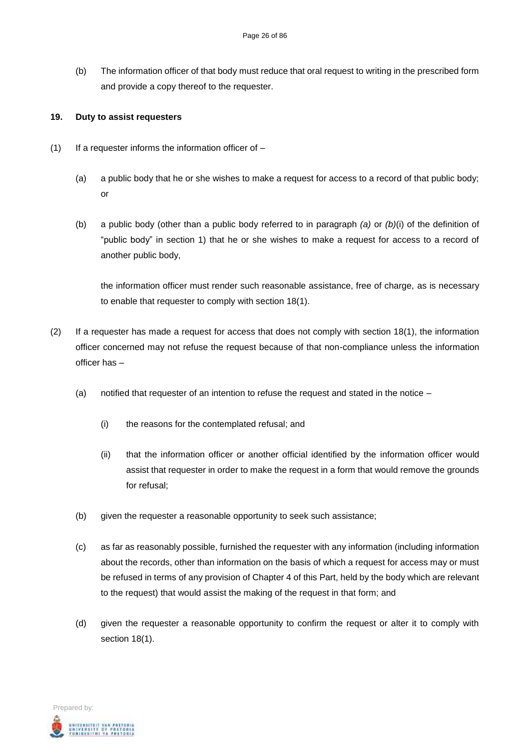(b) The information officer of that body must reduce that oral request to writing in the prescribed form and provide a copy thereof to the requester.

#### **19. Duty to assist requesters**

- $(1)$  If a requester informs the information officer of  $-$ 
	- (a) a public body that he or she wishes to make a request for access to a record of that public body; or
	- (b) a public body (other than a public body referred to in paragraph *(a)* or *(b)*(i) of the definition of "public body" in section 1) that he or she wishes to make a request for access to a record of another public body,

the information officer must render such reasonable assistance, free of charge, as is necessary to enable that requester to comply with section 18(1).

- (2) If a requester has made a request for access that does not comply with section 18(1), the information officer concerned may not refuse the request because of that non-compliance unless the information officer has –
	- (a) notified that requester of an intention to refuse the request and stated in the notice  $-$ 
		- (i) the reasons for the contemplated refusal; and
		- (ii) that the information officer or another official identified by the information officer would assist that requester in order to make the request in a form that would remove the grounds for refusal;
	- (b) given the requester a reasonable opportunity to seek such assistance;
	- (c) as far as reasonably possible, furnished the requester with any information (including information about the records, other than information on the basis of which a request for access may or must be refused in terms of any provision of Chapter 4 of this Part, held by the body which are relevant to the request) that would assist the making of the request in that form; and
	- (d) given the requester a reasonable opportunity to confirm the request or alter it to comply with section 18(1).

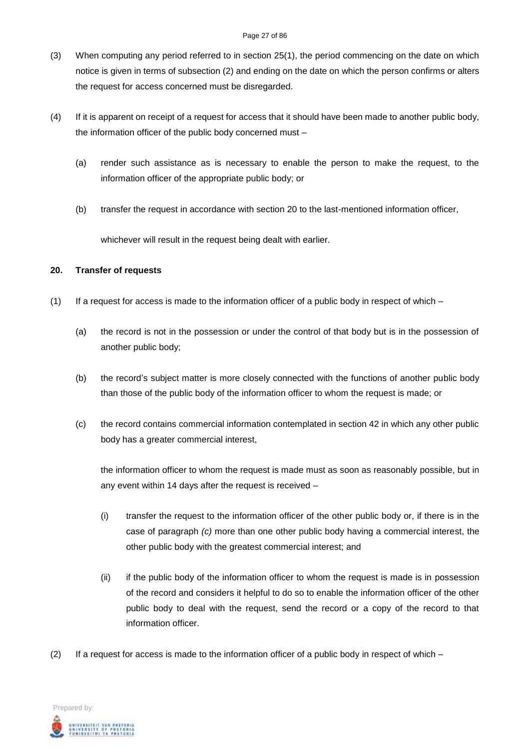#### Page 27 of 86

- (3) When computing any period referred to in section 25(1), the period commencing on the date on which notice is given in terms of subsection (2) and ending on the date on which the person confirms or alters the request for access concerned must be disregarded.
- (4) If it is apparent on receipt of a request for access that it should have been made to another public body, the information officer of the public body concerned must –
	- (a) render such assistance as is necessary to enable the person to make the request, to the information officer of the appropriate public body; or
	- (b) transfer the request in accordance with section 20 to the last-mentioned information officer,

whichever will result in the request being dealt with earlier.

#### **20. Transfer of requests**

- (1) If a request for access is made to the information officer of a public body in respect of which
	- (a) the record is not in the possession or under the control of that body but is in the possession of another public body;
	- (b) the record's subject matter is more closely connected with the functions of another public body than those of the public body of the information officer to whom the request is made; or
	- (c) the record contains commercial information contemplated in section 42 in which any other public body has a greater commercial interest,

the information officer to whom the request is made must as soon as reasonably possible, but in any event within 14 days after the request is received –

- (i) transfer the request to the information officer of the other public body or, if there is in the case of paragraph *(c)* more than one other public body having a commercial interest, the other public body with the greatest commercial interest; and
- (ii) if the public body of the information officer to whom the request is made is in possession of the record and considers it helpful to do so to enable the information officer of the other public body to deal with the request, send the record or a copy of the record to that information officer.
- (2) If a request for access is made to the information officer of a public body in respect of which –

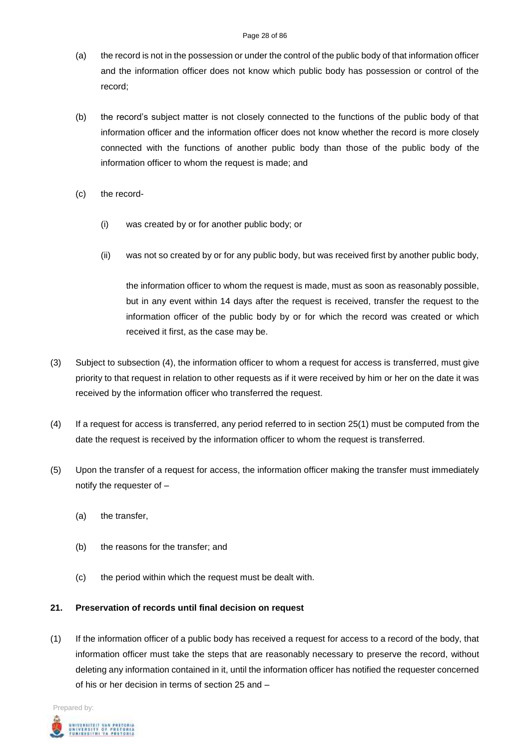- (a) the record is not in the possession or under the control of the public body of that information officer and the information officer does not know which public body has possession or control of the record;
- (b) the record's subject matter is not closely connected to the functions of the public body of that information officer and the information officer does not know whether the record is more closely connected with the functions of another public body than those of the public body of the information officer to whom the request is made; and
- (c) the record-
	- (i) was created by or for another public body; or
	- (ii) was not so created by or for any public body, but was received first by another public body,

the information officer to whom the request is made, must as soon as reasonably possible, but in any event within 14 days after the request is received, transfer the request to the information officer of the public body by or for which the record was created or which received it first, as the case may be.

- (3) Subject to subsection (4), the information officer to whom a request for access is transferred, must give priority to that request in relation to other requests as if it were received by him or her on the date it was received by the information officer who transferred the request.
- (4) If a request for access is transferred, any period referred to in section 25(1) must be computed from the date the request is received by the information officer to whom the request is transferred.
- (5) Upon the transfer of a request for access, the information officer making the transfer must immediately notify the requester of –
	- (a) the transfer,
	- (b) the reasons for the transfer; and
	- (c) the period within which the request must be dealt with.

#### **21. Preservation of records until final decision on request**

(1) If the information officer of a public body has received a request for access to a record of the body, that information officer must take the steps that are reasonably necessary to preserve the record, without deleting any information contained in it, until the information officer has notified the requester concerned of his or her decision in terms of section 25 and –

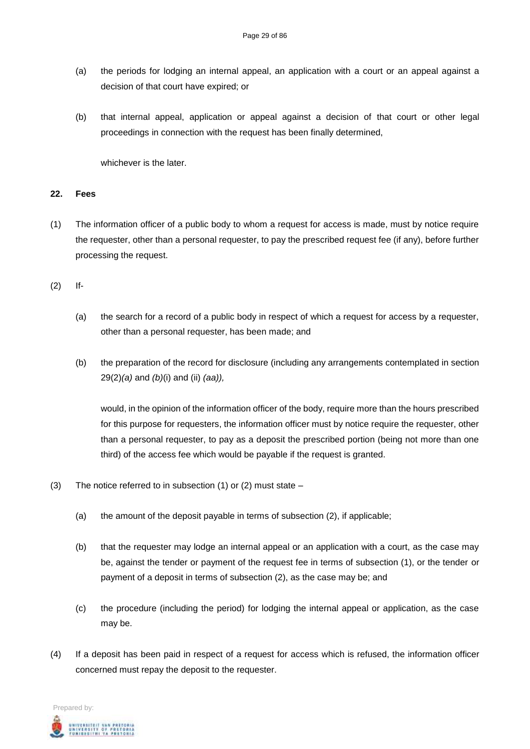- (a) the periods for lodging an internal appeal, an application with a court or an appeal against a decision of that court have expired; or
- (b) that internal appeal, application or appeal against a decision of that court or other legal proceedings in connection with the request has been finally determined,

whichever is the later

#### **22. Fees**

(1) The information officer of a public body to whom a request for access is made, must by notice require the requester, other than a personal requester, to pay the prescribed request fee (if any), before further processing the request.

(2) If-

- (a) the search for a record of a public body in respect of which a request for access by a requester, other than a personal requester, has been made; and
- (b) the preparation of the record for disclosure (including any arrangements contemplated in section 29(2)*(a)* and *(b)*(i) and (ii) *(aa)),*

would, in the opinion of the information officer of the body, require more than the hours prescribed for this purpose for requesters, the information officer must by notice require the requester, other than a personal requester, to pay as a deposit the prescribed portion (being not more than one third) of the access fee which would be payable if the request is granted.

- (3) The notice referred to in subsection (1) or (2) must state
	- (a) the amount of the deposit payable in terms of subsection (2), if applicable;
	- (b) that the requester may lodge an internal appeal or an application with a court, as the case may be, against the tender or payment of the request fee in terms of subsection (1), or the tender or payment of a deposit in terms of subsection (2), as the case may be; and
	- (c) the procedure (including the period) for lodging the internal appeal or application, as the case may be.
- (4) If a deposit has been paid in respect of a request for access which is refused, the information officer concerned must repay the deposit to the requester.

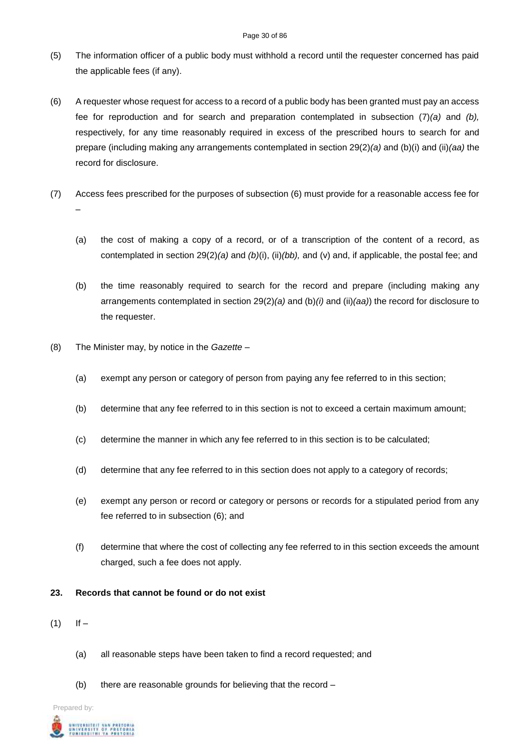#### Page 30 of 86

- (5) The information officer of a public body must withhold a record until the requester concerned has paid the applicable fees (if any).
- (6) A requester whose request for access to a record of a public body has been granted must pay an access fee for reproduction and for search and preparation contemplated in subsection (7)*(a)* and *(b),* respectively, for any time reasonably required in excess of the prescribed hours to search for and prepare (including making any arrangements contemplated in section 29(2)*(a)* and (b)(i) and (ii)*(aa)* the record for disclosure.
- (7) Access fees prescribed for the purposes of subsection (6) must provide for a reasonable access fee for –
	- (a) the cost of making a copy of a record, or of a transcription of the content of a record, as contemplated in section 29(2)*(a)* and *(b)*(i), (ii)*(bb),* and (v) and, if applicable, the postal fee; and
	- (b) the time reasonably required to search for the record and prepare (including making any arrangements contemplated in section 29(2)*(a)* and (b)*(i)* and (ii)*(aa)*) the record for disclosure to the requester.
- (8) The Minister may, by notice in the *Gazette –*
	- (a) exempt any person or category of person from paying any fee referred to in this section;
	- (b) determine that any fee referred to in this section is not to exceed a certain maximum amount;
	- (c) determine the manner in which any fee referred to in this section is to be calculated;
	- (d) determine that any fee referred to in this section does not apply to a category of records;
	- (e) exempt any person or record or category or persons or records for a stipulated period from any fee referred to in subsection (6); and
	- (f) determine that where the cost of collecting any fee referred to in this section exceeds the amount charged, such a fee does not apply.

# **23. Records that cannot be found or do not exist**

- $(1)$  If  $-$ 
	- (a) all reasonable steps have been taken to find a record requested; and
	- (b) there are reasonable grounds for believing that the record –

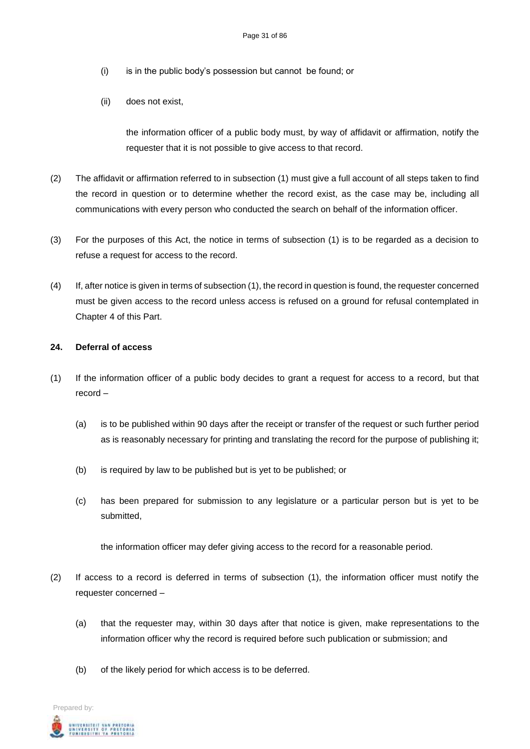- (i) is in the public body's possession but cannot be found; or
- (ii) does not exist,

the information officer of a public body must, by way of affidavit or affirmation, notify the requester that it is not possible to give access to that record.

- (2) The affidavit or affirmation referred to in subsection (1) must give a full account of all steps taken to find the record in question or to determine whether the record exist, as the case may be, including all communications with every person who conducted the search on behalf of the information officer.
- (3) For the purposes of this Act, the notice in terms of subsection (1) is to be regarded as a decision to refuse a request for access to the record.
- (4) If, after notice is given in terms of subsection (1), the record in question is found, the requester concerned must be given access to the record unless access is refused on a ground for refusal contemplated in Chapter 4 of this Part.

#### **24. Deferral of access**

- (1) If the information officer of a public body decides to grant a request for access to a record, but that record –
	- (a) is to be published within 90 days after the receipt or transfer of the request or such further period as is reasonably necessary for printing and translating the record for the purpose of publishing it;
	- (b) is required by law to be published but is yet to be published; or
	- (c) has been prepared for submission to any legislature or a particular person but is yet to be submitted,

the information officer may defer giving access to the record for a reasonable period.

- (2) If access to a record is deferred in terms of subsection (1), the information officer must notify the requester concerned –
	- (a) that the requester may, within 30 days after that notice is given, make representations to the information officer why the record is required before such publication or submission; and
	- (b) of the likely period for which access is to be deferred.

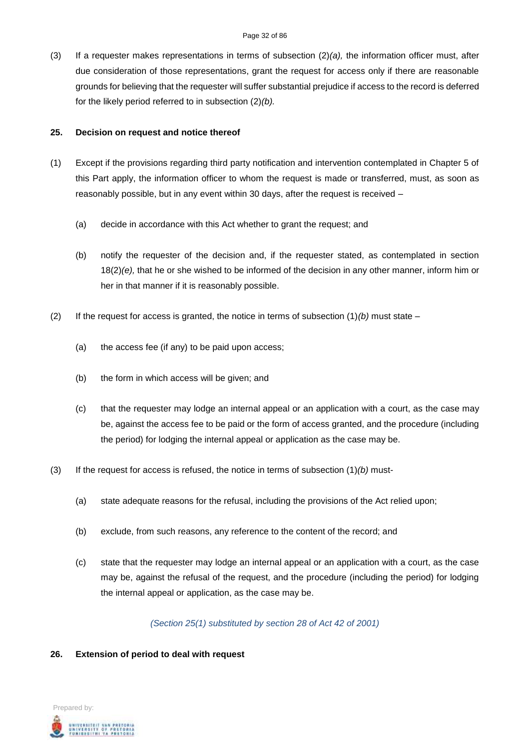(3) If a requester makes representations in terms of subsection (2)*(a),* the information officer must, after due consideration of those representations, grant the request for access only if there are reasonable grounds for believing that the requester will suffer substantial prejudice if access to the record is deferred for the likely period referred to in subsection (2)*(b).*

#### **25. Decision on request and notice thereof**

- (1) Except if the provisions regarding third party notification and intervention contemplated in Chapter 5 of this Part apply, the information officer to whom the request is made or transferred, must, as soon as reasonably possible, but in any event within 30 days, after the request is received –
	- (a) decide in accordance with this Act whether to grant the request; and
	- (b) notify the requester of the decision and, if the requester stated, as contemplated in section 18(2)*(e),* that he or she wished to be informed of the decision in any other manner, inform him or her in that manner if it is reasonably possible.
- (2) If the request for access is granted, the notice in terms of subsection  $(1)(b)$  must state
	- (a) the access fee (if any) to be paid upon access;
	- (b) the form in which access will be given; and
	- (c) that the requester may lodge an internal appeal or an application with a court, as the case may be, against the access fee to be paid or the form of access granted, and the procedure (including the period) for lodging the internal appeal or application as the case may be.
- (3) If the request for access is refused, the notice in terms of subsection (1)*(b)* must-
	- (a) state adequate reasons for the refusal, including the provisions of the Act relied upon;
	- (b) exclude, from such reasons, any reference to the content of the record; and
	- (c) state that the requester may lodge an internal appeal or an application with a court, as the case may be, against the refusal of the request, and the procedure (including the period) for lodging the internal appeal or application, as the case may be.

*(Section 25(1) substituted by section 28 of Act 42 of 2001)*

#### **26. Extension of period to deal with request**

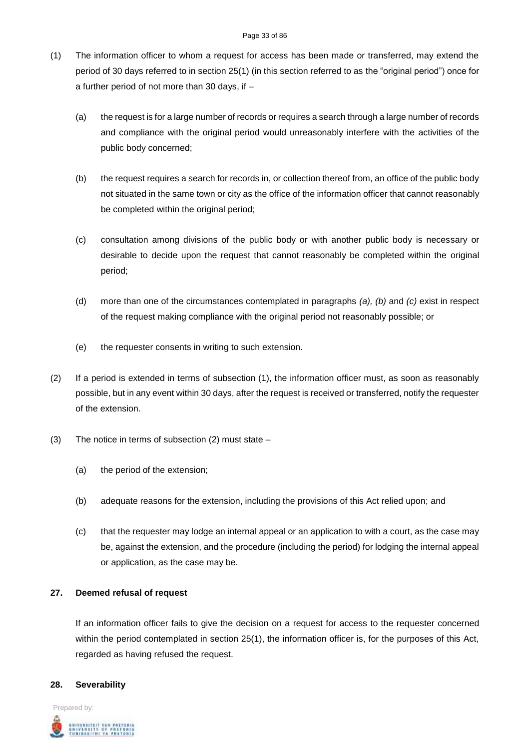- (1) The information officer to whom a request for access has been made or transferred, may extend the period of 30 days referred to in section 25(1) (in this section referred to as the "original period") once for a further period of not more than 30 days, if –
	- (a) the request is for a large number of records or requires a search through a large number of records and compliance with the original period would unreasonably interfere with the activities of the public body concerned;
	- (b) the request requires a search for records in, or collection thereof from, an office of the public body not situated in the same town or city as the office of the information officer that cannot reasonably be completed within the original period;
	- (c) consultation among divisions of the public body or with another public body is necessary or desirable to decide upon the request that cannot reasonably be completed within the original period;
	- (d) more than one of the circumstances contemplated in paragraphs *(a), (b)* and *(c)* exist in respect of the request making compliance with the original period not reasonably possible; or
	- (e) the requester consents in writing to such extension.
- (2) If a period is extended in terms of subsection (1), the information officer must, as soon as reasonably possible, but in any event within 30 days, after the request is received or transferred, notify the requester of the extension.
- (3) The notice in terms of subsection (2) must state
	- (a) the period of the extension;
	- (b) adequate reasons for the extension, including the provisions of this Act relied upon; and
	- (c) that the requester may lodge an internal appeal or an application to with a court, as the case may be, against the extension, and the procedure (including the period) for lodging the internal appeal or application, as the case may be.

# **27. Deemed refusal of request**

If an information officer fails to give the decision on a request for access to the requester concerned within the period contemplated in section 25(1), the information officer is, for the purposes of this Act, regarded as having refused the request.

#### **28. Severability**

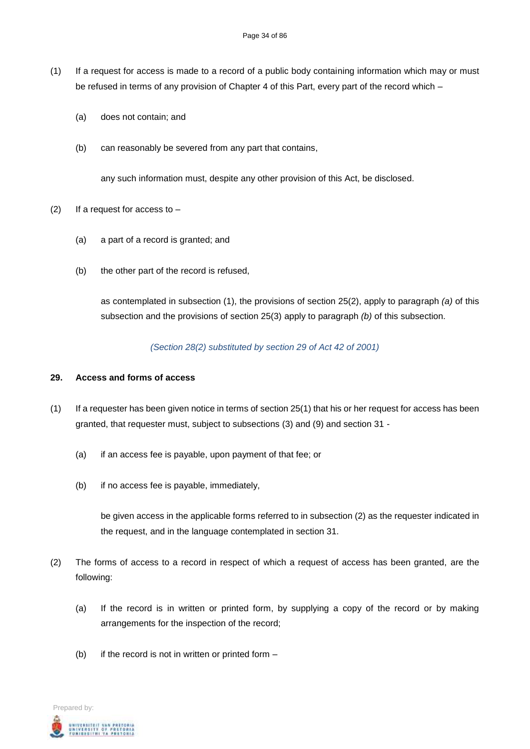- (1) If a request for access is made to a record of a public body containing information which may or must be refused in terms of any provision of Chapter 4 of this Part, every part of the record which –
	- (a) does not contain; and
	- (b) can reasonably be severed from any part that contains,

any such information must, despite any other provision of this Act, be disclosed.

- (2) If a request for access to  $-$ 
	- (a) a part of a record is granted; and
	- (b) the other part of the record is refused,

as contemplated in subsection (1), the provisions of section 25(2), apply to paragraph *(a)* of this subsection and the provisions of section 25(3) apply to paragraph *(b)* of this subsection.

*(Section 28(2) substituted by section 29 of Act 42 of 2001)*

#### **29. Access and forms of access**

- (1) If a requester has been given notice in terms of section 25(1) that his or her request for access has been granted, that requester must, subject to subsections (3) and (9) and section 31 -
	- (a) if an access fee is payable, upon payment of that fee; or
	- (b) if no access fee is payable, immediately,

be given access in the applicable forms referred to in subsection (2) as the requester indicated in the request, and in the language contemplated in section 31.

- (2) The forms of access to a record in respect of which a request of access has been granted, are the following:
	- (a) If the record is in written or printed form, by supplying a copy of the record or by making arrangements for the inspection of the record;
	- (b) if the record is not in written or printed form  $-$

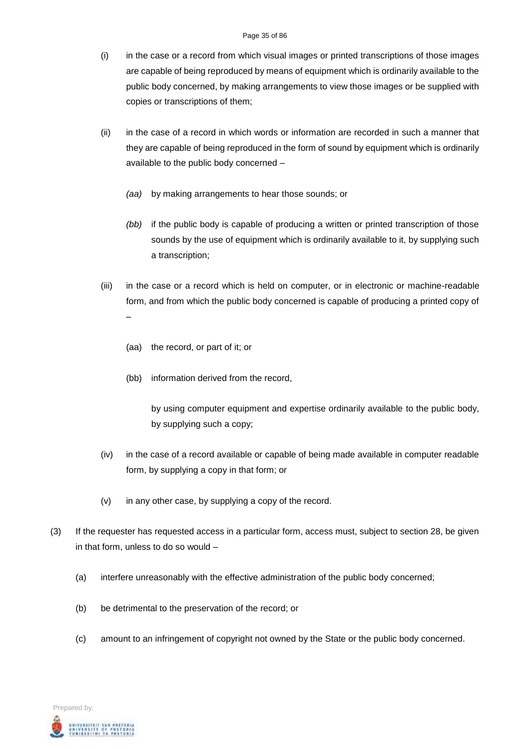- (i) in the case or a record from which visual images or printed transcriptions of those images are capable of being reproduced by means of equipment which is ordinarily available to the public body concerned, by making arrangements to view those images or be supplied with copies or transcriptions of them;
- (ii) in the case of a record in which words or information are recorded in such a manner that they are capable of being reproduced in the form of sound by equipment which is ordinarily available to the public body concerned –
	- *(aa)* by making arrangements to hear those sounds; or
	- *(bb)* if the public body is capable of producing a written or printed transcription of those sounds by the use of equipment which is ordinarily available to it, by supplying such a transcription;
- (iii) in the case or a record which is held on computer, or in electronic or machine-readable form, and from which the public body concerned is capable of producing a printed copy of  $\mathcal{L}_{\mathcal{A}}$ 
	- (aa) the record, or part of it; or
	- (bb) information derived from the record,

by using computer equipment and expertise ordinarily available to the public body, by supplying such a copy;

- (iv) in the case of a record available or capable of being made available in computer readable form, by supplying a copy in that form; or
- (v) in any other case, by supplying a copy of the record.
- (3) If the requester has requested access in a particular form, access must, subject to section 28, be given in that form, unless to do so would –
	- (a) interfere unreasonably with the effective administration of the public body concerned;
	- (b) be detrimental to the preservation of the record; or
	- (c) amount to an infringement of copyright not owned by the State or the public body concerned.

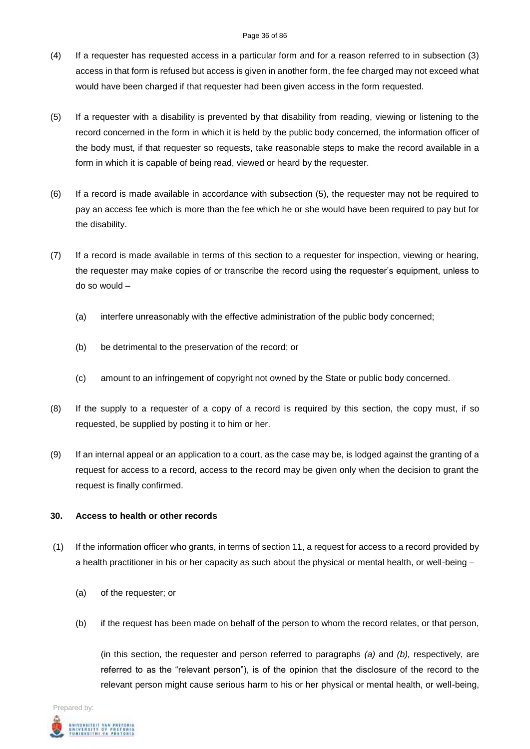#### Page 36 of 86

- (4) If a requester has requested access in a particular form and for a reason referred to in subsection (3) access in that form is refused but access is given in another form, the fee charged may not exceed what would have been charged if that requester had been given access in the form requested.
- (5) If a requester with a disability is prevented by that disability from reading, viewing or listening to the record concerned in the form in which it is held by the public body concerned, the information officer of the body must, if that requester so requests, take reasonable steps to make the record available in a form in which it is capable of being read, viewed or heard by the requester.
- (6) If a record is made available in accordance with subsection (5), the requester may not be required to pay an access fee which is more than the fee which he or she would have been required to pay but for the disability.
- (7) If a record is made available in terms of this section to a requester for inspection, viewing or hearing, the requester may make copies of or transcribe the record using the requester's equipment, unless to do so would –
	- (a) interfere unreasonably with the effective administration of the public body concerned;
	- (b) be detrimental to the preservation of the record; or
	- (c) amount to an infringement of copyright not owned by the State or public body concerned.
- (8) If the supply to a requester of a copy of a record is required by this section, the copy must, if so requested, be supplied by posting it to him or her.
- (9) If an internal appeal or an application to a court, as the case may be, is lodged against the granting of a request for access to a record, access to the record may be given only when the decision to grant the request is finally confirmed.

#### **30. Access to health or other records**

- (1) If the information officer who grants, in terms of section 11, a request for access to a record provided by a health practitioner in his or her capacity as such about the physical or mental health, or well-being –
	- (a) of the requester; or
	- (b) if the request has been made on behalf of the person to whom the record relates, or that person,

(in this section, the requester and person referred to paragraphs *(a)* and *(b),* respectively, are referred to as the "relevant person"), is of the opinion that the disclosure of the record to the relevant person might cause serious harm to his or her physical or mental health, or well-being,

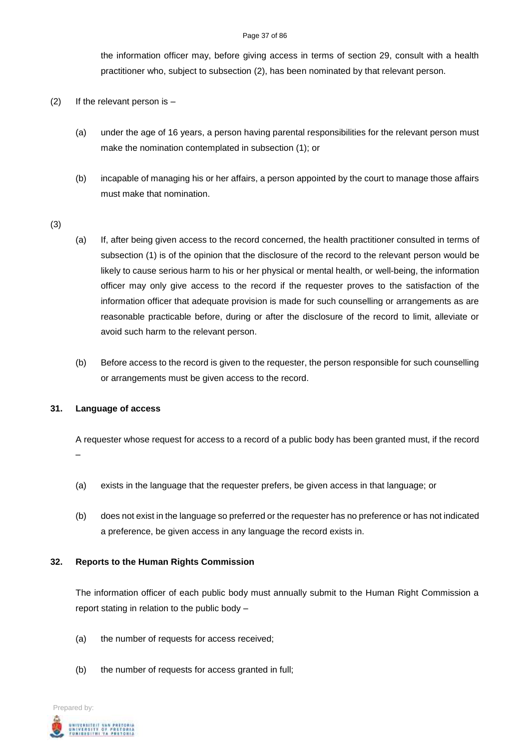#### Page 37 of 86

the information officer may, before giving access in terms of section 29, consult with a health practitioner who, subject to subsection (2), has been nominated by that relevant person.

- (2) If the relevant person is  $-$ 
	- (a) under the age of 16 years, a person having parental responsibilities for the relevant person must make the nomination contemplated in subsection (1); or
	- (b) incapable of managing his or her affairs, a person appointed by the court to manage those affairs must make that nomination.
- (3)
- (a) If, after being given access to the record concerned, the health practitioner consulted in terms of subsection (1) is of the opinion that the disclosure of the record to the relevant person would be likely to cause serious harm to his or her physical or mental health, or well-being, the information officer may only give access to the record if the requester proves to the satisfaction of the information officer that adequate provision is made for such counselling or arrangements as are reasonable practicable before, during or after the disclosure of the record to limit, alleviate or avoid such harm to the relevant person.
- (b) Before access to the record is given to the requester, the person responsible for such counselling or arrangements must be given access to the record.

### **31. Language of access**

A requester whose request for access to a record of a public body has been granted must, if the record –

- (a) exists in the language that the requester prefers, be given access in that language; or
- (b) does not exist in the language so preferred or the requester has no preference or has not indicated a preference, be given access in any language the record exists in.

### **32. Reports to the Human Rights Commission**

The information officer of each public body must annually submit to the Human Right Commission a report stating in relation to the public body –

- (a) the number of requests for access received;
- (b) the number of requests for access granted in full;

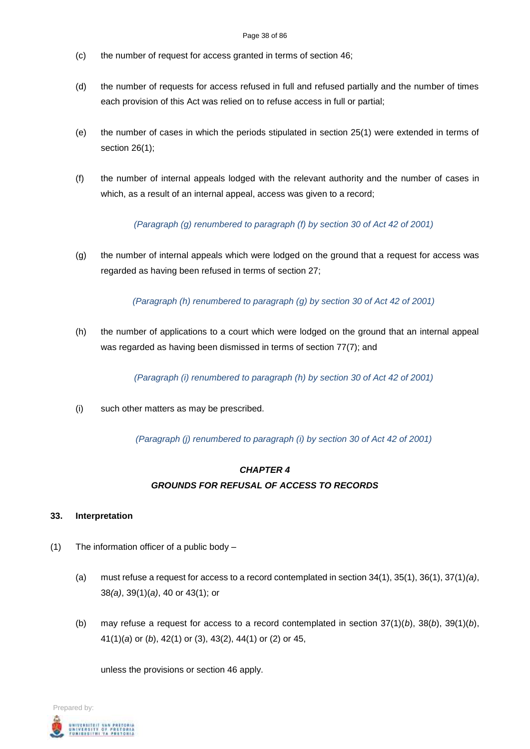#### Page 38 of 86

- (c) the number of request for access granted in terms of section 46;
- (d) the number of requests for access refused in full and refused partially and the number of times each provision of this Act was relied on to refuse access in full or partial;
- (e) the number of cases in which the periods stipulated in section 25(1) were extended in terms of section 26(1);
- (f) the number of internal appeals lodged with the relevant authority and the number of cases in which, as a result of an internal appeal, access was given to a record;

*(Paragraph (g) renumbered to paragraph (f) by section 30 of Act 42 of 2001)*

(g) the number of internal appeals which were lodged on the ground that a request for access was regarded as having been refused in terms of section 27;

*(Paragraph (h) renumbered to paragraph (g) by section 30 of Act 42 of 2001)*

(h) the number of applications to a court which were lodged on the ground that an internal appeal was regarded as having been dismissed in terms of section 77(7); and

*(Paragraph (i) renumbered to paragraph (h) by section 30 of Act 42 of 2001)*

(i) such other matters as may be prescribed.

*(Paragraph (j) renumbered to paragraph (i) by section 30 of Act 42 of 2001)*

# *CHAPTER 4 GROUNDS FOR REFUSAL OF ACCESS TO RECORDS*

### **33. Interpretation**

- (1) The information officer of a public body
	- (a) must refuse a request for access to a record contemplated in section 34(1), 35(1), 36(1), 37(1)*(a)*, 38*(a)*, 39(1)(*a)*, 40 or 43(1); or
	- (b) may refuse a request for access to a record contemplated in section 37(1)(*b*), 38(*b*), 39(1)(*b*), 41(1)(*a*) or (*b*), 42(1) or (3), 43(2), 44(1) or (2) or 45,

unless the provisions or section 46 apply.

Prepared by: .<br>Niversity of Pretoria<br>Unidesithi ya Pretoria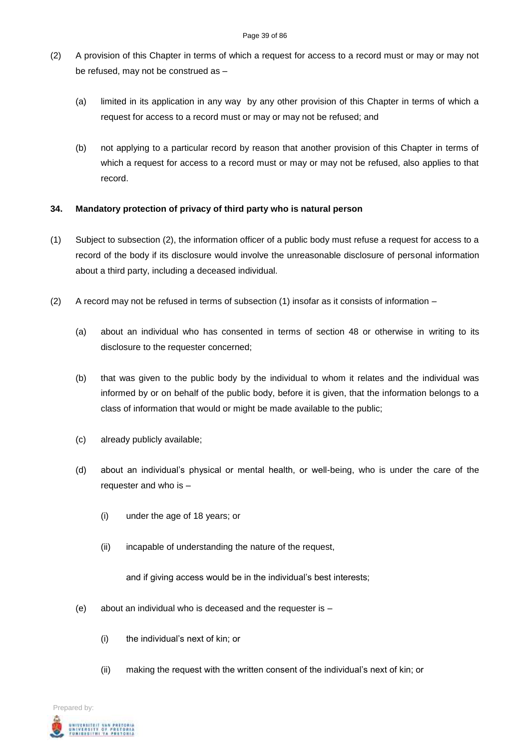- (2) A provision of this Chapter in terms of which a request for access to a record must or may or may not be refused, may not be construed as –
	- (a) limited in its application in any way by any other provision of this Chapter in terms of which a request for access to a record must or may or may not be refused; and
	- (b) not applying to a particular record by reason that another provision of this Chapter in terms of which a request for access to a record must or may or may not be refused, also applies to that record.

# **34. Mandatory protection of privacy of third party who is natural person**

- (1) Subject to subsection (2), the information officer of a public body must refuse a request for access to a record of the body if its disclosure would involve the unreasonable disclosure of personal information about a third party, including a deceased individual.
- (2) A record may not be refused in terms of subsection (1) insofar as it consists of information
	- (a) about an individual who has consented in terms of section 48 or otherwise in writing to its disclosure to the requester concerned;
	- (b) that was given to the public body by the individual to whom it relates and the individual was informed by or on behalf of the public body, before it is given, that the information belongs to a class of information that would or might be made available to the public;
	- (c) already publicly available;
	- (d) about an individual's physical or mental health, or well-being, who is under the care of the requester and who is –
		- (i) under the age of 18 years; or
		- (ii) incapable of understanding the nature of the request,

and if giving access would be in the individual's best interests;

- (e) about an individual who is deceased and the requester is
	- (i) the individual's next of kin; or
	- (ii) making the request with the written consent of the individual's next of kin; or

Prepared by: .<br>Niversity of Pretoria<br>Unibesithi ya Pretoria<br>Unibesithi ya Pretoria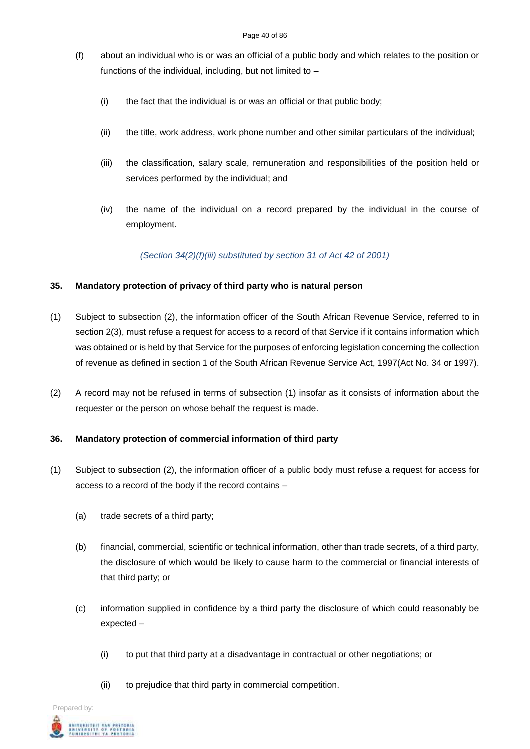- (f) about an individual who is or was an official of a public body and which relates to the position or functions of the individual, including, but not limited to –
	- (i) the fact that the individual is or was an official or that public body;
	- (ii) the title, work address, work phone number and other similar particulars of the individual;
	- (iii) the classification, salary scale, remuneration and responsibilities of the position held or services performed by the individual; and
	- (iv) the name of the individual on a record prepared by the individual in the course of employment.

*(Section 34(2)(f)(iii) substituted by section 31 of Act 42 of 2001)*

## **35. Mandatory protection of privacy of third party who is natural person**

- (1) Subject to subsection (2), the information officer of the South African Revenue Service, referred to in section 2(3), must refuse a request for access to a record of that Service if it contains information which was obtained or is held by that Service for the purposes of enforcing legislation concerning the collection of revenue as defined in section 1 of the South African Revenue Service Act, 1997(Act No. 34 or 1997).
- (2) A record may not be refused in terms of subsection (1) insofar as it consists of information about the requester or the person on whose behalf the request is made.

### **36. Mandatory protection of commercial information of third party**

- (1) Subject to subsection (2), the information officer of a public body must refuse a request for access for access to a record of the body if the record contains –
	- (a) trade secrets of a third party;
	- (b) financial, commercial, scientific or technical information, other than trade secrets, of a third party, the disclosure of which would be likely to cause harm to the commercial or financial interests of that third party; or
	- (c) information supplied in confidence by a third party the disclosure of which could reasonably be expected –
		- (i) to put that third party at a disadvantage in contractual or other negotiations; or
		- (ii) to prejudice that third party in commercial competition.

Prepared by: .<br>Niversity of Pretoria<br>Unibesithi ya Pretoria<br>Unibesithi ya Pretoria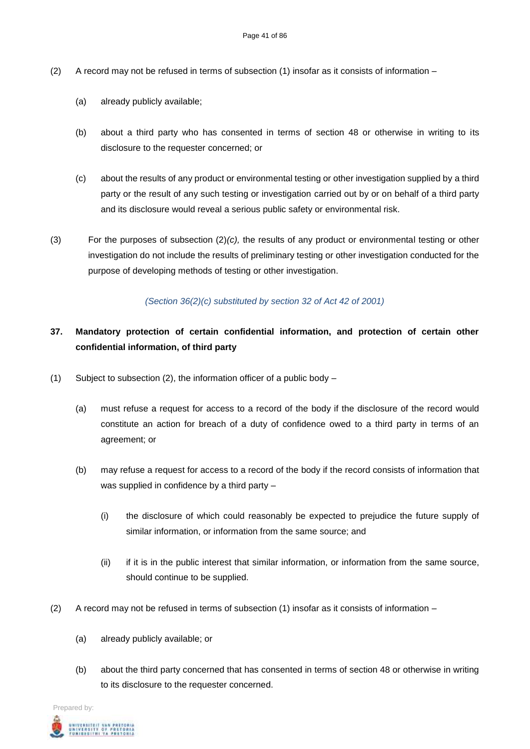- (2) A record may not be refused in terms of subsection (1) insofar as it consists of information
	- (a) already publicly available;
	- (b) about a third party who has consented in terms of section 48 or otherwise in writing to its disclosure to the requester concerned; or
	- (c) about the results of any product or environmental testing or other investigation supplied by a third party or the result of any such testing or investigation carried out by or on behalf of a third party and its disclosure would reveal a serious public safety or environmental risk.
- (3) For the purposes of subsection (2)*(c),* the results of any product or environmental testing or other investigation do not include the results of preliminary testing or other investigation conducted for the purpose of developing methods of testing or other investigation.

## *(Section 36(2)(c) substituted by section 32 of Act 42 of 2001)*

# **37. Mandatory protection of certain confidential information, and protection of certain other confidential information, of third party**

- (1) Subject to subsection (2), the information officer of a public body  $-$ 
	- (a) must refuse a request for access to a record of the body if the disclosure of the record would constitute an action for breach of a duty of confidence owed to a third party in terms of an agreement; or
	- (b) may refuse a request for access to a record of the body if the record consists of information that was supplied in confidence by a third party –
		- (i) the disclosure of which could reasonably be expected to prejudice the future supply of similar information, or information from the same source; and
		- (ii) if it is in the public interest that similar information, or information from the same source, should continue to be supplied.
- (2) A record may not be refused in terms of subsection (1) insofar as it consists of information
	- (a) already publicly available; or
	- (b) about the third party concerned that has consented in terms of section 48 or otherwise in writing to its disclosure to the requester concerned.

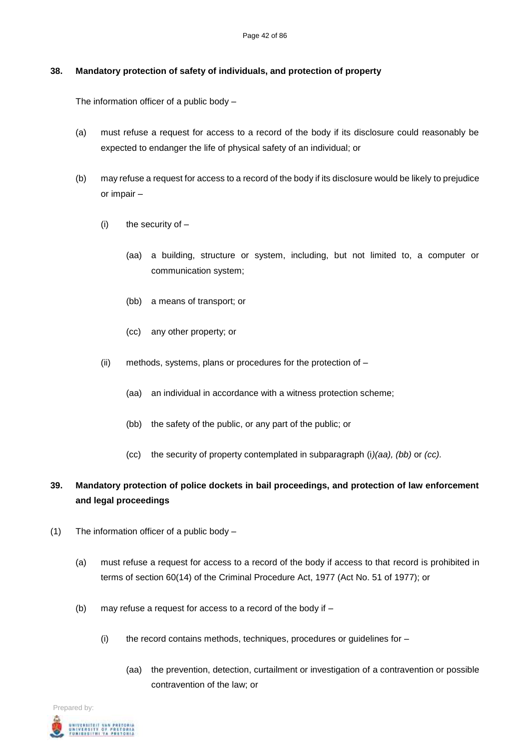## **38. Mandatory protection of safety of individuals, and protection of property**

The information officer of a public body –

- (a) must refuse a request for access to a record of the body if its disclosure could reasonably be expected to endanger the life of physical safety of an individual; or
- (b) may refuse a request for access to a record of the body if its disclosure would be likely to prejudice or impair –
	- $(i)$  the security of  $-$ 
		- (aa) a building, structure or system, including, but not limited to, a computer or communication system;
		- (bb) a means of transport; or
		- (cc) any other property; or
	- (ii) methods, systems, plans or procedures for the protection of
		- (aa) an individual in accordance with a witness protection scheme;
		- (bb) the safety of the public, or any part of the public; or
		- (cc) the security of property contemplated in subparagraph (i*)(aa), (bb)* or *(cc).*

# **39. Mandatory protection of police dockets in bail proceedings, and protection of law enforcement and legal proceedings**

- (1) The information officer of a public body
	- (a) must refuse a request for access to a record of the body if access to that record is prohibited in terms of section 60(14) of the Criminal Procedure Act, 1977 (Act No. 51 of 1977); or
	- (b) may refuse a request for access to a record of the body if  $-$ 
		- (i) the record contains methods, techniques, procedures or guidelines for
			- (aa) the prevention, detection, curtailment or investigation of a contravention or possible contravention of the law; or

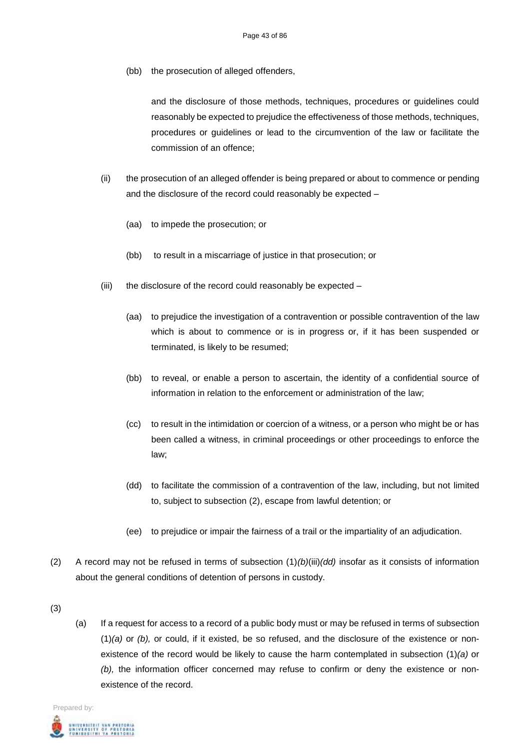(bb) the prosecution of alleged offenders,

and the disclosure of those methods, techniques, procedures or guidelines could reasonably be expected to prejudice the effectiveness of those methods, techniques, procedures or guidelines or lead to the circumvention of the law or facilitate the commission of an offence;

- (ii) the prosecution of an alleged offender is being prepared or about to commence or pending and the disclosure of the record could reasonably be expected –
	- (aa) to impede the prosecution; or
	- (bb) to result in a miscarriage of justice in that prosecution; or
- (iii) the disclosure of the record could reasonably be expected
	- (aa) to prejudice the investigation of a contravention or possible contravention of the law which is about to commence or is in progress or, if it has been suspended or terminated, is likely to be resumed;
	- (bb) to reveal, or enable a person to ascertain, the identity of a confidential source of information in relation to the enforcement or administration of the law;
	- (cc) to result in the intimidation or coercion of a witness, or a person who might be or has been called a witness, in criminal proceedings or other proceedings to enforce the law;
	- (dd) to facilitate the commission of a contravention of the law, including, but not limited to, subject to subsection (2), escape from lawful detention; or
	- (ee) to prejudice or impair the fairness of a trail or the impartiality of an adjudication.
- (2) A record may not be refused in terms of subsection (1)*(b)*(iii)*(dd)* insofar as it consists of information about the general conditions of detention of persons in custody.
- (3)
- (a) If a request for access to a record of a public body must or may be refused in terms of subsection (1)*(a)* or *(b),* or could, if it existed, be so refused, and the disclosure of the existence or nonexistence of the record would be likely to cause the harm contemplated in subsection (1)*(a)* or *(b),* the information officer concerned may refuse to confirm or deny the existence or nonexistence of the record.

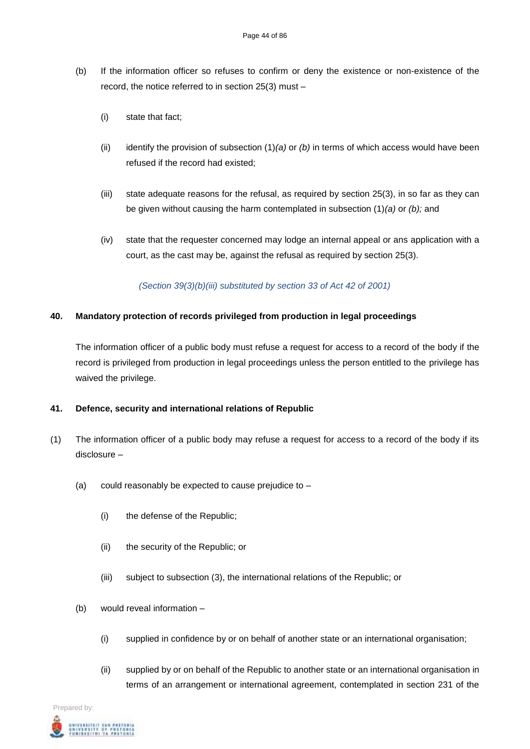- (b) If the information officer so refuses to confirm or deny the existence or non-existence of the record, the notice referred to in section 25(3) must –
	- (i) state that fact;
	- (ii) identify the provision of subsection (1)*(a)* or *(b)* in terms of which access would have been refused if the record had existed;
	- (iii) state adequate reasons for the refusal, as required by section 25(3), in so far as they can be given without causing the harm contemplated in subsection (1)*(a)* or *(b);* and
	- (iv) state that the requester concerned may lodge an internal appeal or ans application with a court, as the cast may be, against the refusal as required by section 25(3).

*(Section 39(3)(b)(iii) substituted by section 33 of Act 42 of 2001)*

## **40. Mandatory protection of records privileged from production in legal proceedings**

The information officer of a public body must refuse a request for access to a record of the body if the record is privileged from production in legal proceedings unless the person entitled to the privilege has waived the privilege.

### **41. Defence, security and international relations of Republic**

- (1) The information officer of a public body may refuse a request for access to a record of the body if its disclosure –
	- (a) could reasonably be expected to cause prejudice to  $-$ 
		- (i) the defense of the Republic;
		- (ii) the security of the Republic; or
		- (iii) subject to subsection (3), the international relations of the Republic; or
	- (b) would reveal information
		- (i) supplied in confidence by or on behalf of another state or an international organisation;
		- (ii) supplied by or on behalf of the Republic to another state or an international organisation in terms of an arrangement or international agreement, contemplated in section 231 of the

Prepared by:

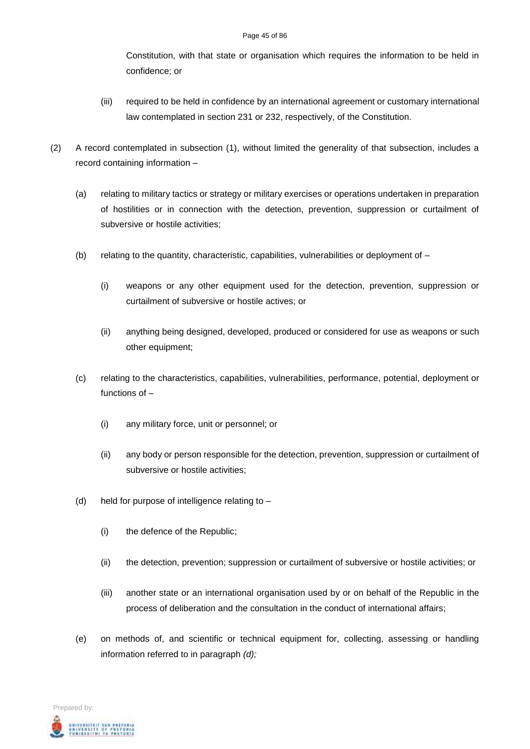Constitution, with that state or organisation which requires the information to be held in confidence; or

- (iii) required to be held in confidence by an international agreement or customary international law contemplated in section 231 or 232, respectively, of the Constitution.
- (2) A record contemplated in subsection (1), without limited the generality of that subsection, includes a record containing information –
	- (a) relating to military tactics or strategy or military exercises or operations undertaken in preparation of hostilities or in connection with the detection, prevention, suppression or curtailment of subversive or hostile activities;
	- (b) relating to the quantity, characteristic, capabilities, vulnerabilities or deployment of  $-$ 
		- (i) weapons or any other equipment used for the detection, prevention, suppression or curtailment of subversive or hostile actives; or
		- (ii) anything being designed, developed, produced or considered for use as weapons or such other equipment;
	- (c) relating to the characteristics, capabilities, vulnerabilities, performance, potential, deployment or functions of –
		- (i) any military force, unit or personnel; or
		- (ii) any body or person responsible for the detection, prevention, suppression or curtailment of subversive or hostile activities;
	- (d) held for purpose of intelligence relating to
		- (i) the defence of the Republic;
		- (ii) the detection, prevention; suppression or curtailment of subversive or hostile activities; or
		- (iii) another state or an international organisation used by or on behalf of the Republic in the process of deliberation and the consultation in the conduct of international affairs;
	- (e) on methods of, and scientific or technical equipment for, collecting, assessing or handling information referred to in paragraph *(d);*

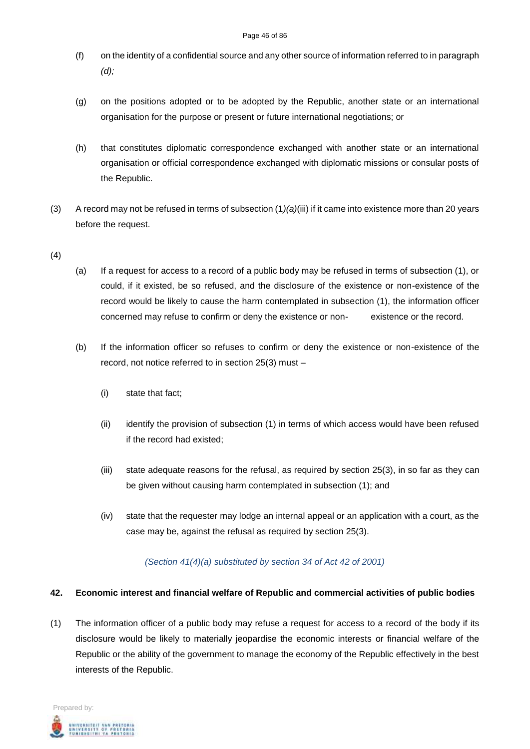- (f) on the identity of a confidential source and any other source of information referred to in paragraph *(d);*
- (g) on the positions adopted or to be adopted by the Republic, another state or an international organisation for the purpose or present or future international negotiations; or
- (h) that constitutes diplomatic correspondence exchanged with another state or an international organisation or official correspondence exchanged with diplomatic missions or consular posts of the Republic.
- (3) A record may not be refused in terms of subsection (1*)(a)*(iii) if it came into existence more than 20 years before the request.
- (4)
- (a) If a request for access to a record of a public body may be refused in terms of subsection (1), or could, if it existed, be so refused, and the disclosure of the existence or non-existence of the record would be likely to cause the harm contemplated in subsection (1), the information officer concerned may refuse to confirm or deny the existence or non- existence or the record.
- (b) If the information officer so refuses to confirm or deny the existence or non-existence of the record, not notice referred to in section 25(3) must –
	- (i) state that fact;
	- (ii) identify the provision of subsection (1) in terms of which access would have been refused if the record had existed;
	- (iii) state adequate reasons for the refusal, as required by section 25(3), in so far as they can be given without causing harm contemplated in subsection (1); and
	- (iv) state that the requester may lodge an internal appeal or an application with a court, as the case may be, against the refusal as required by section 25(3).

# *(Section 41(4)(a) substituted by section 34 of Act 42 of 2001)*

# **42. Economic interest and financial welfare of Republic and commercial activities of public bodies**

(1) The information officer of a public body may refuse a request for access to a record of the body if its disclosure would be likely to materially jeopardise the economic interests or financial welfare of the Republic or the ability of the government to manage the economy of the Republic effectively in the best interests of the Republic.

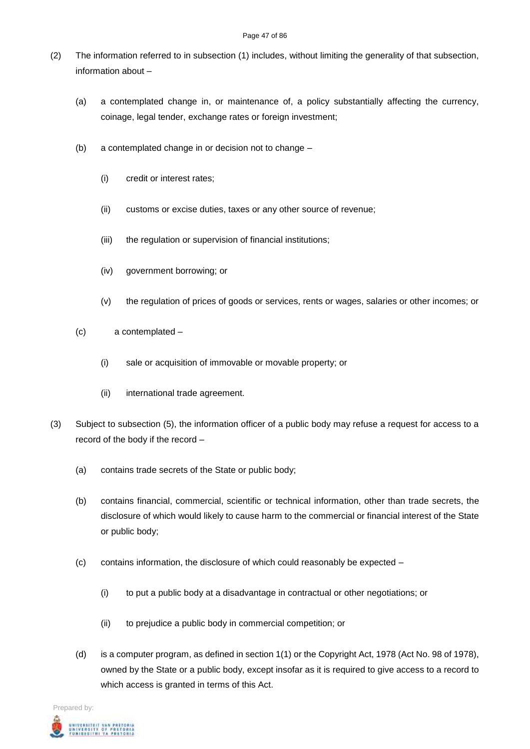- (2) The information referred to in subsection (1) includes, without limiting the generality of that subsection, information about –
	- (a) a contemplated change in, or maintenance of, a policy substantially affecting the currency, coinage, legal tender, exchange rates or foreign investment;
	- (b) a contemplated change in or decision not to change
		- (i) credit or interest rates;
		- (ii) customs or excise duties, taxes or any other source of revenue;
		- (iii) the regulation or supervision of financial institutions;
		- (iv) government borrowing; or
		- (v) the regulation of prices of goods or services, rents or wages, salaries or other incomes; or
	- (c) a contemplated
		- (i) sale or acquisition of immovable or movable property; or
		- (ii) international trade agreement.
- (3) Subject to subsection (5), the information officer of a public body may refuse a request for access to a record of the body if the record –
	- (a) contains trade secrets of the State or public body;
	- (b) contains financial, commercial, scientific or technical information, other than trade secrets, the disclosure of which would likely to cause harm to the commercial or financial interest of the State or public body;
	- (c) contains information, the disclosure of which could reasonably be expected
		- (i) to put a public body at a disadvantage in contractual or other negotiations; or
		- (ii) to prejudice a public body in commercial competition; or
	- (d) is a computer program, as defined in section 1(1) or the Copyright Act, 1978 (Act No. 98 of 1978), owned by the State or a public body, except insofar as it is required to give access to a record to which access is granted in terms of this Act.

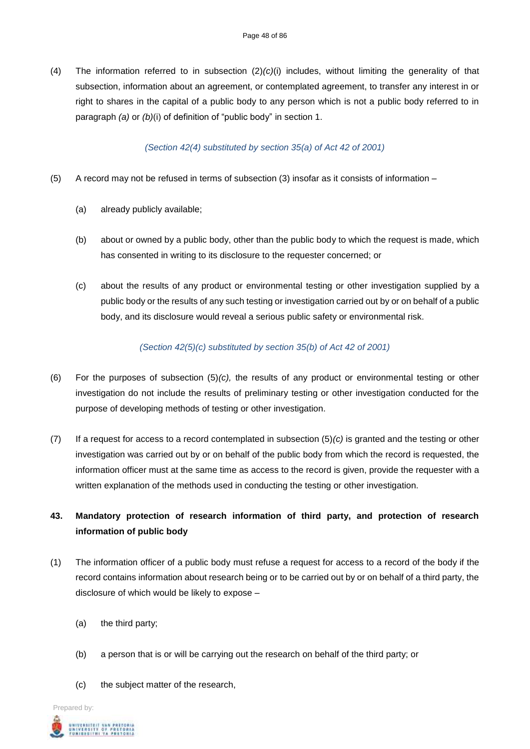(4) The information referred to in subsection (2)*(c)*(i) includes, without limiting the generality of that subsection, information about an agreement, or contemplated agreement, to transfer any interest in or right to shares in the capital of a public body to any person which is not a public body referred to in paragraph *(a)* or *(b)*(i) of definition of "public body" in section 1.

#### *(Section 42(4) substituted by section 35(a) of Act 42 of 2001)*

- (5) A record may not be refused in terms of subsection (3) insofar as it consists of information
	- (a) already publicly available;
	- (b) about or owned by a public body, other than the public body to which the request is made, which has consented in writing to its disclosure to the requester concerned; or
	- (c) about the results of any product or environmental testing or other investigation supplied by a public body or the results of any such testing or investigation carried out by or on behalf of a public body, and its disclosure would reveal a serious public safety or environmental risk.

## *(Section 42(5)(c) substituted by section 35(b) of Act 42 of 2001)*

- (6) For the purposes of subsection (5)*(c),* the results of any product or environmental testing or other investigation do not include the results of preliminary testing or other investigation conducted for the purpose of developing methods of testing or other investigation.
- (7) If a request for access to a record contemplated in subsection (5)*(c)* is granted and the testing or other investigation was carried out by or on behalf of the public body from which the record is requested, the information officer must at the same time as access to the record is given, provide the requester with a written explanation of the methods used in conducting the testing or other investigation.

# **43. Mandatory protection of research information of third party, and protection of research information of public body**

- (1) The information officer of a public body must refuse a request for access to a record of the body if the record contains information about research being or to be carried out by or on behalf of a third party, the disclosure of which would be likely to expose –
	- (a) the third party;
	- (b) a person that is or will be carrying out the research on behalf of the third party; or
	- (c) the subject matter of the research,

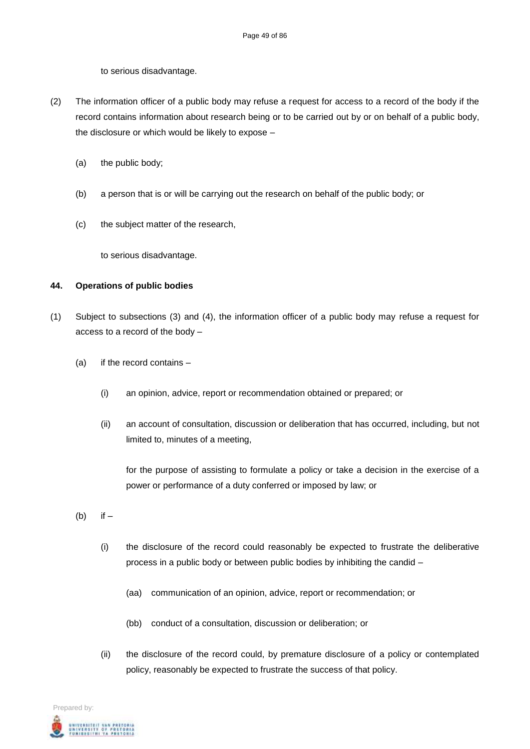to serious disadvantage.

- (2) The information officer of a public body may refuse a request for access to a record of the body if the record contains information about research being or to be carried out by or on behalf of a public body, the disclosure or which would be likely to expose –
	- (a) the public body;
	- (b) a person that is or will be carrying out the research on behalf of the public body; or
	- (c) the subject matter of the research,

to serious disadvantage.

#### **44. Operations of public bodies**

- (1) Subject to subsections (3) and (4), the information officer of a public body may refuse a request for access to a record of the body –
	- (a) if the record contains
		- (i) an opinion, advice, report or recommendation obtained or prepared; or
		- (ii) an account of consultation, discussion or deliberation that has occurred, including, but not limited to, minutes of a meeting,

for the purpose of assisting to formulate a policy or take a decision in the exercise of a power or performance of a duty conferred or imposed by law; or

- $(b)$  if  $-$ 
	- (i) the disclosure of the record could reasonably be expected to frustrate the deliberative process in a public body or between public bodies by inhibiting the candid –
		- (aa) communication of an opinion, advice, report or recommendation; or
		- (bb) conduct of a consultation, discussion or deliberation; or
	- (ii) the disclosure of the record could, by premature disclosure of a policy or contemplated policy, reasonably be expected to frustrate the success of that policy.

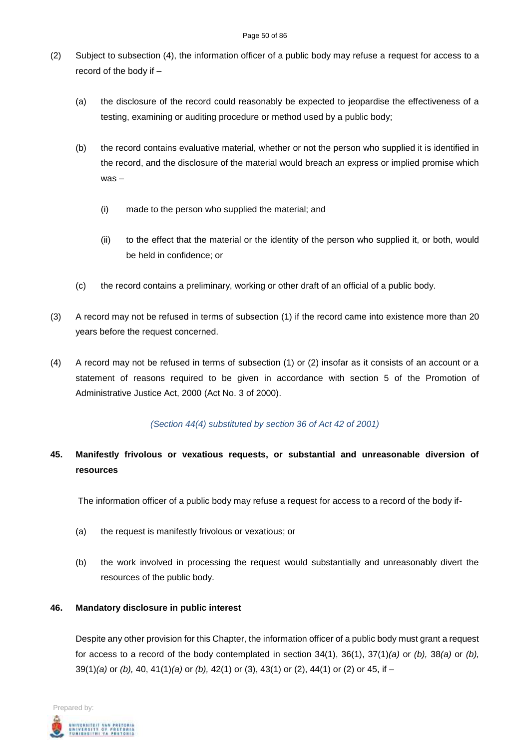#### Page 50 of 86

- (2) Subject to subsection (4), the information officer of a public body may refuse a request for access to a record of the body if –
	- (a) the disclosure of the record could reasonably be expected to jeopardise the effectiveness of a testing, examining or auditing procedure or method used by a public body;
	- (b) the record contains evaluative material, whether or not the person who supplied it is identified in the record, and the disclosure of the material would breach an express or implied promise which was –
		- (i) made to the person who supplied the material; and
		- (ii) to the effect that the material or the identity of the person who supplied it, or both, would be held in confidence; or
	- (c) the record contains a preliminary, working or other draft of an official of a public body.
- (3) A record may not be refused in terms of subsection (1) if the record came into existence more than 20 years before the request concerned.
- (4) A record may not be refused in terms of subsection (1) or (2) insofar as it consists of an account or a statement of reasons required to be given in accordance with section 5 of the Promotion of Administrative Justice Act, 2000 (Act No. 3 of 2000).

# *(Section 44(4) substituted by section 36 of Act 42 of 2001)*

# **45. Manifestly frivolous or vexatious requests, or substantial and unreasonable diversion of resources**

The information officer of a public body may refuse a request for access to a record of the body if-

- (a) the request is manifestly frivolous or vexatious; or
- (b) the work involved in processing the request would substantially and unreasonably divert the resources of the public body.

# **46. Mandatory disclosure in public interest**

Despite any other provision for this Chapter, the information officer of a public body must grant a request for access to a record of the body contemplated in section 34(1), 36(1), 37(1)*(a)* or *(b),* 38*(a)* or *(b),* 39(1)*(a)* or *(b),* 40, 41(1)*(a)* or *(b),* 42(1) or (3), 43(1) or (2), 44(1) or (2) or 45, if –

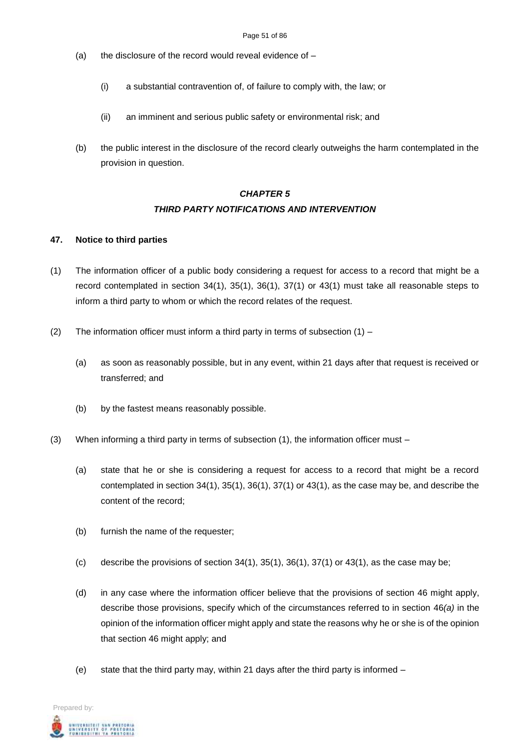- (a) the disclosure of the record would reveal evidence of  $-$ 
	- (i) a substantial contravention of, of failure to comply with, the law; or
	- (ii) an imminent and serious public safety or environmental risk; and
- (b) the public interest in the disclosure of the record clearly outweighs the harm contemplated in the provision in question.

# *CHAPTER 5 THIRD PARTY NOTIFICATIONS AND INTERVENTION*

#### **47. Notice to third parties**

- (1) The information officer of a public body considering a request for access to a record that might be a record contemplated in section 34(1), 35(1), 36(1), 37(1) or 43(1) must take all reasonable steps to inform a third party to whom or which the record relates of the request.
- (2) The information officer must inform a third party in terms of subsection  $(1)$ 
	- (a) as soon as reasonably possible, but in any event, within 21 days after that request is received or transferred; and
	- (b) by the fastest means reasonably possible.
- (3) When informing a third party in terms of subsection (1), the information officer must
	- (a) state that he or she is considering a request for access to a record that might be a record contemplated in section 34(1), 35(1), 36(1), 37(1) or 43(1), as the case may be, and describe the content of the record;
	- (b) furnish the name of the requester;
	- (c) describe the provisions of section  $34(1)$ ,  $35(1)$ ,  $36(1)$ ,  $37(1)$  or  $43(1)$ , as the case may be;
	- (d) in any case where the information officer believe that the provisions of section 46 might apply, describe those provisions, specify which of the circumstances referred to in section 46*(a)* in the opinion of the information officer might apply and state the reasons why he or she is of the opinion that section 46 might apply; and
	- (e) state that the third party may, within 21 days after the third party is informed –

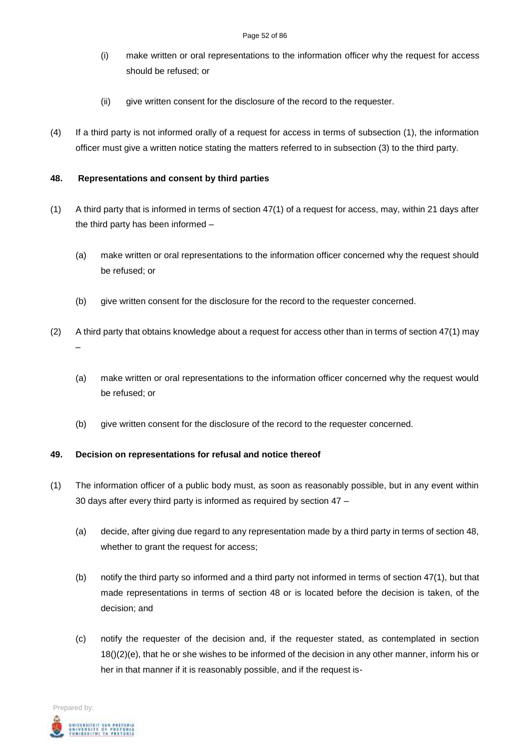- (i) make written or oral representations to the information officer why the request for access should be refused; or
- (ii) give written consent for the disclosure of the record to the requester.
- (4) If a third party is not informed orally of a request for access in terms of subsection (1), the information officer must give a written notice stating the matters referred to in subsection (3) to the third party.

### **48. Representations and consent by third parties**

- (1) A third party that is informed in terms of section 47(1) of a request for access, may, within 21 days after the third party has been informed –
	- (a) make written or oral representations to the information officer concerned why the request should be refused; or
	- (b) give written consent for the disclosure for the record to the requester concerned.
- (2) A third party that obtains knowledge about a request for access other than in terms of section 47(1) may –
	- (a) make written or oral representations to the information officer concerned why the request would be refused; or
	- (b) give written consent for the disclosure of the record to the requester concerned.

### **49. Decision on representations for refusal and notice thereof**

- (1) The information officer of a public body must, as soon as reasonably possible, but in any event within 30 days after every third party is informed as required by section 47 –
	- (a) decide, after giving due regard to any representation made by a third party in terms of section 48, whether to grant the request for access;
	- (b) notify the third party so informed and a third party not informed in terms of section 47(1), but that made representations in terms of section 48 or is located before the decision is taken, of the decision; and
	- (c) notify the requester of the decision and, if the requester stated, as contemplated in section 18()(2)(e), that he or she wishes to be informed of the decision in any other manner, inform his or her in that manner if it is reasonably possible, and if the request is-

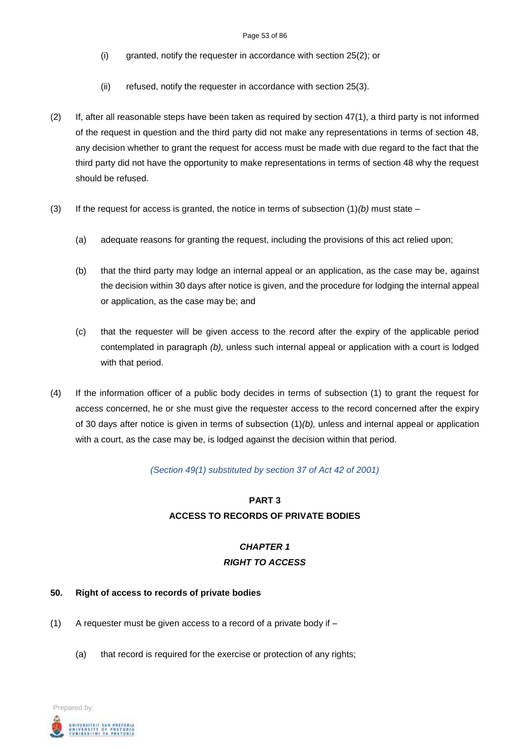- (i) granted, notify the requester in accordance with section 25(2); or
- (ii) refused, notify the requester in accordance with section 25(3).
- $(2)$  If, after all reasonable steps have been taken as required by section  $47(1)$ , a third party is not informed of the request in question and the third party did not make any representations in terms of section 48, any decision whether to grant the request for access must be made with due regard to the fact that the third party did not have the opportunity to make representations in terms of section 48 why the request should be refused.
- (3) If the request for access is granted, the notice in terms of subsection  $(1)(b)$  must state
	- (a) adequate reasons for granting the request, including the provisions of this act relied upon;
	- (b) that the third party may lodge an internal appeal or an application, as the case may be, against the decision within 30 days after notice is given, and the procedure for lodging the internal appeal or application, as the case may be; and
	- (c) that the requester will be given access to the record after the expiry of the applicable period contemplated in paragraph *(b),* unless such internal appeal or application with a court is lodged with that period.
- (4) If the information officer of a public body decides in terms of subsection (1) to grant the request for access concerned, he or she must give the requester access to the record concerned after the expiry of 30 days after notice is given in terms of subsection (1)*(b),* unless and internal appeal or application with a court, as the case may be, is lodged against the decision within that period.

*(Section 49(1) substituted by section 37 of Act 42 of 2001)*

# **PART 3 ACCESS TO RECORDS OF PRIVATE BODIES**

# *CHAPTER 1 RIGHT TO ACCESS*

### **50. Right of access to records of private bodies**

- (1) A requester must be given access to a record of a private body if
	- (a) that record is required for the exercise or protection of any rights;

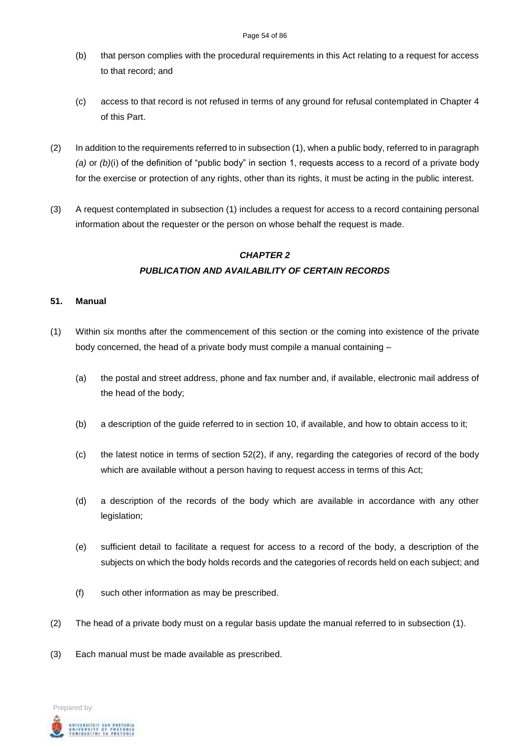- (b) that person complies with the procedural requirements in this Act relating to a request for access to that record; and
- (c) access to that record is not refused in terms of any ground for refusal contemplated in Chapter 4 of this Part.
- (2) In addition to the requirements referred to in subsection (1), when a public body, referred to in paragraph *(a)* or *(b)*(i) of the definition of "public body" in section 1, requests access to a record of a private body for the exercise or protection of any rights, other than its rights, it must be acting in the public interest.
- (3) A request contemplated in subsection (1) includes a request for access to a record containing personal information about the requester or the person on whose behalf the request is made.

# *CHAPTER 2 PUBLICATION AND AVAILABILITY OF CERTAIN RECORDS*

## **51. Manual**

- (1) Within six months after the commencement of this section or the coming into existence of the private body concerned, the head of a private body must compile a manual containing –
	- (a) the postal and street address, phone and fax number and, if available, electronic mail address of the head of the body;
	- (b) a description of the guide referred to in section 10, if available, and how to obtain access to it;
	- (c) the latest notice in terms of section 52(2), if any, regarding the categories of record of the body which are available without a person having to request access in terms of this Act;
	- (d) a description of the records of the body which are available in accordance with any other legislation;
	- (e) sufficient detail to facilitate a request for access to a record of the body, a description of the subjects on which the body holds records and the categories of records held on each subject; and
	- (f) such other information as may be prescribed.
- (2) The head of a private body must on a regular basis update the manual referred to in subsection (1).
- (3) Each manual must be made available as prescribed.

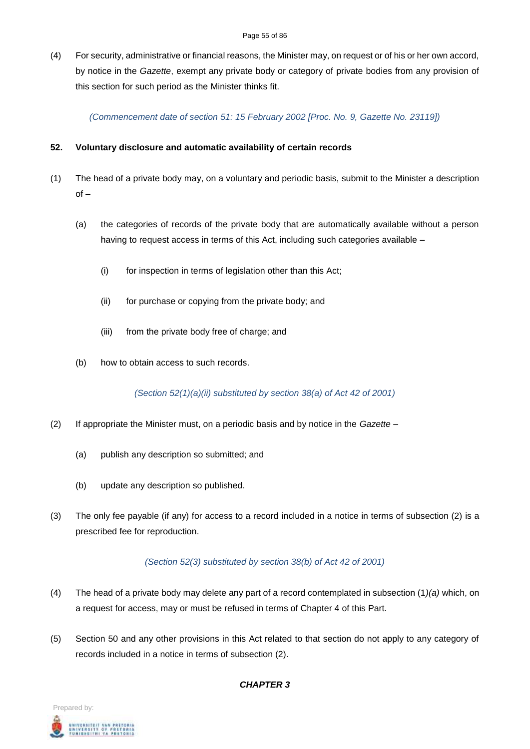#### Page 55 of 86

(4) For security, administrative or financial reasons, the Minister may, on request or of his or her own accord, by notice in the *Gazette*, exempt any private body or category of private bodies from any provision of this section for such period as the Minister thinks fit.

*(Commencement date of section 51: 15 February 2002 [Proc. No. 9, Gazette No. 23119])*

# **52. Voluntary disclosure and automatic availability of certain records**

- (1) The head of a private body may, on a voluntary and periodic basis, submit to the Minister a description  $of -$ 
	- (a) the categories of records of the private body that are automatically available without a person having to request access in terms of this Act, including such categories available –
		- (i) for inspection in terms of legislation other than this Act;
		- (ii) for purchase or copying from the private body; and
		- (iii) from the private body free of charge; and
	- (b) how to obtain access to such records.

*(Section 52(1)(a)(ii) substituted by section 38(a) of Act 42 of 2001)*

- (2) If appropriate the Minister must, on a periodic basis and by notice in the *Gazette*
	- (a) publish any description so submitted; and
	- (b) update any description so published.
- (3) The only fee payable (if any) for access to a record included in a notice in terms of subsection (2) is a prescribed fee for reproduction.

# *(Section 52(3) substituted by section 38(b) of Act 42 of 2001)*

- (4) The head of a private body may delete any part of a record contemplated in subsection (1*)(a)* which, on a request for access, may or must be refused in terms of Chapter 4 of this Part.
- (5) Section 50 and any other provisions in this Act related to that section do not apply to any category of records included in a notice in terms of subsection (2).



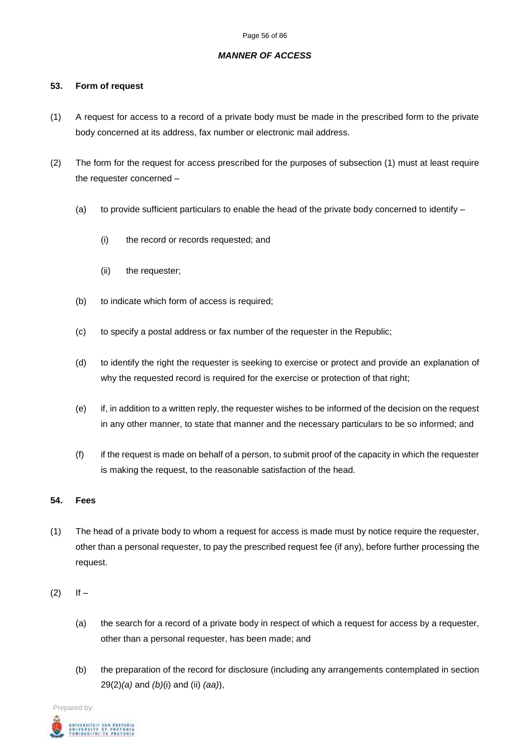#### *MANNER OF ACCESS*

### **53. Form of request**

- (1) A request for access to a record of a private body must be made in the prescribed form to the private body concerned at its address, fax number or electronic mail address.
- (2) The form for the request for access prescribed for the purposes of subsection (1) must at least require the requester concerned –
	- (a) to provide sufficient particulars to enable the head of the private body concerned to identify  $-$ 
		- (i) the record or records requested; and
		- (ii) the requester;
	- (b) to indicate which form of access is required;
	- (c) to specify a postal address or fax number of the requester in the Republic;
	- (d) to identify the right the requester is seeking to exercise or protect and provide an explanation of why the requested record is required for the exercise or protection of that right;
	- (e) if, in addition to a written reply, the requester wishes to be informed of the decision on the request in any other manner, to state that manner and the necessary particulars to be so informed; and
	- (f) if the request is made on behalf of a person, to submit proof of the capacity in which the requester is making the request, to the reasonable satisfaction of the head.

## **54. Fees**

- (1) The head of a private body to whom a request for access is made must by notice require the requester, other than a personal requester, to pay the prescribed request fee (if any), before further processing the request.
- $(2)$  If
	- (a) the search for a record of a private body in respect of which a request for access by a requester, other than a personal requester, has been made; and
	- (b) the preparation of the record for disclosure (including any arrangements contemplated in section 29(2)*(a)* and *(b)*(i) and (ii) *(aa)*),

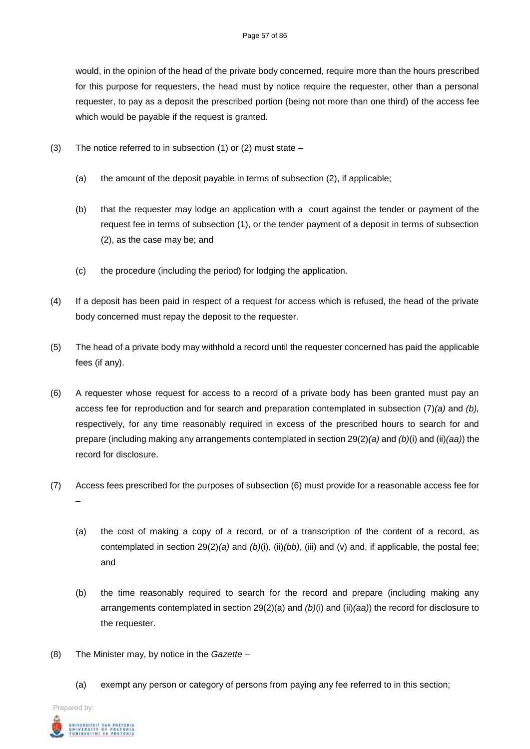would, in the opinion of the head of the private body concerned, require more than the hours prescribed for this purpose for requesters, the head must by notice require the requester, other than a personal requester, to pay as a deposit the prescribed portion (being not more than one third) of the access fee which would be payable if the request is granted.

- (3) The notice referred to in subsection (1) or (2) must state
	- (a) the amount of the deposit payable in terms of subsection (2), if applicable;
	- (b) that the requester may lodge an application with a court against the tender or payment of the request fee in terms of subsection (1), or the tender payment of a deposit in terms of subsection (2), as the case may be; and
	- (c) the procedure (including the period) for lodging the application.
- (4) If a deposit has been paid in respect of a request for access which is refused, the head of the private body concerned must repay the deposit to the requester.
- (5) The head of a private body may withhold a record until the requester concerned has paid the applicable fees (if any).
- (6) A requester whose request for access to a record of a private body has been granted must pay an access fee for reproduction and for search and preparation contemplated in subsection (7)*(a)* and *(b),* respectively, for any time reasonably required in excess of the prescribed hours to search for and prepare (including making any arrangements contemplated in section 29(2)*(a)* and *(b)*(i) and (ii)*(aa)*) the record for disclosure.
- (7) Access fees prescribed for the purposes of subsection (6) must provide for a reasonable access fee for –
	- (a) the cost of making a copy of a record, or of a transcription of the content of a record, as contemplated in section 29(2)*(a)* and *(b)*(i), (ii)*(bb)*, (iii) and (v) and, if applicable, the postal fee; and
	- (b) the time reasonably required to search for the record and prepare (including making any arrangements contemplated in section 29(2)(a) and *(b)*(i) and (ii)*(aa)*) the record for disclosure to the requester.
- (8) The Minister may, by notice in the *Gazette*
	- (a) exempt any person or category of persons from paying any fee referred to in this section;

Prepared by: UNIVERSITEIT VAN PRETORIA<br>UNIVERSITY OF PRETORIA<br>YURIBESITHI YA PRETORIA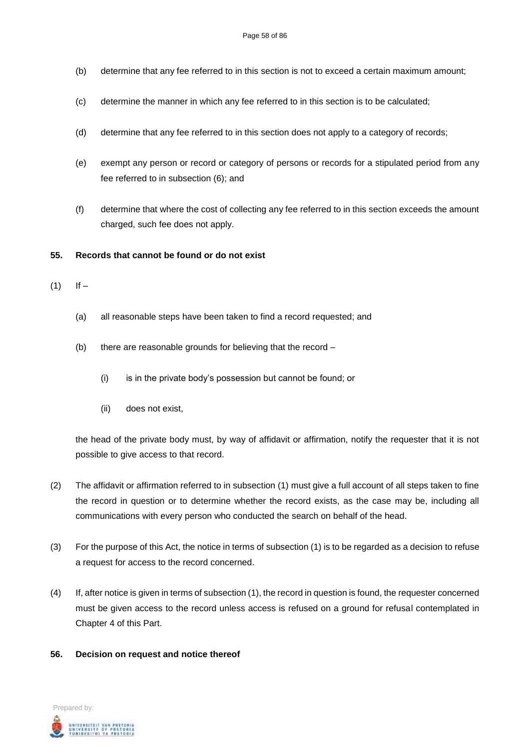- (b) determine that any fee referred to in this section is not to exceed a certain maximum amount;
- (c) determine the manner in which any fee referred to in this section is to be calculated;
- (d) determine that any fee referred to in this section does not apply to a category of records;
- (e) exempt any person or record or category of persons or records for a stipulated period from any fee referred to in subsection (6); and
- (f) determine that where the cost of collecting any fee referred to in this section exceeds the amount charged, such fee does not apply.

## **55. Records that cannot be found or do not exist**

- $(1)$  If
	- (a) all reasonable steps have been taken to find a record requested; and
	- (b) there are reasonable grounds for believing that the record
		- (i) is in the private body's possession but cannot be found; or
		- (ii) does not exist,

the head of the private body must, by way of affidavit or affirmation, notify the requester that it is not possible to give access to that record.

- (2) The affidavit or affirmation referred to in subsection (1) must give a full account of all steps taken to fine the record in question or to determine whether the record exists, as the case may be, including all communications with every person who conducted the search on behalf of the head.
- (3) For the purpose of this Act, the notice in terms of subsection (1) is to be regarded as a decision to refuse a request for access to the record concerned.
- (4) If, after notice is given in terms of subsection (1), the record in question is found, the requester concerned must be given access to the record unless access is refused on a ground for refusal contemplated in Chapter 4 of this Part.
- **56. Decision on request and notice thereof**

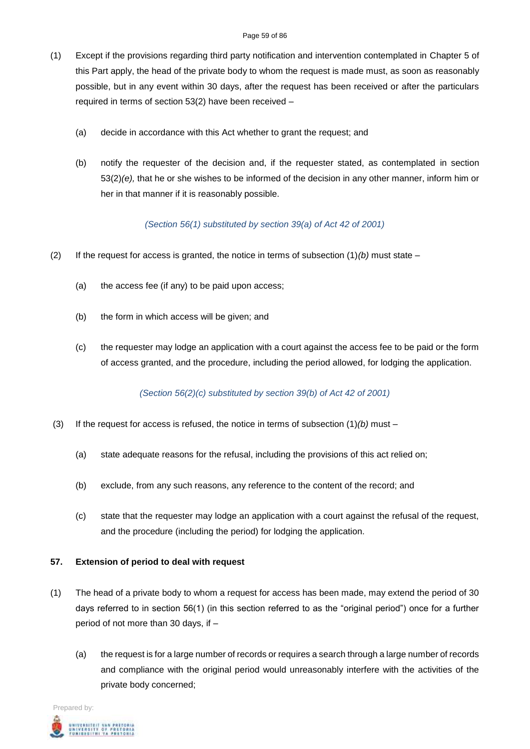- (1) Except if the provisions regarding third party notification and intervention contemplated in Chapter 5 of this Part apply, the head of the private body to whom the request is made must, as soon as reasonably possible, but in any event within 30 days, after the request has been received or after the particulars required in terms of section 53(2) have been received –
	- (a) decide in accordance with this Act whether to grant the request; and
	- (b) notify the requester of the decision and, if the requester stated, as contemplated in section 53(2)*(e),* that he or she wishes to be informed of the decision in any other manner, inform him or her in that manner if it is reasonably possible.

## *(Section 56(1) substituted by section 39(a) of Act 42 of 2001)*

- (2) If the request for access is granted, the notice in terms of subsection  $(1)(b)$  must state
	- (a) the access fee (if any) to be paid upon access;
	- (b) the form in which access will be given; and
	- (c) the requester may lodge an application with a court against the access fee to be paid or the form of access granted, and the procedure, including the period allowed, for lodging the application.

# *(Section 56(2)(c) substituted by section 39(b) of Act 42 of 2001)*

- (3) If the request for access is refused, the notice in terms of subsection (1)*(b)* must
	- (a) state adequate reasons for the refusal, including the provisions of this act relied on;
	- (b) exclude, from any such reasons, any reference to the content of the record; and
	- (c) state that the requester may lodge an application with a court against the refusal of the request, and the procedure (including the period) for lodging the application.

### **57. Extension of period to deal with request**

- (1) The head of a private body to whom a request for access has been made, may extend the period of 30 days referred to in section 56(1) (in this section referred to as the "original period") once for a further period of not more than 30 days, if –
	- (a) the request is for a large number of records or requires a search through a large number of records and compliance with the original period would unreasonably interfere with the activities of the private body concerned;

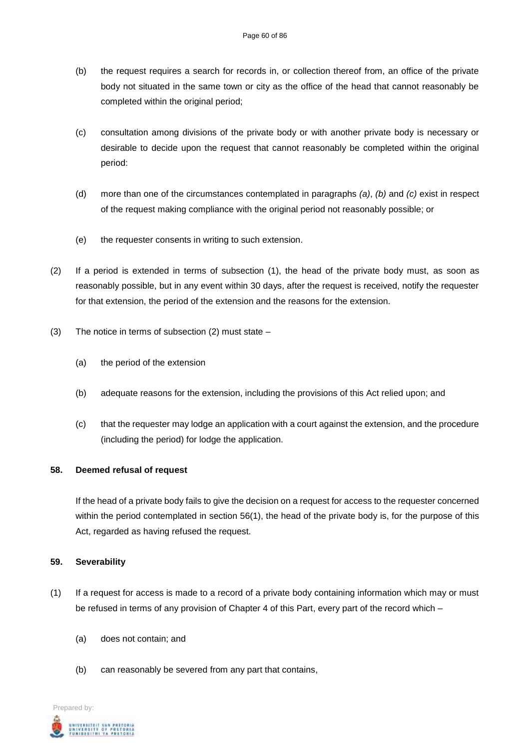- (b) the request requires a search for records in, or collection thereof from, an office of the private body not situated in the same town or city as the office of the head that cannot reasonably be completed within the original period;
- (c) consultation among divisions of the private body or with another private body is necessary or desirable to decide upon the request that cannot reasonably be completed within the original period:
- (d) more than one of the circumstances contemplated in paragraphs *(a)*, *(b)* and *(c)* exist in respect of the request making compliance with the original period not reasonably possible; or
- (e) the requester consents in writing to such extension.
- (2) If a period is extended in terms of subsection (1), the head of the private body must, as soon as reasonably possible, but in any event within 30 days, after the request is received, notify the requester for that extension, the period of the extension and the reasons for the extension.
- (3) The notice in terms of subsection (2) must state
	- (a) the period of the extension
	- (b) adequate reasons for the extension, including the provisions of this Act relied upon; and
	- (c) that the requester may lodge an application with a court against the extension, and the procedure (including the period) for lodge the application.

### **58. Deemed refusal of request**

If the head of a private body fails to give the decision on a request for access to the requester concerned within the period contemplated in section 56(1), the head of the private body is, for the purpose of this Act, regarded as having refused the request.

### **59. Severability**

- (1) If a request for access is made to a record of a private body containing information which may or must be refused in terms of any provision of Chapter 4 of this Part, every part of the record which –
	- (a) does not contain; and
	- (b) can reasonably be severed from any part that contains,

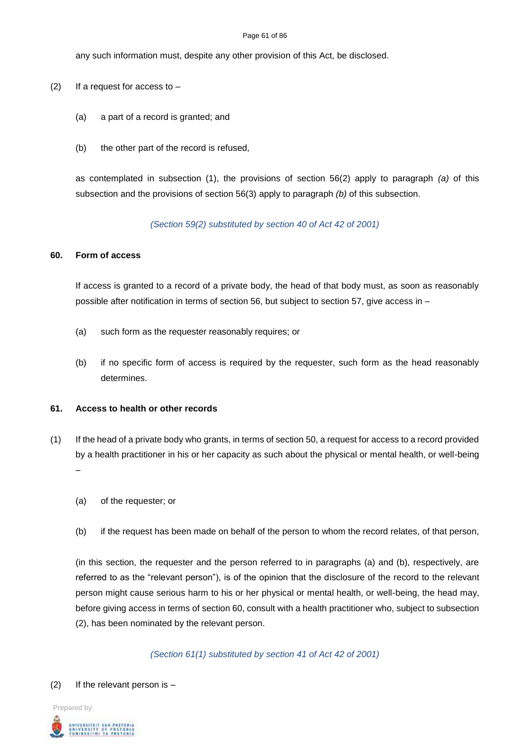#### Page 61 of 86

any such information must, despite any other provision of this Act, be disclosed.

- (2) If a request for access to  $-$ 
	- (a) a part of a record is granted; and
	- (b) the other part of the record is refused,

as contemplated in subsection (1), the provisions of section 56(2) apply to paragraph *(a)* of this subsection and the provisions of section 56(3) apply to paragraph *(b)* of this subsection.

*(Section 59(2) substituted by section 40 of Act 42 of 2001)*

#### **60. Form of access**

If access is granted to a record of a private body, the head of that body must, as soon as reasonably possible after notification in terms of section 56, but subject to section 57, give access in –

- (a) such form as the requester reasonably requires; or
- (b) if no specific form of access is required by the requester, such form as the head reasonably determines.

#### **61. Access to health or other records**

- (1) If the head of a private body who grants, in terms of section 50, a request for access to a record provided by a health practitioner in his or her capacity as such about the physical or mental health, or well-being –
	- (a) of the requester; or
	- (b) if the request has been made on behalf of the person to whom the record relates, of that person,

(in this section, the requester and the person referred to in paragraphs (a) and (b), respectively, are referred to as the "relevant person"), is of the opinion that the disclosure of the record to the relevant person might cause serious harm to his or her physical or mental health, or well-being, the head may, before giving access in terms of section 60, consult with a health practitioner who, subject to subsection (2), has been nominated by the relevant person.

*(Section 61(1) substituted by section 41 of Act 42 of 2001)*

#### (2) If the relevant person is  $-$

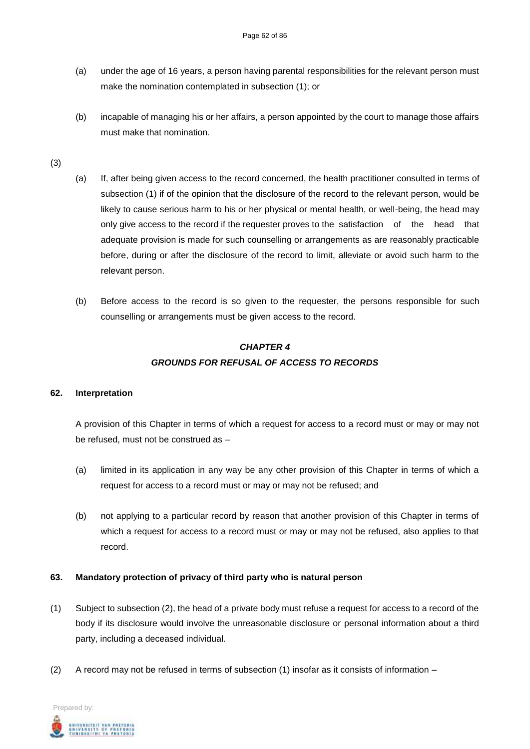- (a) under the age of 16 years, a person having parental responsibilities for the relevant person must make the nomination contemplated in subsection (1); or
- (b) incapable of managing his or her affairs, a person appointed by the court to manage those affairs must make that nomination.
- (3)
- (a) If, after being given access to the record concerned, the health practitioner consulted in terms of subsection (1) if of the opinion that the disclosure of the record to the relevant person, would be likely to cause serious harm to his or her physical or mental health, or well-being, the head may only give access to the record if the requester proves to the satisfaction of the head that adequate provision is made for such counselling or arrangements as are reasonably practicable before, during or after the disclosure of the record to limit, alleviate or avoid such harm to the relevant person.
- (b) Before access to the record is so given to the requester, the persons responsible for such counselling or arrangements must be given access to the record.

# *CHAPTER 4 GROUNDS FOR REFUSAL OF ACCESS TO RECORDS*

### **62. Interpretation**

A provision of this Chapter in terms of which a request for access to a record must or may or may not be refused, must not be construed as –

- (a) limited in its application in any way be any other provision of this Chapter in terms of which a request for access to a record must or may or may not be refused; and
- (b) not applying to a particular record by reason that another provision of this Chapter in terms of which a request for access to a record must or may or may not be refused, also applies to that record.

# **63. Mandatory protection of privacy of third party who is natural person**

- (1) Subject to subsection (2), the head of a private body must refuse a request for access to a record of the body if its disclosure would involve the unreasonable disclosure or personal information about a third party, including a deceased individual.
- (2) A record may not be refused in terms of subsection (1) insofar as it consists of information –

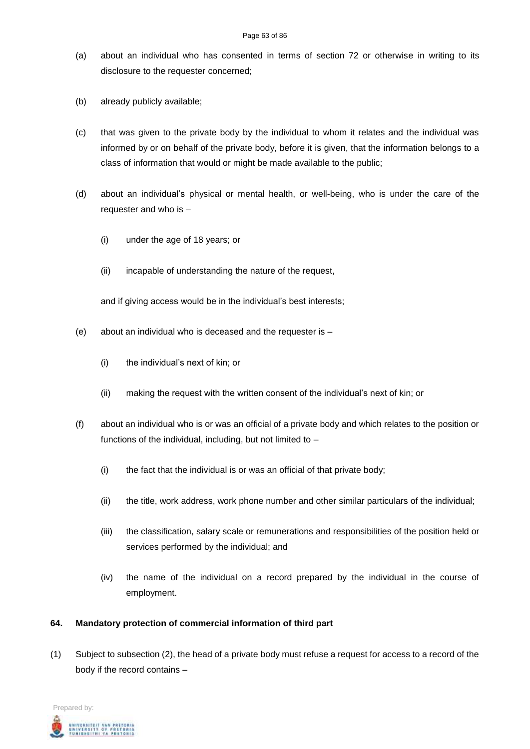#### Page 63 of 86

- (a) about an individual who has consented in terms of section 72 or otherwise in writing to its disclosure to the requester concerned;
- (b) already publicly available;
- (c) that was given to the private body by the individual to whom it relates and the individual was informed by or on behalf of the private body, before it is given, that the information belongs to a class of information that would or might be made available to the public;
- (d) about an individual's physical or mental health, or well-being, who is under the care of the requester and who is –
	- (i) under the age of 18 years; or
	- (ii) incapable of understanding the nature of the request,

and if giving access would be in the individual's best interests;

- (e) about an individual who is deceased and the requester is
	- (i) the individual's next of kin; or
	- (ii) making the request with the written consent of the individual's next of kin; or
- (f) about an individual who is or was an official of a private body and which relates to the position or functions of the individual, including, but not limited to –
	- (i) the fact that the individual is or was an official of that private body;
	- (ii) the title, work address, work phone number and other similar particulars of the individual;
	- (iii) the classification, salary scale or remunerations and responsibilities of the position held or services performed by the individual; and
	- (iv) the name of the individual on a record prepared by the individual in the course of employment.

### **64. Mandatory protection of commercial information of third part**

(1) Subject to subsection (2), the head of a private body must refuse a request for access to a record of the body if the record contains –

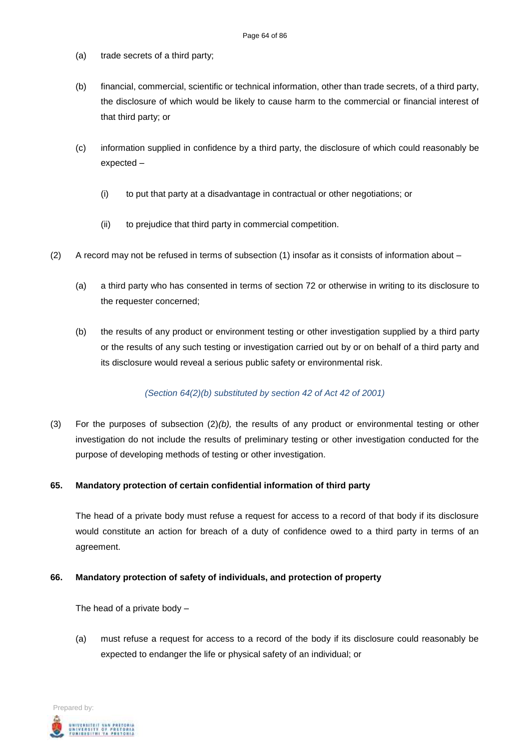- (a) trade secrets of a third party;
- (b) financial, commercial, scientific or technical information, other than trade secrets, of a third party, the disclosure of which would be likely to cause harm to the commercial or financial interest of that third party; or
- (c) information supplied in confidence by a third party, the disclosure of which could reasonably be expected –
	- (i) to put that party at a disadvantage in contractual or other negotiations; or
	- (ii) to prejudice that third party in commercial competition.
- (2) A record may not be refused in terms of subsection (1) insofar as it consists of information about
	- (a) a third party who has consented in terms of section 72 or otherwise in writing to its disclosure to the requester concerned;
	- (b) the results of any product or environment testing or other investigation supplied by a third party or the results of any such testing or investigation carried out by or on behalf of a third party and its disclosure would reveal a serious public safety or environmental risk.

### *(Section 64(2)(b) substituted by section 42 of Act 42 of 2001)*

(3) For the purposes of subsection (2)*(b),* the results of any product or environmental testing or other investigation do not include the results of preliminary testing or other investigation conducted for the purpose of developing methods of testing or other investigation.

### **65. Mandatory protection of certain confidential information of third party**

The head of a private body must refuse a request for access to a record of that body if its disclosure would constitute an action for breach of a duty of confidence owed to a third party in terms of an agreement.

### **66. Mandatory protection of safety of individuals, and protection of property**

The head of a private body  $-$ 

(a) must refuse a request for access to a record of the body if its disclosure could reasonably be expected to endanger the life or physical safety of an individual; or

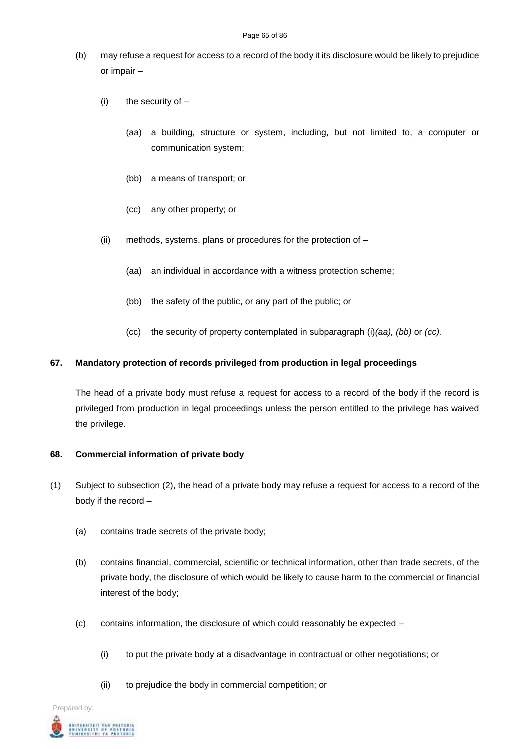- (b) may refuse a request for access to a record of the body it its disclosure would be likely to prejudice or impair –
	- $(i)$  the security of  $-$ 
		- (aa) a building, structure or system, including, but not limited to, a computer or communication system;
		- (bb) a means of transport; or
		- (cc) any other property; or
	- (ii) methods, systems, plans or procedures for the protection of
		- (aa) an individual in accordance with a witness protection scheme;
		- (bb) the safety of the public, or any part of the public; or
		- (cc) the security of property contemplated in subparagraph (i)*(aa), (bb)* or *(cc).*

## **67. Mandatory protection of records privileged from production in legal proceedings**

The head of a private body must refuse a request for access to a record of the body if the record is privileged from production in legal proceedings unless the person entitled to the privilege has waived the privilege.

### **68. Commercial information of private body**

- (1) Subject to subsection (2), the head of a private body may refuse a request for access to a record of the body if the record –
	- (a) contains trade secrets of the private body;
	- (b) contains financial, commercial, scientific or technical information, other than trade secrets, of the private body, the disclosure of which would be likely to cause harm to the commercial or financial interest of the body;
	- (c) contains information, the disclosure of which could reasonably be expected
		- (i) to put the private body at a disadvantage in contractual or other negotiations; or
		- (ii) to prejudice the body in commercial competition; or

Prepared by: .<br>Intversity of Pretoria<br>Unibestini ya Pretoria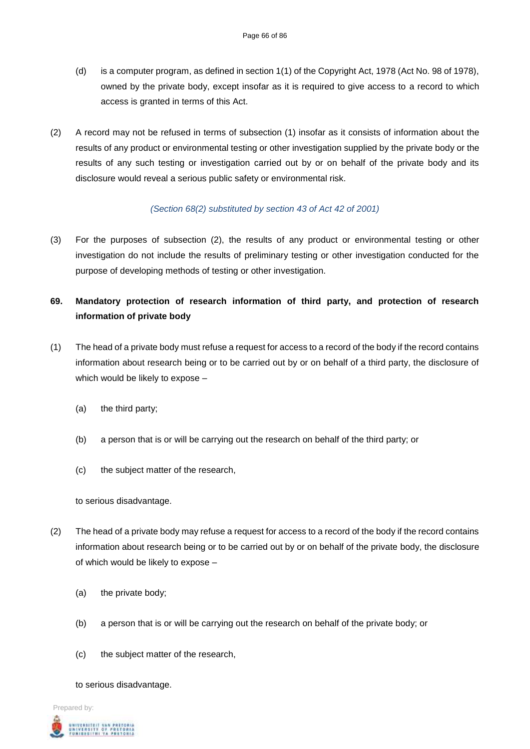- (d) is a computer program, as defined in section 1(1) of the Copyright Act, 1978 (Act No. 98 of 1978), owned by the private body, except insofar as it is required to give access to a record to which access is granted in terms of this Act.
- (2) A record may not be refused in terms of subsection (1) insofar as it consists of information about the results of any product or environmental testing or other investigation supplied by the private body or the results of any such testing or investigation carried out by or on behalf of the private body and its disclosure would reveal a serious public safety or environmental risk.

## *(Section 68(2) substituted by section 43 of Act 42 of 2001)*

(3) For the purposes of subsection (2), the results of any product or environmental testing or other investigation do not include the results of preliminary testing or other investigation conducted for the purpose of developing methods of testing or other investigation.

# **69. Mandatory protection of research information of third party, and protection of research information of private body**

- (1) The head of a private body must refuse a request for access to a record of the body if the record contains information about research being or to be carried out by or on behalf of a third party, the disclosure of which would be likely to expose –
	- (a) the third party;
	- (b) a person that is or will be carrying out the research on behalf of the third party; or
	- (c) the subject matter of the research,

to serious disadvantage.

- (2) The head of a private body may refuse a request for access to a record of the body if the record contains information about research being or to be carried out by or on behalf of the private body, the disclosure of which would be likely to expose –
	- (a) the private body;
	- (b) a person that is or will be carrying out the research on behalf of the private body; or
	- (c) the subject matter of the research,

to serious disadvantage.

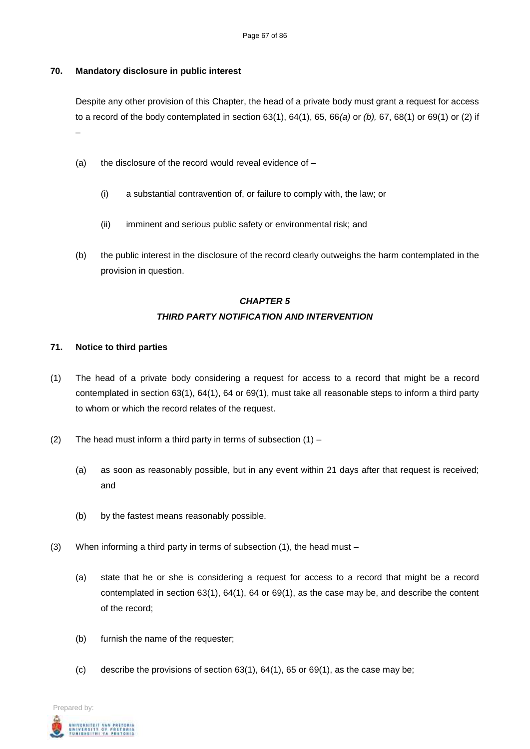## **70. Mandatory disclosure in public interest**

Despite any other provision of this Chapter, the head of a private body must grant a request for access to a record of the body contemplated in section 63(1), 64(1), 65, 66*(a)* or *(b),* 67, 68(1) or 69(1) or (2) if –

- (a) the disclosure of the record would reveal evidence of  $-$ 
	- (i) a substantial contravention of, or failure to comply with, the law; or
	- (ii) imminent and serious public safety or environmental risk; and
- (b) the public interest in the disclosure of the record clearly outweighs the harm contemplated in the provision in question.

# *CHAPTER 5 THIRD PARTY NOTIFICATION AND INTERVENTION*

## **71. Notice to third parties**

- (1) The head of a private body considering a request for access to a record that might be a record contemplated in section 63(1), 64(1), 64 or 69(1), must take all reasonable steps to inform a third party to whom or which the record relates of the request.
- (2) The head must inform a third party in terms of subsection  $(1)$ 
	- (a) as soon as reasonably possible, but in any event within 21 days after that request is received; and
	- (b) by the fastest means reasonably possible.
- (3) When informing a third party in terms of subsection (1), the head must
	- (a) state that he or she is considering a request for access to a record that might be a record contemplated in section 63(1), 64(1), 64 or 69(1), as the case may be, and describe the content of the record;
	- (b) furnish the name of the requester;
	- (c) describe the provisions of section  $63(1)$ ,  $64(1)$ ,  $65$  or  $69(1)$ , as the case may be;

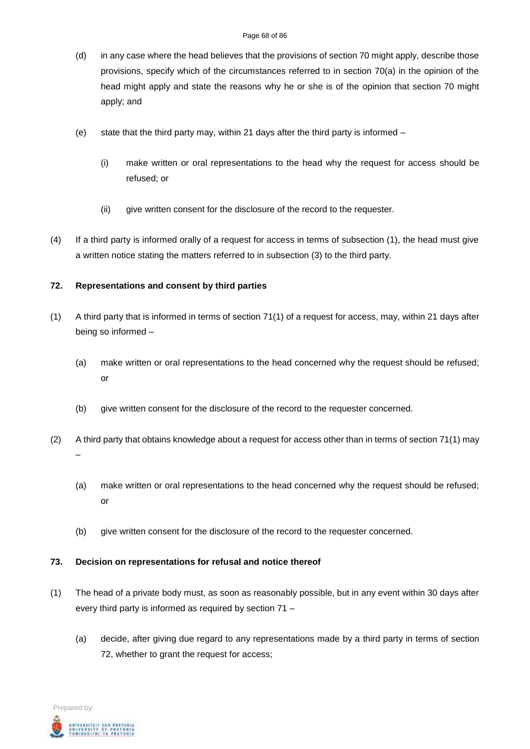- (d) in any case where the head believes that the provisions of section 70 might apply, describe those provisions, specify which of the circumstances referred to in section 70(a) in the opinion of the head might apply and state the reasons why he or she is of the opinion that section 70 might apply; and
- (e) state that the third party may, within 21 days after the third party is informed
	- (i) make written or oral representations to the head why the request for access should be refused; or
	- (ii) give written consent for the disclosure of the record to the requester.
- (4) If a third party is informed orally of a request for access in terms of subsection (1), the head must give a written notice stating the matters referred to in subsection (3) to the third party.

## **72. Representations and consent by third parties**

- (1) A third party that is informed in terms of section 71(1) of a request for access, may, within 21 days after being so informed –
	- (a) make written or oral representations to the head concerned why the request should be refused; or
	- (b) give written consent for the disclosure of the record to the requester concerned.
- (2) A third party that obtains knowledge about a request for access other than in terms of section 71(1) may –
	- (a) make written or oral representations to the head concerned why the request should be refused; or
	- (b) give written consent for the disclosure of the record to the requester concerned.

### **73. Decision on representations for refusal and notice thereof**

- (1) The head of a private body must, as soon as reasonably possible, but in any event within 30 days after every third party is informed as required by section 71 –
	- (a) decide, after giving due regard to any representations made by a third party in terms of section 72, whether to grant the request for access;

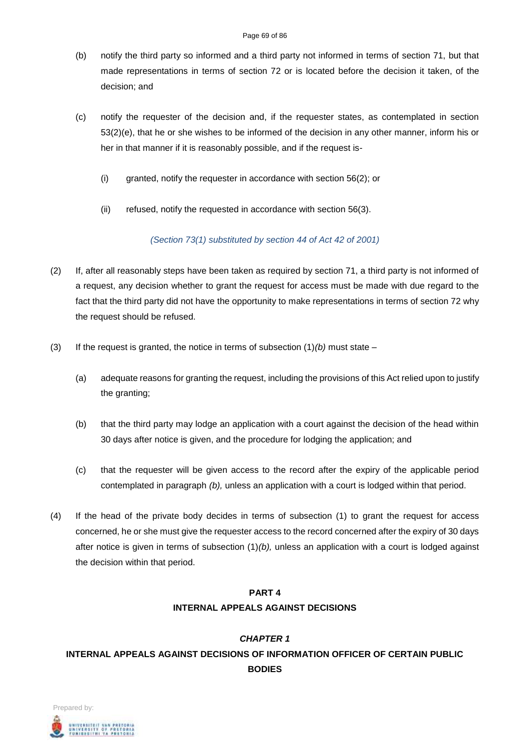- (b) notify the third party so informed and a third party not informed in terms of section 71, but that made representations in terms of section 72 or is located before the decision it taken, of the decision; and
- (c) notify the requester of the decision and, if the requester states, as contemplated in section 53(2)(e), that he or she wishes to be informed of the decision in any other manner, inform his or her in that manner if it is reasonably possible, and if the request is-
	- (i) granted, notify the requester in accordance with section 56(2); or
	- (ii) refused, notify the requested in accordance with section 56(3).

*(Section 73(1) substituted by section 44 of Act 42 of 2001)*

- (2) If, after all reasonably steps have been taken as required by section 71, a third party is not informed of a request, any decision whether to grant the request for access must be made with due regard to the fact that the third party did not have the opportunity to make representations in terms of section 72 why the request should be refused.
- (3) If the request is granted, the notice in terms of subsection  $(1)(b)$  must state
	- (a) adequate reasons for granting the request, including the provisions of this Act relied upon to justify the granting;
	- (b) that the third party may lodge an application with a court against the decision of the head within 30 days after notice is given, and the procedure for lodging the application; and
	- (c) that the requester will be given access to the record after the expiry of the applicable period contemplated in paragraph *(b),* unless an application with a court is lodged within that period.
- (4) If the head of the private body decides in terms of subsection (1) to grant the request for access concerned, he or she must give the requester access to the record concerned after the expiry of 30 days after notice is given in terms of subsection (1)*(b),* unless an application with a court is lodged against the decision within that period.

# **PART 4 INTERNAL APPEALS AGAINST DECISIONS**

# *CHAPTER 1* **INTERNAL APPEALS AGAINST DECISIONS OF INFORMATION OFFICER OF CERTAIN PUBLIC BODIES**

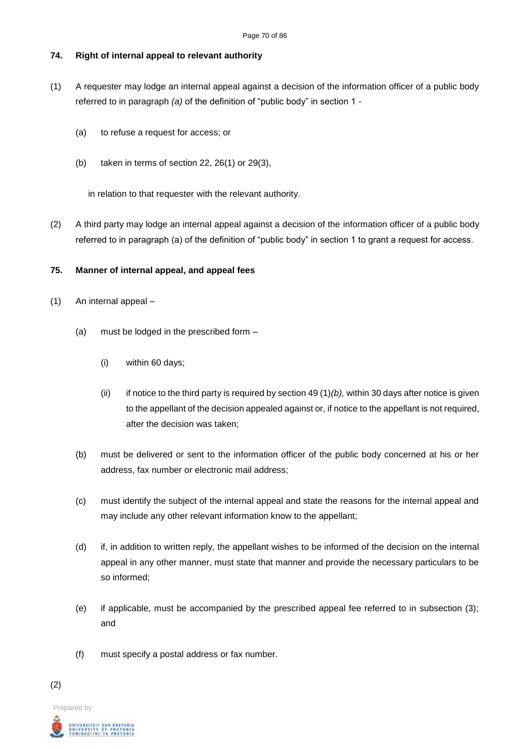## **74. Right of internal appeal to relevant authority**

- (1) A requester may lodge an internal appeal against a decision of the information officer of a public body referred to in paragraph *(a)* of the definition of "public body" in section 1 -
	- (a) to refuse a request for access; or
	- (b) taken in terms of section 22, 26(1) or 29(3),

in relation to that requester with the relevant authority.

(2) A third party may lodge an internal appeal against a decision of the information officer of a public body referred to in paragraph (a) of the definition of "public body" in section 1 to grant a request for access.

### **75. Manner of internal appeal, and appeal fees**

- (1) An internal appeal
	- (a) must be lodged in the prescribed form
		- (i) within 60 days;
		- (ii) if notice to the third party is required by section 49  $(1)(b)$ , within 30 days after notice is given to the appellant of the decision appealed against or, if notice to the appellant is not required, after the decision was taken;
	- (b) must be delivered or sent to the information officer of the public body concerned at his or her address, fax number or electronic mail address;
	- (c) must identify the subject of the internal appeal and state the reasons for the internal appeal and may include any other relevant information know to the appellant;
	- (d) if, in addition to written reply, the appellant wishes to be informed of the decision on the internal appeal in any other manner, must state that manner and provide the necessary particulars to be so informed;
	- (e) if applicable, must be accompanied by the prescribed appeal fee referred to in subsection (3); and
	- (f) must specify a postal address or fax number.

(2)

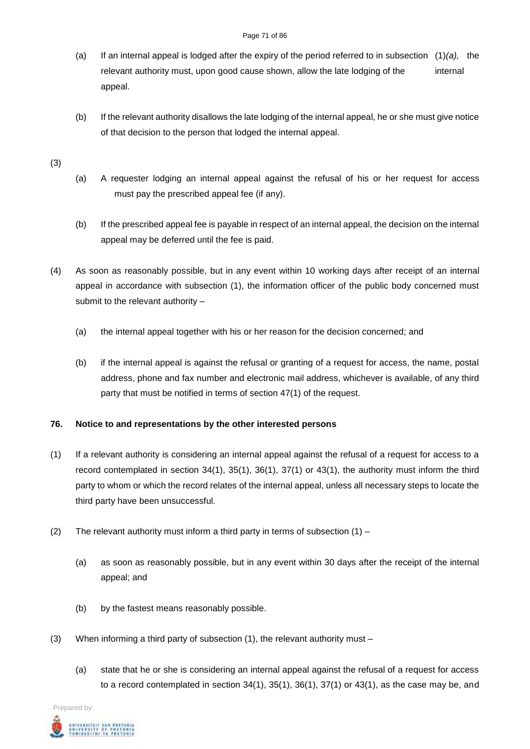#### Page 71 of 86

- (a) If an internal appeal is lodged after the expiry of the period referred to in subsection (1)*(a),* the relevant authority must, upon good cause shown, allow the late lodging of the internal appeal.
- (b) If the relevant authority disallows the late lodging of the internal appeal, he or she must give notice of that decision to the person that lodged the internal appeal.

(3)

- (a) A requester lodging an internal appeal against the refusal of his or her request for access must pay the prescribed appeal fee (if any).
- (b) If the prescribed appeal fee is payable in respect of an internal appeal, the decision on the internal appeal may be deferred until the fee is paid.
- (4) As soon as reasonably possible, but in any event within 10 working days after receipt of an internal appeal in accordance with subsection (1), the information officer of the public body concerned must submit to the relevant authority –
	- (a) the internal appeal together with his or her reason for the decision concerned; and
	- (b) if the internal appeal is against the refusal or granting of a request for access, the name, postal address, phone and fax number and electronic mail address, whichever is available, of any third party that must be notified in terms of section 47(1) of the request.

# **76. Notice to and representations by the other interested persons**

- (1) If a relevant authority is considering an internal appeal against the refusal of a request for access to a record contemplated in section 34(1), 35(1), 36(1), 37(1) or 43(1), the authority must inform the third party to whom or which the record relates of the internal appeal, unless all necessary steps to locate the third party have been unsuccessful.
- (2) The relevant authority must inform a third party in terms of subsection  $(1)$ 
	- (a) as soon as reasonably possible, but in any event within 30 days after the receipt of the internal appeal; and
	- (b) by the fastest means reasonably possible.
- (3) When informing a third party of subsection  $(1)$ , the relevant authority must
	- (a) state that he or she is considering an internal appeal against the refusal of a request for access to a record contemplated in section 34(1), 35(1), 36(1), 37(1) or 43(1), as the case may be, and

Prepared by: .<br>Niversity of Pretoria<br>Unibesithi ya Pretoria<br>Unibesithi ya Pretoria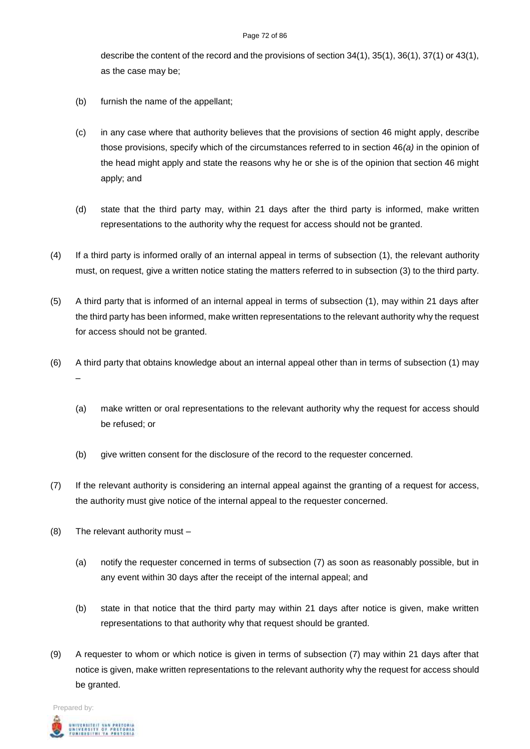#### Page 72 of 86

describe the content of the record and the provisions of section 34(1), 35(1), 36(1), 37(1) or 43(1), as the case may be;

- (b) furnish the name of the appellant;
- (c) in any case where that authority believes that the provisions of section 46 might apply, describe those provisions, specify which of the circumstances referred to in section 46*(a)* in the opinion of the head might apply and state the reasons why he or she is of the opinion that section 46 might apply; and
- (d) state that the third party may, within 21 days after the third party is informed, make written representations to the authority why the request for access should not be granted.
- (4) If a third party is informed orally of an internal appeal in terms of subsection (1), the relevant authority must, on request, give a written notice stating the matters referred to in subsection (3) to the third party.
- (5) A third party that is informed of an internal appeal in terms of subsection (1), may within 21 days after the third party has been informed, make written representations to the relevant authority why the request for access should not be granted.
- (6) A third party that obtains knowledge about an internal appeal other than in terms of subsection (1) may –
	- (a) make written or oral representations to the relevant authority why the request for access should be refused; or
	- (b) give written consent for the disclosure of the record to the requester concerned.
- (7) If the relevant authority is considering an internal appeal against the granting of a request for access, the authority must give notice of the internal appeal to the requester concerned.
- (8) The relevant authority must
	- (a) notify the requester concerned in terms of subsection (7) as soon as reasonably possible, but in any event within 30 days after the receipt of the internal appeal; and
	- (b) state in that notice that the third party may within 21 days after notice is given, make written representations to that authority why that request should be granted.
- (9) A requester to whom or which notice is given in terms of subsection (7) may within 21 days after that notice is given, make written representations to the relevant authority why the request for access should be granted.

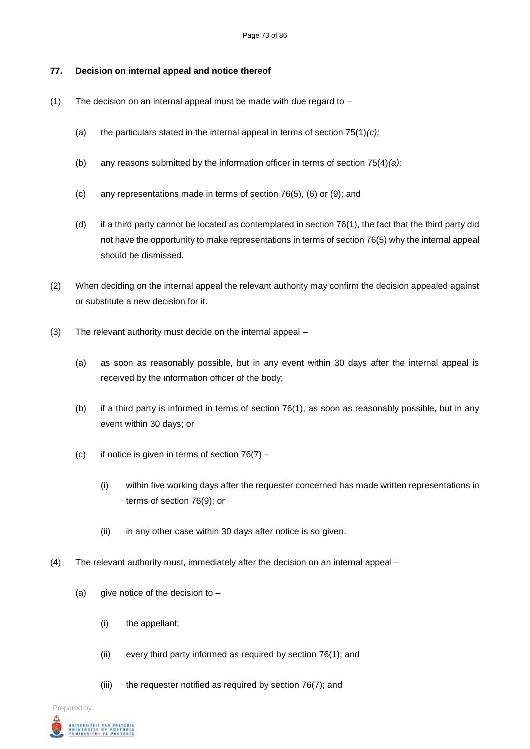### **77. Decision on internal appeal and notice thereof**

- (1) The decision on an internal appeal must be made with due regard to  $-$ 
	- (a) the particulars stated in the internal appeal in terms of section 75(1)*(c);*
	- (b) any reasons submitted by the information officer in terms of section 75(4)*(a);*
	- (c) any representations made in terms of section 76(5), (6) or (9); and
	- (d) if a third party cannot be located as contemplated in section 76(1), the fact that the third party did not have the opportunity to make representations in terms of section 76(5) why the internal appeal should be dismissed.
- (2) When deciding on the internal appeal the relevant authority may confirm the decision appealed against or substitute a new decision for it.
- (3) The relevant authority must decide on the internal appeal
	- (a) as soon as reasonably possible, but in any event within 30 days after the internal appeal is received by the information officer of the body;
	- (b) if a third party is informed in terms of section 76(1), as soon as reasonably possible, but in any event within 30 days; or
	- (c) if notice is given in terms of section  $76(7)$ 
		- (i) within five working days after the requester concerned has made written representations in terms of section 76(9); or
		- (ii) in any other case within 30 days after notice is so given.
- (4) The relevant authority must, immediately after the decision on an internal appeal
	- (a) give notice of the decision to  $-$ 
		- (i) the appellant;
		- (ii) every third party informed as required by section 76(1); and
		- (iii) the requester notified as required by section 76(7); and

Prepared by:

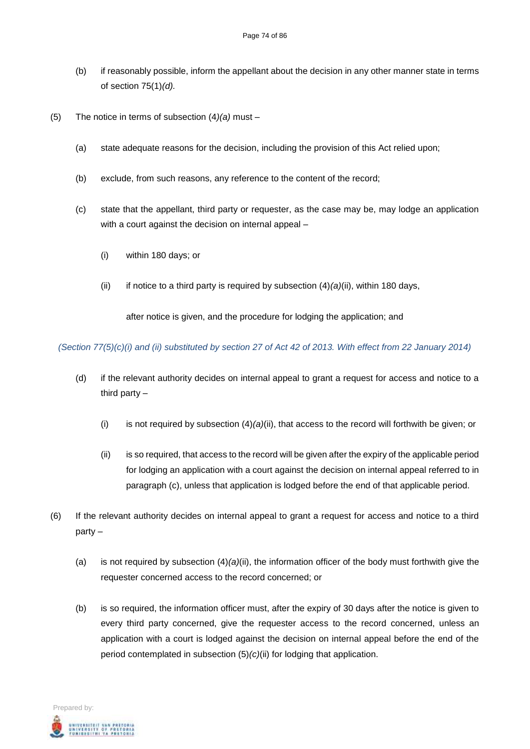- (b) if reasonably possible, inform the appellant about the decision in any other manner state in terms of section 75(1)*(d).*
- (5) The notice in terms of subsection (4*)(a)* must
	- (a) state adequate reasons for the decision, including the provision of this Act relied upon;
	- (b) exclude, from such reasons, any reference to the content of the record;
	- (c) state that the appellant, third party or requester, as the case may be, may lodge an application with a court against the decision on internal appeal –
		- (i) within 180 days; or
		- (ii) if notice to a third party is required by subsection (4)*(a)*(ii), within 180 days,

after notice is given, and the procedure for lodging the application; and

*(Section 77(5)(c)(i) and (ii) substituted by section 27 of Act 42 of 2013. With effect from 22 January 2014)*

- (d) if the relevant authority decides on internal appeal to grant a request for access and notice to a third party –
	- (i) is not required by subsection (4)*(a)*(ii), that access to the record will forthwith be given; or
	- (ii) is so required, that access to the record will be given after the expiry of the applicable period for lodging an application with a court against the decision on internal appeal referred to in paragraph (c), unless that application is lodged before the end of that applicable period.
- (6) If the relevant authority decides on internal appeal to grant a request for access and notice to a third party –
	- (a) is not required by subsection (4)*(a)*(ii), the information officer of the body must forthwith give the requester concerned access to the record concerned; or
	- (b) is so required, the information officer must, after the expiry of 30 days after the notice is given to every third party concerned, give the requester access to the record concerned, unless an application with a court is lodged against the decision on internal appeal before the end of the period contemplated in subsection (5)*(c)*(ii) for lodging that application.

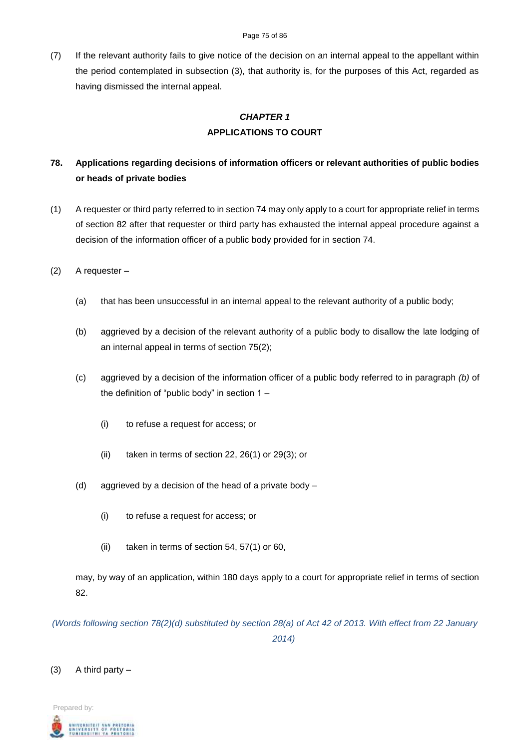(7) If the relevant authority fails to give notice of the decision on an internal appeal to the appellant within the period contemplated in subsection (3), that authority is, for the purposes of this Act, regarded as having dismissed the internal appeal.

# *CHAPTER 1* **APPLICATIONS TO COURT**

# **78. Applications regarding decisions of information officers or relevant authorities of public bodies or heads of private bodies**

- (1) A requester or third party referred to in section 74 may only apply to a court for appropriate relief in terms of section 82 after that requester or third party has exhausted the internal appeal procedure against a decision of the information officer of a public body provided for in section 74.
- (2) A requester
	- (a) that has been unsuccessful in an internal appeal to the relevant authority of a public body;
	- (b) aggrieved by a decision of the relevant authority of a public body to disallow the late lodging of an internal appeal in terms of section 75(2);
	- (c) aggrieved by a decision of the information officer of a public body referred to in paragraph *(b)* of the definition of "public body" in section 1 –
		- (i) to refuse a request for access; or
		- (ii) taken in terms of section 22, 26(1) or 29(3); or
	- (d) aggrieved by a decision of the head of a private body
		- (i) to refuse a request for access; or
		- (ii) taken in terms of section 54, 57(1) or 60,

may, by way of an application, within 180 days apply to a court for appropriate relief in terms of section 82.

*(Words following section 78(2)(d) substituted by section 28(a) of Act 42 of 2013. With effect from 22 January 2014)*

 $(3)$  A third party –

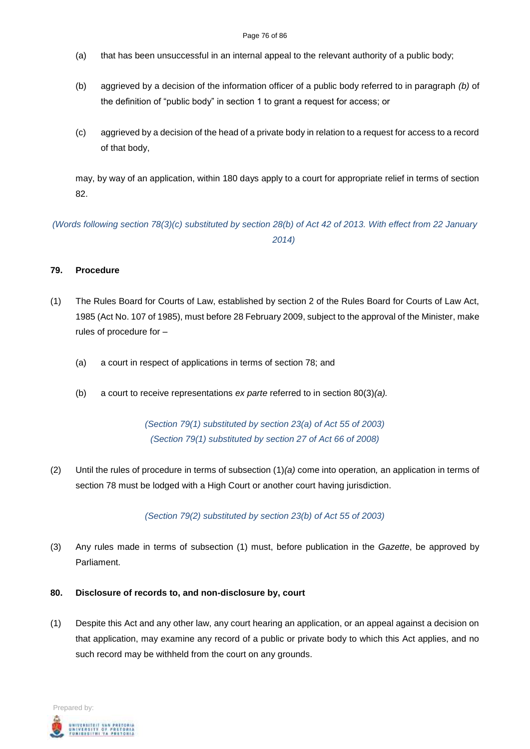#### Page 76 of 86

- (a) that has been unsuccessful in an internal appeal to the relevant authority of a public body;
- (b) aggrieved by a decision of the information officer of a public body referred to in paragraph *(b)* of the definition of "public body" in section 1 to grant a request for access; or
- (c) aggrieved by a decision of the head of a private body in relation to a request for access to a record of that body,

may, by way of an application, within 180 days apply to a court for appropriate relief in terms of section 82.

*(Words following section 78(3)(c) substituted by section 28(b) of Act 42 of 2013. With effect from 22 January 2014)*

## **79. Procedure**

- (1) The Rules Board for Courts of Law, established by section 2 of the Rules Board for Courts of Law Act, 1985 (Act No. 107 of 1985), must before 28 February 2009, subject to the approval of the Minister, make rules of procedure for –
	- (a) a court in respect of applications in terms of section 78; and
	- (b) a court to receive representations *ex parte* referred to in section 80(3)*(a).*

*(Section 79(1) substituted by section 23(a) of Act 55 of 2003) (Section 79(1) substituted by section 27 of Act 66 of 2008)*

(2) Until the rules of procedure in terms of subsection (1)*(a)* come into operation*,* an application in terms of section 78 must be lodged with a High Court or another court having jurisdiction.

*(Section 79(2) substituted by section 23(b) of Act 55 of 2003)*

- (3) Any rules made in terms of subsection (1) must, before publication in the *Gazette*, be approved by Parliament.
- **80. Disclosure of records to, and non-disclosure by, court**
- (1) Despite this Act and any other law, any court hearing an application, or an appeal against a decision on that application, may examine any record of a public or private body to which this Act applies, and no such record may be withheld from the court on any grounds.

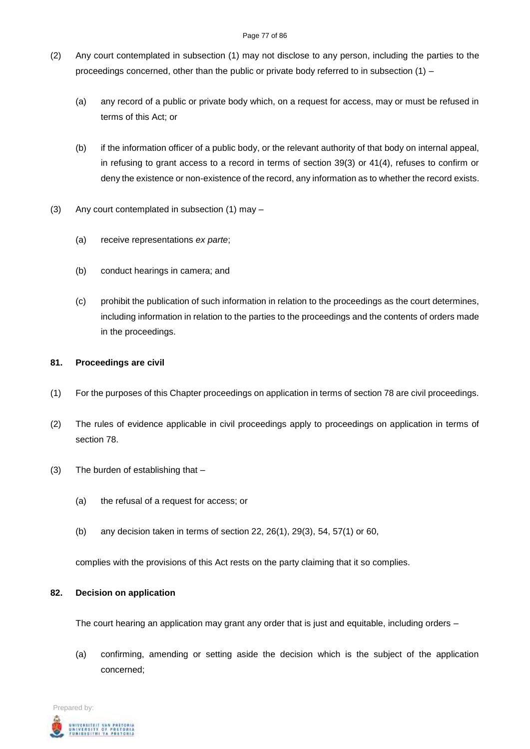#### Page 77 of 86

- (2) Any court contemplated in subsection (1) may not disclose to any person, including the parties to the proceedings concerned, other than the public or private body referred to in subsection (1) –
	- (a) any record of a public or private body which, on a request for access, may or must be refused in terms of this Act; or
	- (b) if the information officer of a public body, or the relevant authority of that body on internal appeal, in refusing to grant access to a record in terms of section 39(3) or 41(4), refuses to confirm or deny the existence or non-existence of the record, any information as to whether the record exists.
- (3) Any court contemplated in subsection (1) may
	- (a) receive representations *ex parte*;
	- (b) conduct hearings in camera; and
	- (c) prohibit the publication of such information in relation to the proceedings as the court determines, including information in relation to the parties to the proceedings and the contents of orders made in the proceedings.

# **81. Proceedings are civil**

- (1) For the purposes of this Chapter proceedings on application in terms of section 78 are civil proceedings.
- (2) The rules of evidence applicable in civil proceedings apply to proceedings on application in terms of section 78.
- (3) The burden of establishing that
	- (a) the refusal of a request for access; or
	- (b) any decision taken in terms of section 22, 26(1), 29(3), 54, 57(1) or 60,

complies with the provisions of this Act rests on the party claiming that it so complies.

# **82. Decision on application**

The court hearing an application may grant any order that is just and equitable, including orders –

(a) confirming, amending or setting aside the decision which is the subject of the application concerned;

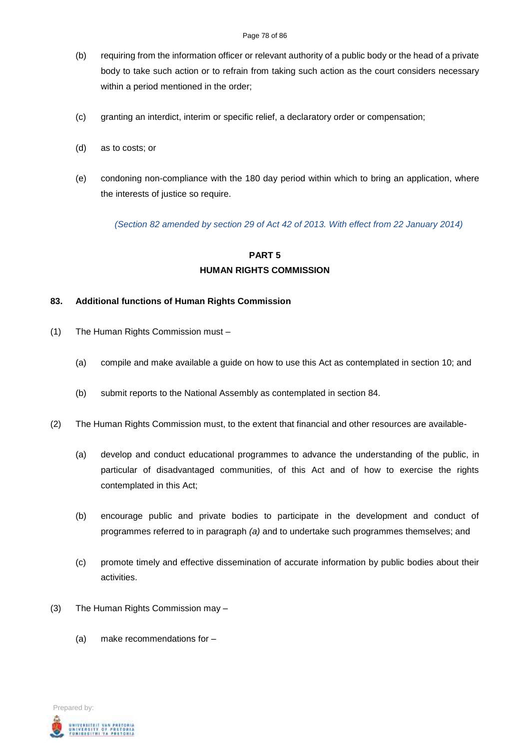- (b) requiring from the information officer or relevant authority of a public body or the head of a private body to take such action or to refrain from taking such action as the court considers necessary within a period mentioned in the order;
- (c) granting an interdict, interim or specific relief, a declaratory order or compensation;
- (d) as to costs; or
- (e) condoning non-compliance with the 180 day period within which to bring an application, where the interests of justice so require.

*(Section 82 amended by section 29 of Act 42 of 2013. With effect from 22 January 2014)*

# **PART 5 HUMAN RIGHTS COMMISSION**

## **83. Additional functions of Human Rights Commission**

- (1) The Human Rights Commission must
	- (a) compile and make available a guide on how to use this Act as contemplated in section 10; and
	- (b) submit reports to the National Assembly as contemplated in section 84.
- (2) The Human Rights Commission must, to the extent that financial and other resources are available-
	- (a) develop and conduct educational programmes to advance the understanding of the public, in particular of disadvantaged communities, of this Act and of how to exercise the rights contemplated in this Act;
	- (b) encourage public and private bodies to participate in the development and conduct of programmes referred to in paragraph *(a)* and to undertake such programmes themselves; and
	- (c) promote timely and effective dissemination of accurate information by public bodies about their activities.
- (3) The Human Rights Commission may
	- (a) make recommendations for –

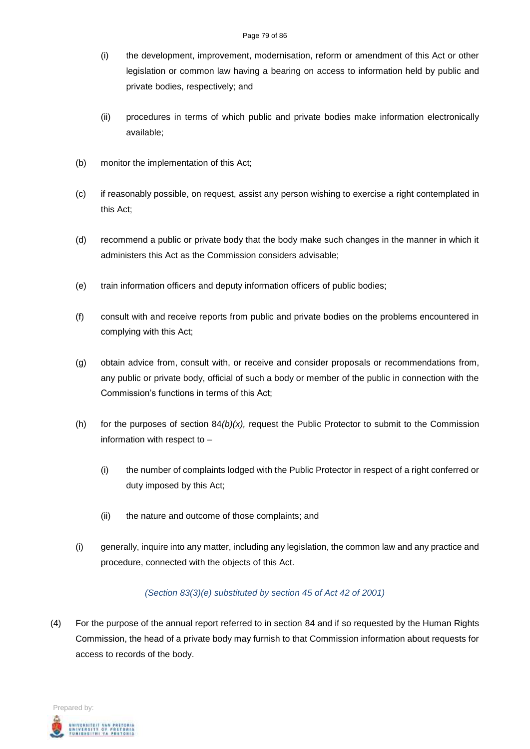- (i) the development, improvement, modernisation, reform or amendment of this Act or other legislation or common law having a bearing on access to information held by public and private bodies, respectively; and
- (ii) procedures in terms of which public and private bodies make information electronically available;
- (b) monitor the implementation of this Act;
- (c) if reasonably possible, on request, assist any person wishing to exercise a right contemplated in this Act;
- (d) recommend a public or private body that the body make such changes in the manner in which it administers this Act as the Commission considers advisable;
- (e) train information officers and deputy information officers of public bodies;
- (f) consult with and receive reports from public and private bodies on the problems encountered in complying with this Act;
- (g) obtain advice from, consult with, or receive and consider proposals or recommendations from, any public or private body, official of such a body or member of the public in connection with the Commission's functions in terms of this Act;
- (h) for the purposes of section 84*(b)(x),* request the Public Protector to submit to the Commission information with respect to –
	- (i) the number of complaints lodged with the Public Protector in respect of a right conferred or duty imposed by this Act;
	- (ii) the nature and outcome of those complaints; and
- (i) generally, inquire into any matter, including any legislation, the common law and any practice and procedure, connected with the objects of this Act.

# *(Section 83(3)(e) substituted by section 45 of Act 42 of 2001)*

(4) For the purpose of the annual report referred to in section 84 and if so requested by the Human Rights Commission, the head of a private body may furnish to that Commission information about requests for access to records of the body.

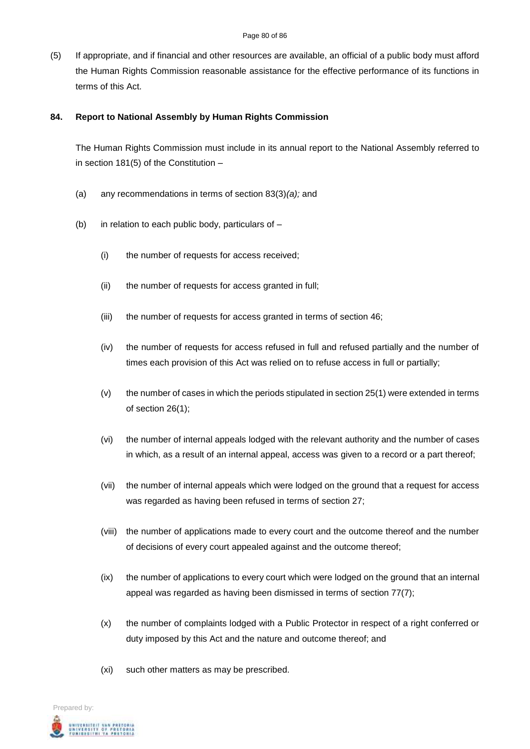(5) If appropriate, and if financial and other resources are available, an official of a public body must afford the Human Rights Commission reasonable assistance for the effective performance of its functions in terms of this Act.

### **84. Report to National Assembly by Human Rights Commission**

The Human Rights Commission must include in its annual report to the National Assembly referred to in section 181(5) of the Constitution –

- (a) any recommendations in terms of section 83(3)*(a);* and
- (b) in relation to each public body, particulars of  $-$ 
	- (i) the number of requests for access received;
	- (ii) the number of requests for access granted in full;
	- (iii) the number of requests for access granted in terms of section 46;
	- (iv) the number of requests for access refused in full and refused partially and the number of times each provision of this Act was relied on to refuse access in full or partially;
	- (v) the number of cases in which the periods stipulated in section 25(1) were extended in terms of section 26(1);
	- (vi) the number of internal appeals lodged with the relevant authority and the number of cases in which, as a result of an internal appeal, access was given to a record or a part thereof;
	- (vii) the number of internal appeals which were lodged on the ground that a request for access was regarded as having been refused in terms of section 27;
	- (viii) the number of applications made to every court and the outcome thereof and the number of decisions of every court appealed against and the outcome thereof;
	- (ix) the number of applications to every court which were lodged on the ground that an internal appeal was regarded as having been dismissed in terms of section 77(7);
	- (x) the number of complaints lodged with a Public Protector in respect of a right conferred or duty imposed by this Act and the nature and outcome thereof; and
	- (xi) such other matters as may be prescribed.

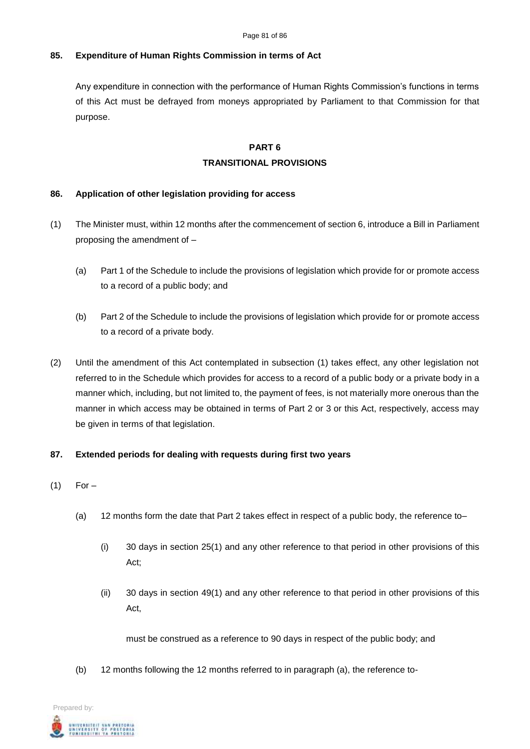# **85. Expenditure of Human Rights Commission in terms of Act**

Any expenditure in connection with the performance of Human Rights Commission's functions in terms of this Act must be defrayed from moneys appropriated by Parliament to that Commission for that purpose.

### **PART 6**

### **TRANSITIONAL PROVISIONS**

## **86. Application of other legislation providing for access**

- (1) The Minister must, within 12 months after the commencement of section 6, introduce a Bill in Parliament proposing the amendment of –
	- (a) Part 1 of the Schedule to include the provisions of legislation which provide for or promote access to a record of a public body; and
	- (b) Part 2 of the Schedule to include the provisions of legislation which provide for or promote access to a record of a private body.
- (2) Until the amendment of this Act contemplated in subsection (1) takes effect, any other legislation not referred to in the Schedule which provides for access to a record of a public body or a private body in a manner which, including, but not limited to, the payment of fees, is not materially more onerous than the manner in which access may be obtained in terms of Part 2 or 3 or this Act, respectively, access may be given in terms of that legislation.

# **87. Extended periods for dealing with requests during first two years**

- $(1)$  For
	- (a) 12 months form the date that Part 2 takes effect in respect of a public body, the reference to–
		- (i) 30 days in section 25(1) and any other reference to that period in other provisions of this Act;
		- (ii) 30 days in section 49(1) and any other reference to that period in other provisions of this Act,

must be construed as a reference to 90 days in respect of the public body; and

(b) 12 months following the 12 months referred to in paragraph (a), the reference to-

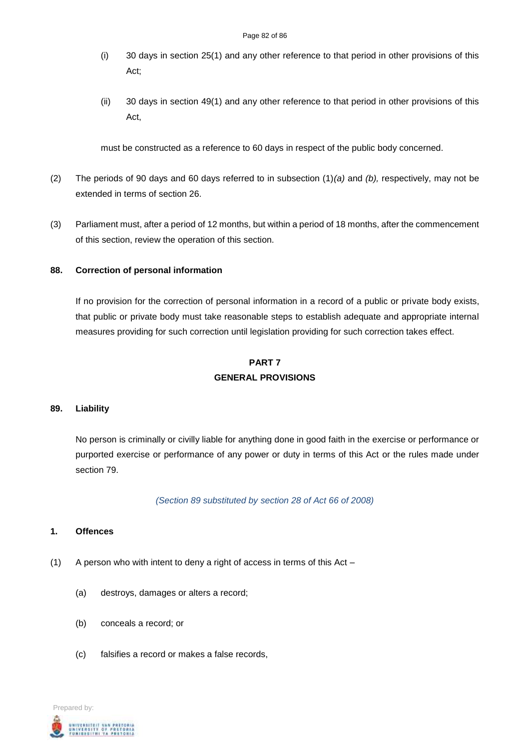- (i) 30 days in section 25(1) and any other reference to that period in other provisions of this Act;
- (ii) 30 days in section 49(1) and any other reference to that period in other provisions of this Act,

must be constructed as a reference to 60 days in respect of the public body concerned.

- (2) The periods of 90 days and 60 days referred to in subsection (1)*(a)* and *(b),* respectively, may not be extended in terms of section 26.
- (3) Parliament must, after a period of 12 months, but within a period of 18 months, after the commencement of this section, review the operation of this section.

### **88. Correction of personal information**

If no provision for the correction of personal information in a record of a public or private body exists, that public or private body must take reasonable steps to establish adequate and appropriate internal measures providing for such correction until legislation providing for such correction takes effect.

# **PART 7 GENERAL PROVISIONS**

#### **89. Liability**

No person is criminally or civilly liable for anything done in good faith in the exercise or performance or purported exercise or performance of any power or duty in terms of this Act or the rules made under section 79.

*(Section 89 substituted by section 28 of Act 66 of 2008)*

### **1. Offences**

- (1) A person who with intent to deny a right of access in terms of this Act
	- (a) destroys, damages or alters a record;
	- (b) conceals a record; or
	- (c) falsifies a record or makes a false records,

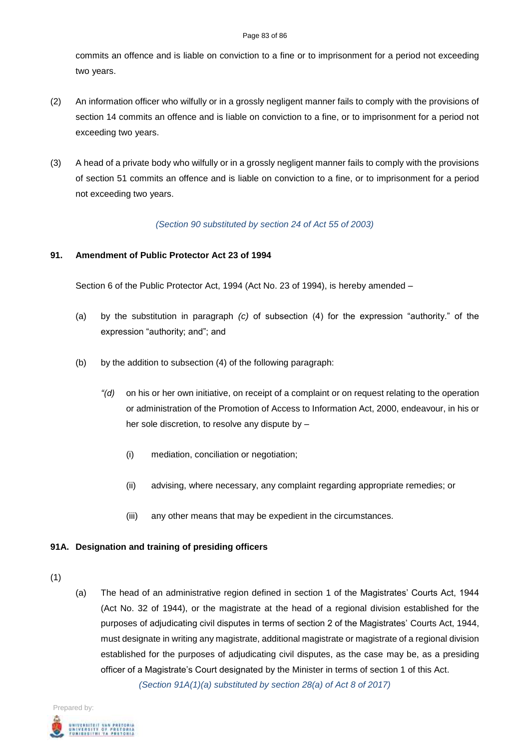#### Page 83 of 86

commits an offence and is liable on conviction to a fine or to imprisonment for a period not exceeding two years.

- (2) An information officer who wilfully or in a grossly negligent manner fails to comply with the provisions of section 14 commits an offence and is liable on conviction to a fine, or to imprisonment for a period not exceeding two years.
- (3) A head of a private body who wilfully or in a grossly negligent manner fails to comply with the provisions of section 51 commits an offence and is liable on conviction to a fine, or to imprisonment for a period not exceeding two years.

## *(Section 90 substituted by section 24 of Act 55 of 2003)*

# **91. Amendment of Public Protector Act 23 of 1994**

Section 6 of the Public Protector Act, 1994 (Act No. 23 of 1994), is hereby amended –

- (a) by the substitution in paragraph *(c)* of subsection (4) for the expression "authority." of the expression "authority; and"; and
- (b) by the addition to subsection (4) of the following paragraph:
	- *"(d)* on his or her own initiative, on receipt of a complaint or on request relating to the operation or administration of the Promotion of Access to Information Act, 2000, endeavour, in his or her sole discretion, to resolve any dispute by –
		- (i) mediation, conciliation or negotiation;
		- (ii) advising, where necessary, any complaint regarding appropriate remedies; or
		- (iii) any other means that may be expedient in the circumstances.

# **91A. Designation and training of presiding officers**

- (1)
- (a) The head of an administrative region defined in section 1 of the Magistrates' Courts Act, 1944 (Act No. 32 of 1944), or the magistrate at the head of a regional division established for the purposes of adjudicating civil disputes in terms of section 2 of the Magistrates' Courts Act, 1944, must designate in writing any magistrate, additional magistrate or magistrate of a regional division established for the purposes of adjudicating civil disputes, as the case may be, as a presiding officer of a Magistrate's Court designated by the Minister in terms of section 1 of this Act. *(Section 91A(1)(a) substituted by section 28(a) of Act 8 of 2017)*

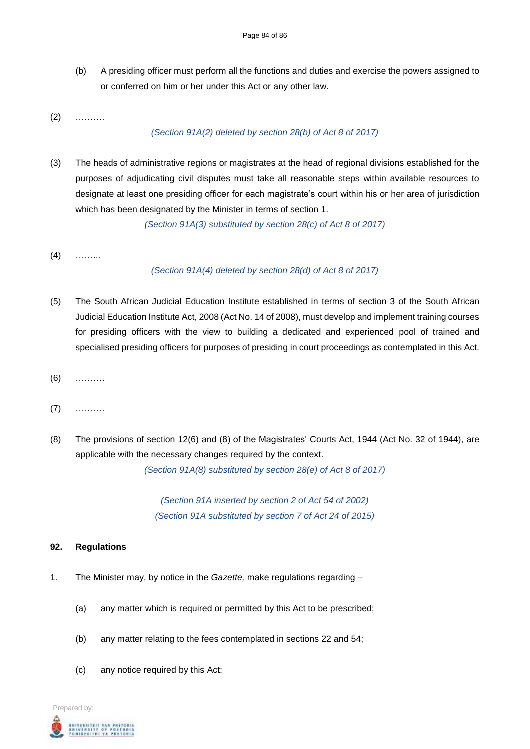(b) A presiding officer must perform all the functions and duties and exercise the powers assigned to or conferred on him or her under this Act or any other law.

(2) ……….

# *(Section 91A(2) deleted by section 28(b) of Act 8 of 2017)*

(3) The heads of administrative regions or magistrates at the head of regional divisions established for the purposes of adjudicating civil disputes must take all reasonable steps within available resources to designate at least one presiding officer for each magistrate's court within his or her area of jurisdiction which has been designated by the Minister in terms of section 1.

*(Section 91A(3) substituted by section 28(c) of Act 8 of 2017)*

 $(4)$  ……

# *(Section 91A(4) deleted by section 28(d) of Act 8 of 2017)*

- (5) The South African Judicial Education Institute established in terms of section 3 of the South African Judicial Education Institute Act, 2008 (Act No. 14 of 2008), must develop and implement training courses for presiding officers with the view to building a dedicated and experienced pool of trained and specialised presiding officers for purposes of presiding in court proceedings as contemplated in this Act.
- (6) ……….
- (7) ……….
- (8) The provisions of section 12(6) and (8) of the Magistrates' Courts Act, 1944 (Act No. 32 of 1944), are applicable with the necessary changes required by the context.

*(Section 91A(8) substituted by section 28(e) of Act 8 of 2017)*

*(Section 91A inserted by section 2 of Act 54 of 2002) (Section 91A substituted by section 7 of Act 24 of 2015)*

# **92. Regulations**

- 1. The Minister may, by notice in the *Gazette,* make regulations regarding
	- (a) any matter which is required or permitted by this Act to be prescribed;
	- (b) any matter relating to the fees contemplated in sections 22 and 54;
	- (c) any notice required by this Act;

Prepared by: .<br>Intversity of Pretoria<br>Unibestini ya Pretoria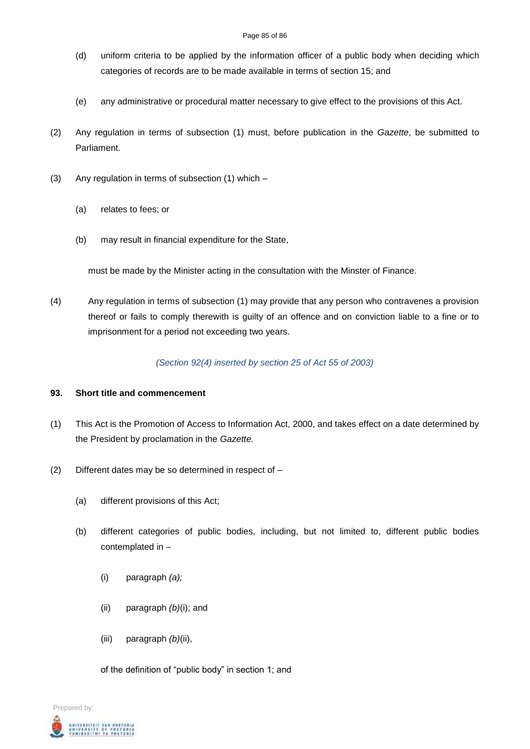#### Page 85 of 86

- (d) uniform criteria to be applied by the information officer of a public body when deciding which categories of records are to be made available in terms of section 15; and
- (e) any administrative or procedural matter necessary to give effect to the provisions of this Act.
- (2) Any regulation in terms of subsection (1) must, before publication in the *Gazette*, be submitted to Parliament.
- (3) Any regulation in terms of subsection (1) which
	- (a) relates to fees; or
	- (b) may result in financial expenditure for the State,

must be made by the Minister acting in the consultation with the Minster of Finance.

(4) Any regulation in terms of subsection (1) may provide that any person who contravenes a provision thereof or fails to comply therewith is guilty of an offence and on conviction liable to a fine or to imprisonment for a period not exceeding two years.

*(Section 92(4) inserted by section 25 of Act 55 of 2003)*

### **93. Short title and commencement**

- (1) This Act is the Promotion of Access to Information Act, 2000, and takes effect on a date determined by the President by proclamation in the *Gazette.*
- (2) Different dates may be so determined in respect of
	- (a) different provisions of this Act;
	- (b) different categories of public bodies, including, but not limited to, different public bodies contemplated in –
		- (i) paragraph *(a);*
		- (ii) paragraph *(b)*(i); and
		- (iii) paragraph *(b)*(ii),

of the definition of "public body" in section 1; and